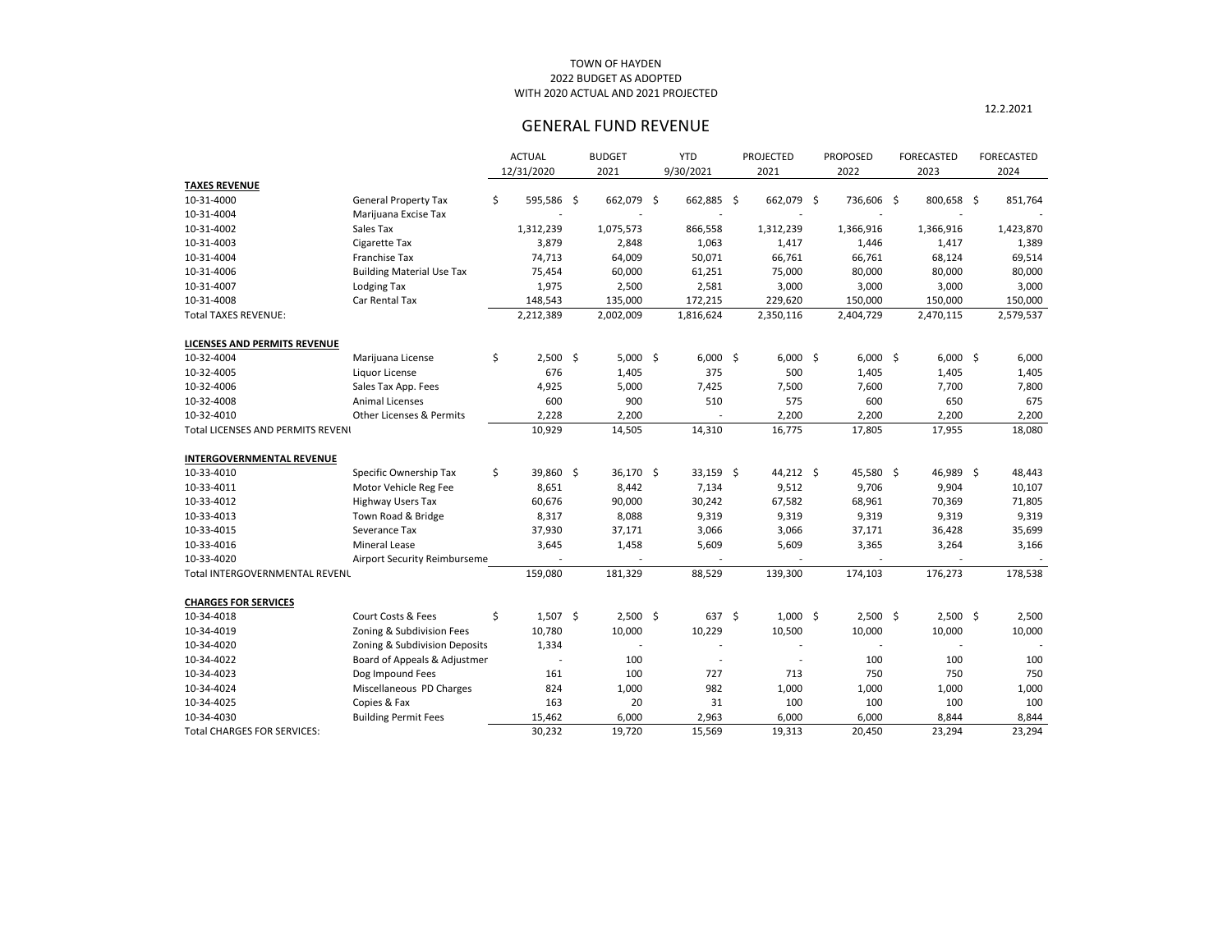|   | <b>FORECASTED</b><br>2023 |    | <b>FORECASTED</b><br>2024 |
|---|---------------------------|----|---------------------------|
|   |                           |    |                           |
| ҙ | 800,658                   | \$ | 851,764                   |
|   |                           |    |                           |
|   | 1,366,916                 |    | 1,423,870                 |
|   | 1,417                     |    | 1,389                     |
|   | 68,124                    |    | 69,514                    |
|   | 80,000                    |    | 80,000                    |
|   | 3,000                     |    | 3,000                     |
|   | 150,000                   |    | 150,000<br>2,579,537      |
|   | 2,470,115                 |    |                           |
|   |                           |    |                           |
| ҙ | 6,000                     | S  | 6,000                     |
|   | 1,405                     |    | 1,405                     |
|   | 7,700                     |    | 7,800                     |
|   | 650                       |    | 675                       |
|   | 2,200                     |    | 2,200                     |
|   | 17,955                    |    | 18,080                    |
|   |                           |    |                           |
|   |                           |    |                           |
| ₿ | 46,989                    | \$ | 48,443                    |
|   | 9,904                     |    | 10,107                    |
|   | 70,369                    |    | 71,805                    |
|   | 9,319                     |    | 9,319                     |
|   | 36,428                    |    | 35,699                    |
|   | 3,264                     |    | 3,166                     |
|   |                           |    |                           |
|   | 176,273                   |    | 178,538                   |
|   |                           |    |                           |
| ₿ | 2,500                     | \$ | 2,500                     |
|   | 10,000                    |    | 10,000                    |
|   |                           |    |                           |
|   | 100                       |    | 100                       |
|   | 750                       |    | 750                       |
|   | 1,000                     |    | 1,000                     |
|   | 100                       |    | 100                       |
|   | 8,844                     |    | 8,844                     |
|   | <b>23 294</b>             |    | 23.294                    |

|                                    |                                     |     | <b>ACTUAL</b> | <b>BUDGET</b> | <b>YTD</b>        | <b>PROJECTED</b> | <b>PROPOSED</b> | <b>FORECASTED</b> | <b>FORECASTED</b> |
|------------------------------------|-------------------------------------|-----|---------------|---------------|-------------------|------------------|-----------------|-------------------|-------------------|
|                                    |                                     |     | 12/31/2020    | 2021          | 9/30/2021         | 2021             | 2022            | 2023              | 2024              |
| <b>TAXES REVENUE</b>               |                                     |     |               |               |                   |                  |                 |                   |                   |
| 10-31-4000                         | <b>General Property Tax</b>         | \$  | 595,586 \$    | 662,079 \$    | 662,885 \$        | 662,079 \$       | 736,606 \$      | 800,658 \$        | 851,764           |
| 10-31-4004                         | Marijuana Excise Tax                |     |               |               |                   |                  |                 |                   |                   |
| 10-31-4002                         | Sales Tax                           |     | 1,312,239     | 1,075,573     | 866,558           | 1,312,239        | 1,366,916       | 1,366,916         | 1,423,870         |
| 10-31-4003                         | Cigarette Tax                       |     | 3,879         | 2,848         | 1,063             | 1,417            | 1,446           | 1,417             | 1,389             |
| 10-31-4004                         | Franchise Tax                       |     | 74,713        | 64,009        | 50,071            | 66,761           | 66,761          | 68,124            | 69,514            |
| 10-31-4006                         | <b>Building Material Use Tax</b>    |     | 75,454        | 60,000        | 61,251            | 75,000           | 80,000          | 80,000            | 80,000            |
| 10-31-4007                         | <b>Lodging Tax</b>                  |     | 1,975         | 2,500         | 2,581             | 3,000            | 3,000           | 3,000             | 3,000             |
| 10-31-4008                         | Car Rental Tax                      |     | 148,543       | 135,000       | 172,215           | 229,620          | 150,000         | 150,000           | 150,000           |
| <b>Total TAXES REVENUE:</b>        |                                     |     | 2,212,389     | 2,002,009     | 1,816,624         | 2,350,116        | 2,404,729       | 2,470,115         | 2,579,537         |
| LICENSES AND PERMITS REVENUE       |                                     |     |               |               |                   |                  |                 |                   |                   |
| 10-32-4004                         | Marijuana License                   | \$  | $2,500$ \$    | $5,000$ \$    | $6,000$ \$        | $6,000$ \$       | $6,000$ \$      | $6,000$ \$        | 6,000             |
| 10-32-4005                         | Liquor License                      |     | 676           | 1,405         | 375               | 500              | 1,405           | 1,405             | 1,405             |
| 10-32-4006                         | Sales Tax App. Fees                 |     | 4,925         | 5,000         | 7,425             | 7,500            | 7,600           | 7,700             | 7,800             |
| 10-32-4008                         | <b>Animal Licenses</b>              |     | 600           | 900           | 510               | 575              | 600             | 650               | 675               |
| 10-32-4010                         | <b>Other Licenses &amp; Permits</b> |     | 2,228         | 2,200         |                   | 2,200            | 2,200           | 2,200             | 2,200             |
| Total LICENSES AND PERMITS REVENI  |                                     |     | 10,929        | 14,505        | 14,310            | 16,775           | 17,805          | 17,955            | 18,080            |
| <b>INTERGOVERNMENTAL REVENUE</b>   |                                     |     |               |               |                   |                  |                 |                   |                   |
| 10-33-4010                         | Specific Ownership Tax              | \$. | 39,860 \$     | 36,170 \$     | $33,159$ \$       | $44,212$ \$      | 45,580 \$       | 46,989 \$         | 48,443            |
| 10-33-4011                         | Motor Vehicle Reg Fee               |     | 8,651         | 8,442         | 7,134             | 9,512            | 9,706           | 9,904             | 10,107            |
| 10-33-4012                         | <b>Highway Users Tax</b>            |     | 60,676        | 90,000        | 30,242            | 67,582           | 68,961          | 70,369            | 71,805            |
| 10-33-4013                         | Town Road & Bridge                  |     | 8,317         | 8,088         | 9,319             | 9,319            | 9,319           | 9,319             | 9,319             |
| 10-33-4015                         | Severance Tax                       |     | 37,930        | 37,171        | 3,066             | 3,066            | 37,171          | 36,428            | 35,699            |
| 10-33-4016                         | <b>Mineral Lease</b>                |     | 3,645         | 1,458         | 5,609             | 5,609            | 3,365           | 3,264             | 3,166             |
| 10-33-4020                         | Airport Security Reimburseme        |     |               |               |                   |                  |                 |                   |                   |
| Total INTERGOVERNMENTAL REVENL     |                                     |     | 159,080       | 181,329       | 88,529            | 139,300          | 174,103         | 176,273           | 178,538           |
| <b>CHARGES FOR SERVICES</b>        |                                     |     |               |               |                   |                  |                 |                   |                   |
| 10-34-4018                         | Court Costs & Fees                  | \$  | $1,507$ \$    | $2,500$ \$    | $637 \frac{2}{3}$ | $1,000$ \$       | $2,500$ \$      | $2,500$ \$        | 2,500             |
| 10-34-4019                         | Zoning & Subdivision Fees           |     | 10,780        | 10,000        | 10,229            | 10,500           | 10,000          | 10,000            | 10,000            |
| 10-34-4020                         | Zoning & Subdivision Deposits       |     | 1,334         |               |                   |                  |                 |                   |                   |
| 10-34-4022                         | Board of Appeals & Adjustmer        |     |               | 100           |                   |                  | 100             | 100               | 100               |
| 10-34-4023                         | Dog Impound Fees                    |     | 161           | 100           | 727               | 713              | 750             | 750               | 750               |
| 10-34-4024                         | Miscellaneous PD Charges            |     | 824           | 1,000         | 982               | 1,000            | 1,000           | 1,000             | 1,000             |
| 10-34-4025                         | Copies & Fax                        |     | 163           | 20            | 31                | 100              | 100             | 100               | 100               |
| 10-34-4030                         | <b>Building Permit Fees</b>         |     | 15,462        | 6,000         | 2,963             | 6,000            | 6,000           | 8,844             | 8,844             |
| <b>Total CHARGES FOR SERVICES:</b> |                                     |     | 30,232        | 19,720        | 15,569            | 19,313           | 20,450          | 23,294            | 23,294            |

## 2022 BUDGET AS ADOPTED TOWN OF HAYDEN WITH 2020 ACTUAL AND 2021 PROJECTED

# GENERAL FUND REVENUE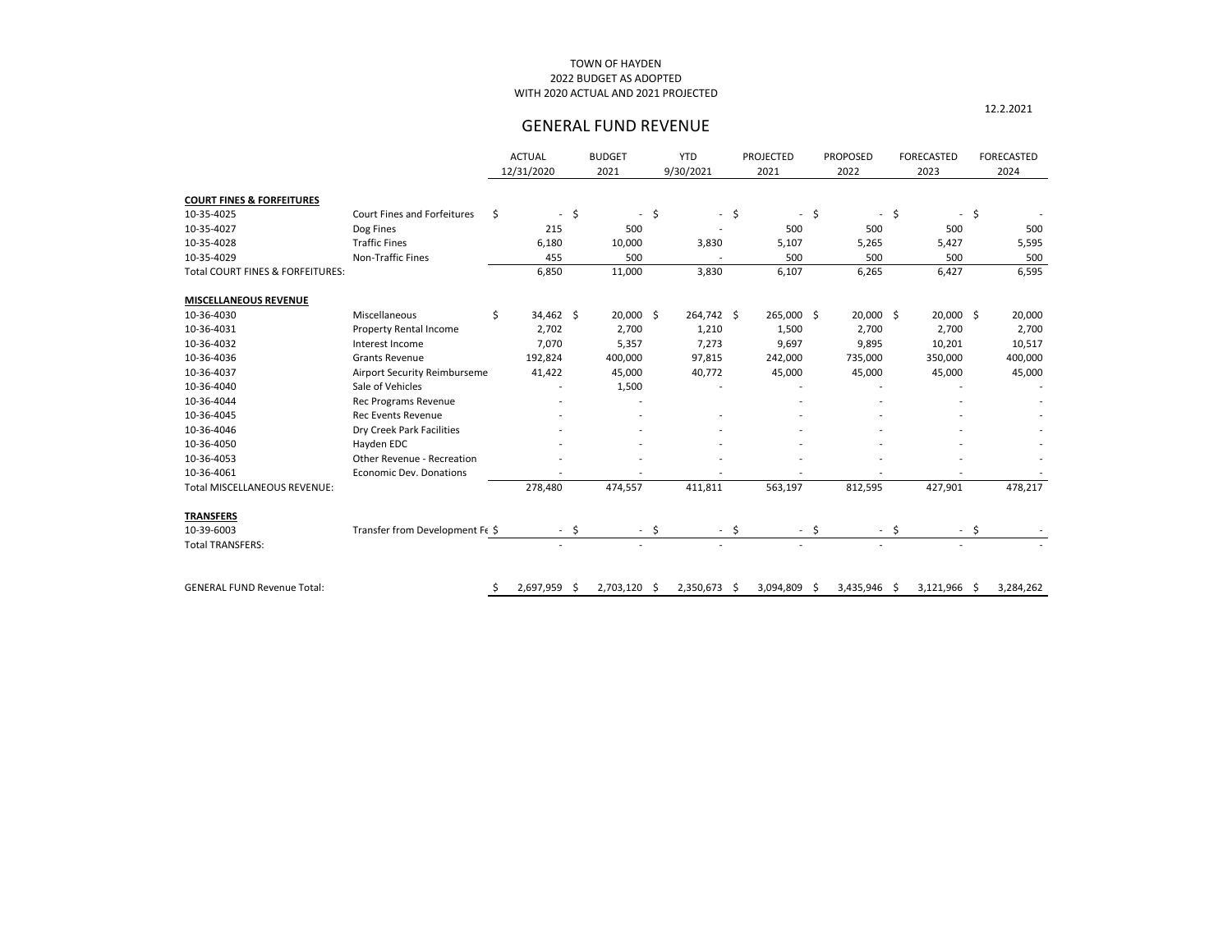## 2022 BUDGET AS ADOPTED TOWN OF HAYDEN WITH 2020 ACTUAL AND 2021 PROJECTED

# GENERAL FUND REVENUE

|                                             |                                    | <b>ACTUAL</b><br>12/31/2020 |        | <b>BUDGET</b><br>2021    | <b>YTD</b><br>9/30/2021 |        | <b>PROJECTED</b><br>2021 |         | <b>PROPOSED</b><br>2022  | <b>FORECASTED</b><br>2023      |             | <b>FORECASTED</b><br>2024 |
|---------------------------------------------|------------------------------------|-----------------------------|--------|--------------------------|-------------------------|--------|--------------------------|---------|--------------------------|--------------------------------|-------------|---------------------------|
| <b>COURT FINES &amp; FORFEITURES</b>        |                                    |                             |        |                          |                         |        |                          |         |                          |                                |             |                           |
| 10-35-4025                                  | <b>Court Fines and Forfeitures</b> | \$<br>$\sim$                | \$     | $\overline{\phantom{a}}$ | \$                      | $-$ \$ | $\blacksquare$           | $\zeta$ | $\overline{\phantom{a}}$ | \$<br>$\overline{\phantom{a}}$ | $\varsigma$ |                           |
| 10-35-4027                                  | Dog Fines                          | 215                         |        | 500                      |                         |        | 500                      |         | 500                      | 500                            |             | 500                       |
| 10-35-4028                                  | <b>Traffic Fines</b>               | 6,180                       |        | 10,000                   | 3,830                   |        | 5,107                    |         | 5,265                    | 5,427                          |             | 5,595                     |
| 10-35-4029                                  | Non-Traffic Fines                  | 455                         |        | 500                      |                         |        | 500                      |         | 500                      | 500                            |             | 500                       |
| <b>Total COURT FINES &amp; FORFEITURES:</b> |                                    | 6,850                       |        | 11,000                   | 3,830                   |        | 6,107                    |         | 6,265                    | 6,427                          |             | 6,595                     |
| <b>MISCELLANEOUS REVENUE</b>                |                                    |                             |        |                          |                         |        |                          |         |                          |                                |             |                           |
| 10-36-4030                                  | Miscellaneous                      | \$<br>34,462 \$             |        | $20,000$ \$              | 264,742 \$              |        | 265,000 \$               |         | 20,000 \$                | 20,000 \$                      |             | 20,000                    |
| 10-36-4031                                  | <b>Property Rental Income</b>      | 2,702                       |        | 2,700                    | 1,210                   |        | 1,500                    |         | 2,700                    | 2,700                          |             | 2,700                     |
| 10-36-4032                                  | Interest Income                    | 7,070                       |        | 5,357                    | 7,273                   |        | 9,697                    |         | 9,895                    | 10,201                         |             | 10,517                    |
| 10-36-4036                                  | <b>Grants Revenue</b>              | 192,824                     |        | 400,000                  | 97,815                  |        | 242,000                  |         | 735,000                  | 350,000                        |             | 400,000                   |
| 10-36-4037                                  | Airport Security Reimburseme       | 41,422                      |        | 45,000                   | 40,772                  |        | 45,000                   |         | 45,000                   | 45,000                         |             | 45,000                    |
| 10-36-4040                                  | Sale of Vehicles                   |                             |        | 1,500                    |                         |        |                          |         |                          |                                |             |                           |
| 10-36-4044                                  | <b>Rec Programs Revenue</b>        |                             |        |                          |                         |        |                          |         |                          |                                |             |                           |
| 10-36-4045                                  | <b>Rec Events Revenue</b>          |                             |        |                          |                         |        |                          |         |                          |                                |             |                           |
| 10-36-4046                                  | Dry Creek Park Facilities          |                             |        |                          |                         |        |                          |         |                          |                                |             |                           |
| 10-36-4050                                  | Hayden EDC                         |                             |        |                          |                         |        |                          |         |                          |                                |             |                           |
| 10-36-4053                                  | Other Revenue - Recreation         |                             |        |                          |                         |        |                          |         |                          |                                |             |                           |
| 10-36-4061                                  | <b>Economic Dev. Donations</b>     |                             |        |                          |                         |        |                          |         |                          |                                |             |                           |
| <b>Total MISCELLANEOUS REVENUE:</b>         |                                    | 278,480                     |        | 474,557                  | 411,811                 |        | 563,197                  |         | 812,595                  | 427,901                        |             | 478,217                   |
| <b>TRANSFERS</b>                            |                                    |                             |        |                          |                         |        |                          |         |                          |                                |             |                           |
| 10-39-6003                                  | Transfer from Development F(\$     |                             | $-$ \$ | $-$ \$                   |                         | $-$ \$ | $-$ \$                   |         | $-$ \$                   |                                | - \$        |                           |
| <b>Total TRANSFERS:</b>                     |                                    |                             |        |                          |                         |        |                          |         |                          |                                |             |                           |
|                                             |                                    |                             |        |                          |                         |        |                          |         |                          |                                |             |                           |
| <b>GENERAL FUND Revenue Total:</b>          |                                    | 2,697,959 \$                |        | 2,703,120 \$             | 2,350,673 \$            |        | 3,094,809 \$             |         | 3,435,946 \$             | 3,121,966 \$                   |             | 3,284,262                 |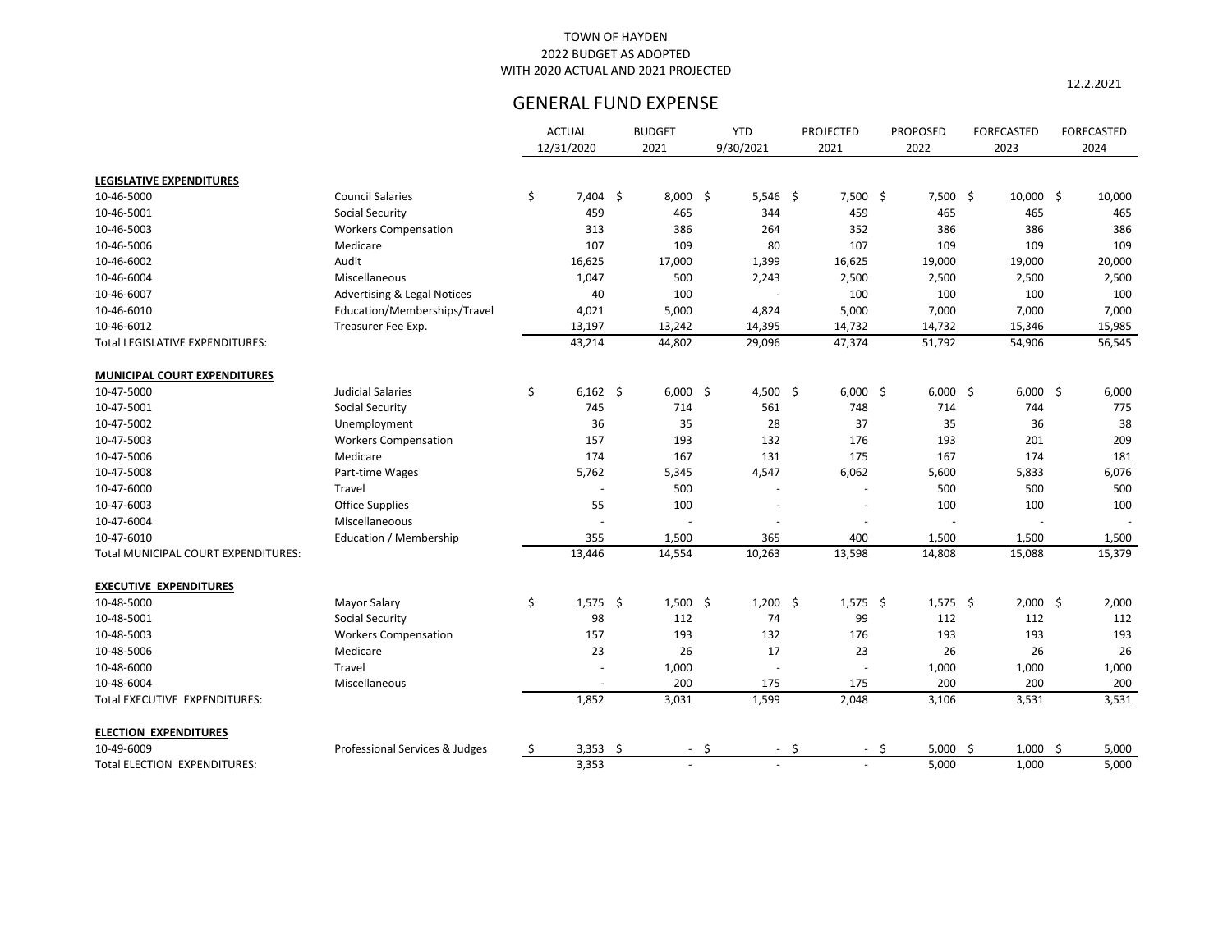12.2.2021

|                                     |                                        |     | <b>ACTUAL</b> | <b>BUDGET</b> |        | <b>YTD</b> | <b>PROJECTED</b> |        | <b>PROPOSED</b> | <b>FORECASTED</b> | <b>FORECASTED</b> |
|-------------------------------------|----------------------------------------|-----|---------------|---------------|--------|------------|------------------|--------|-----------------|-------------------|-------------------|
|                                     |                                        |     | 12/31/2020    | 2021          |        | 9/30/2021  | 2021             |        | 2022            | 2023              | 2024              |
| <b>LEGISLATIVE EXPENDITURES</b>     |                                        |     |               |               |        |            |                  |        |                 |                   |                   |
| 10-46-5000                          | <b>Council Salaries</b>                | \$  | $7,404$ \$    | $8,000$ \$    |        | $5,546$ \$ | $7,500$ \$       |        | $7,500$ \$      | $10,000$ \$       | 10,000            |
| 10-46-5001                          | <b>Social Security</b>                 |     | 459           | 465           |        | 344        | 459              |        | 465             | 465               | 465               |
| 10-46-5003                          | <b>Workers Compensation</b>            |     | 313           | 386           |        | 264        | 352              |        | 386             | 386               | 386               |
| 10-46-5006                          | Medicare                               |     | 107           | 109           |        | 80         | 107              |        | 109             | 109               | 109               |
| 10-46-6002                          | Audit                                  |     | 16,625        | 17,000        |        | 1,399      | 16,625           |        | 19,000          | 19,000            | 20,000            |
| 10-46-6004                          | Miscellaneous                          |     | 1,047         | 500           |        | 2,243      | 2,500            |        | 2,500           | 2,500             | 2,500             |
| 10-46-6007                          | <b>Advertising &amp; Legal Notices</b> |     | 40            | 100           |        |            | 100              |        | 100             | 100               | 100               |
| 10-46-6010                          | Education/Memberships/Travel           |     | 4,021         | 5,000         |        | 4,824      | 5,000            |        | 7,000           | 7,000             | 7,000             |
| 10-46-6012                          | Treasurer Fee Exp.                     |     | 13,197        | 13,242        |        | 14,395     | 14,732           |        | 14,732          | 15,346            | 15,985            |
| Total LEGISLATIVE EXPENDITURES:     |                                        |     | 43,214        | 44,802        |        | 29,096     | 47,374           |        | 51,792          | 54,906            | 56,545            |
|                                     |                                        |     |               |               |        |            |                  |        |                 |                   |                   |
| <b>MUNICIPAL COURT EXPENDITURES</b> |                                        |     |               |               |        |            |                  |        |                 |                   |                   |
| 10-47-5000                          | <b>Judicial Salaries</b>               | \$  | $6,162$ \$    | $6,000$ \$    |        | 4,500 \$   | $6,000$ \$       |        | $6,000$ \$      | $6,000$ \$        | 6,000             |
| 10-47-5001                          | <b>Social Security</b>                 |     | 745           | 714           |        | 561        | 748              |        | 714             | 744               | 775               |
| 10-47-5002                          | Unemployment                           |     | 36            | 35            |        | 28         | 37               |        | 35              | 36                | 38                |
| 10-47-5003                          | <b>Workers Compensation</b>            |     | 157           | 193           |        | 132        | 176              |        | 193             | 201               | 209               |
| 10-47-5006                          | Medicare                               |     | 174           | 167           |        | 131        | 175              |        | 167             | 174               | 181               |
| 10-47-5008                          | Part-time Wages                        |     | 5,762         | 5,345         |        | 4,547      | 6,062            |        | 5,600           | 5,833             | 6,076             |
| 10-47-6000                          | Travel                                 |     |               | 500           |        |            |                  |        | 500             | 500               | 500               |
| 10-47-6003                          | <b>Office Supplies</b>                 |     | 55            | 100           |        |            |                  |        | 100             | 100               | 100               |
| 10-47-6004                          | Miscellaneoous                         |     |               |               |        |            |                  |        |                 |                   |                   |
| 10-47-6010                          | Education / Membership                 |     | 355           | 1,500         |        | 365        | 400              |        | 1,500           | 1,500             | 1,500             |
| Total MUNICIPAL COURT EXPENDITURES: |                                        |     | 13,446        | 14,554        |        | 10,263     | 13,598           |        | 14,808          | 15,088            | 15,379            |
| <b>EXECUTIVE EXPENDITURES</b>       |                                        |     |               |               |        |            |                  |        |                 |                   |                   |
| 10-48-5000                          | <b>Mayor Salary</b>                    | \$  | $1,575$ \$    | $1,500$ \$    |        | $1,200$ \$ | $1,575$ \$       |        | $1,575$ \$      | $2,000$ \$        | 2,000             |
| 10-48-5001                          | <b>Social Security</b>                 |     | 98            | 112           |        | 74         | 99               |        | 112             | 112               | 112               |
| 10-48-5003                          | <b>Workers Compensation</b>            |     | 157           | 193           |        | 132        | 176              |        | 193             | 193               | 193               |
| 10-48-5006                          | Medicare                               |     | 23            | 26            |        | 17         | 23               |        | 26              | 26                | 26                |
| 10-48-6000                          | Travel                                 |     |               | 1,000         |        |            |                  |        | 1,000           | 1,000             | 1,000             |
| 10-48-6004                          | Miscellaneous                          |     |               | 200           |        | 175        | 175              |        | 200             | 200               | 200               |
| Total EXECUTIVE EXPENDITURES:       |                                        |     | 1,852         | 3,031         |        | 1,599      | 2,048            |        | 3,106           | 3,531             | 3,531             |
| <b>ELECTION EXPENDITURES</b>        |                                        |     |               |               |        |            |                  |        |                 |                   |                   |
| 10-49-6009                          | Professional Services & Judges         | \$. | $3,353$ \$    |               | $-$ \$ | $-$ \$     |                  | $-$ \$ | 5,000 \$        | $1,000$ \$        | 5,000             |
| Total ELECTION EXPENDITURES:        |                                        |     | 3,353         |               | $\sim$ | $\sim$     | $\sim$           |        | 5,000           | 1,000             | 5,000             |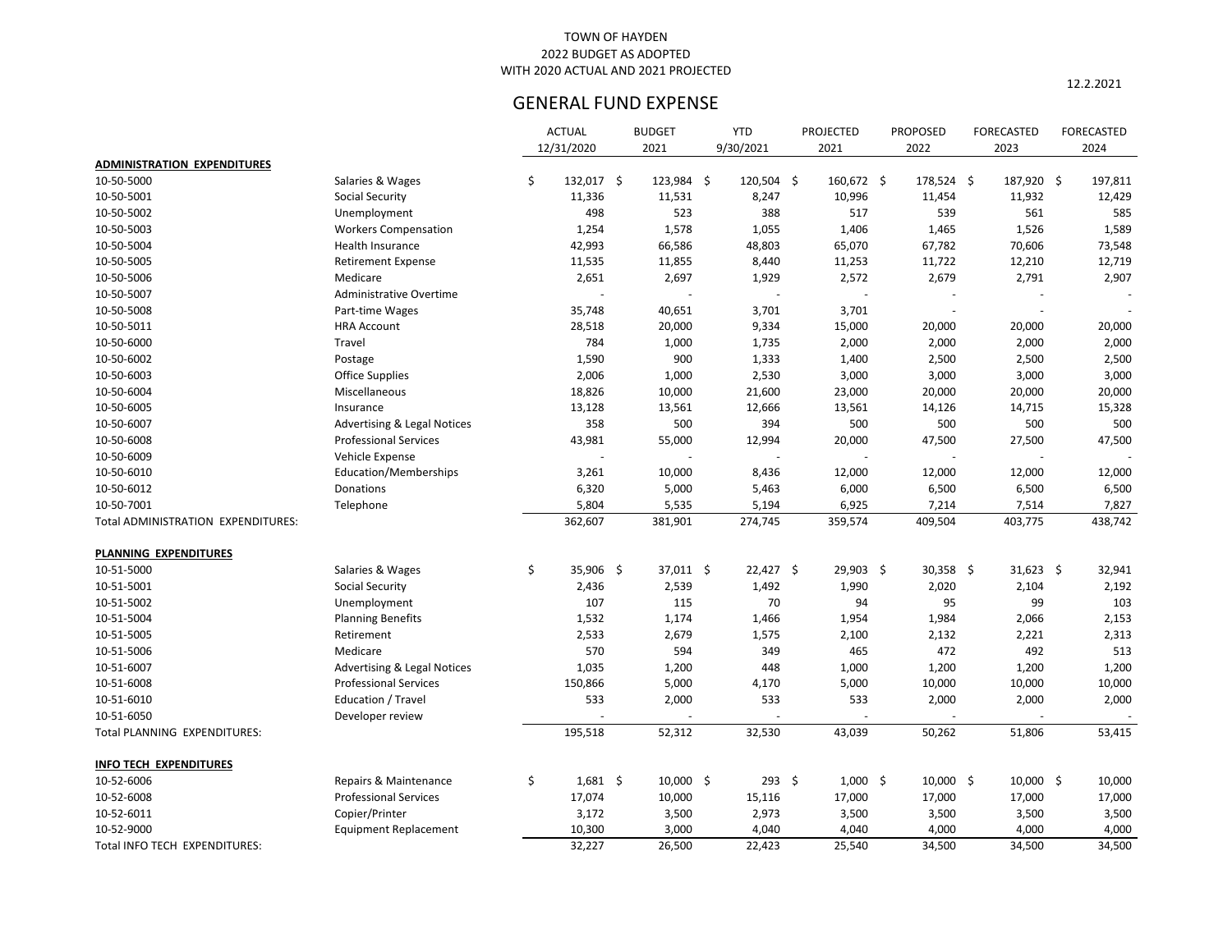12.2.2021

|                                    |                                        | <b>ACTUAL</b>    | <b>BUDGET</b> |              | <b>YTD</b>  |               | <b>PROJECTED</b> | <b>PROPOSED</b> | <b>FORECASTED</b> | <b>FORECASTED</b> |
|------------------------------------|----------------------------------------|------------------|---------------|--------------|-------------|---------------|------------------|-----------------|-------------------|-------------------|
|                                    |                                        | 12/31/2020       | 2021          |              | 9/30/2021   |               | 2021             | 2022            | 2023              | 2024              |
| <b>ADMINISTRATION EXPENDITURES</b> |                                        |                  |               |              |             |               |                  |                 |                   |                   |
| 10-50-5000                         | Salaries & Wages                       | \$<br>132,017 \$ |               | $123,984$ \$ | 120,504 \$  |               | 160,672 \$       | $178,524$ \$    | 187,920 \$        | 197,811           |
| 10-50-5001                         | <b>Social Security</b>                 | 11,336           | 11,531        |              | 8,247       |               | 10,996           | 11,454          | 11,932            | 12,429            |
| 10-50-5002                         | Unemployment                           | 498              |               | 523          | 388         |               | 517              | 539             | 561               | 585               |
| 10-50-5003                         | <b>Workers Compensation</b>            | 1,254            |               | 1,578        | 1,055       |               | 1,406            | 1,465           | 1,526             | 1,589             |
| 10-50-5004                         | Health Insurance                       | 42,993           | 66,586        |              | 48,803      |               | 65,070           | 67,782          | 70,606            | 73,548            |
| 10-50-5005                         | <b>Retirement Expense</b>              | 11,535           | 11,855        |              | 8,440       |               | 11,253           | 11,722          | 12,210            | 12,719            |
| 10-50-5006                         | Medicare                               | 2,651            |               | 2,697        | 1,929       |               | 2,572            | 2,679           | 2,791             | 2,907             |
| 10-50-5007                         | <b>Administrative Overtime</b>         |                  |               |              |             |               |                  |                 |                   |                   |
| 10-50-5008                         | Part-time Wages                        | 35,748           | 40,651        |              | 3,701       |               | 3,701            |                 |                   |                   |
| 10-50-5011                         | <b>HRA Account</b>                     | 28,518           | 20,000        |              | 9,334       |               | 15,000           | 20,000          | 20,000            | 20,000            |
| 10-50-6000                         | Travel                                 | 784              |               | 1,000        | 1,735       |               | 2,000            | 2,000           | 2,000             | 2,000             |
| 10-50-6002                         | Postage                                | 1,590            |               | 900          | 1,333       |               | 1,400            | 2,500           | 2,500             | 2,500             |
| 10-50-6003                         | <b>Office Supplies</b>                 | 2,006            |               | 1,000        | 2,530       |               | 3,000            | 3,000           | 3,000             | 3,000             |
| 10-50-6004                         | Miscellaneous                          | 18,826           | 10,000        |              | 21,600      |               | 23,000           | 20,000          | 20,000            | 20,000            |
| 10-50-6005                         | Insurance                              | 13,128           | 13,561        |              | 12,666      |               | 13,561           | 14,126          | 14,715            | 15,328            |
| 10-50-6007                         | <b>Advertising &amp; Legal Notices</b> | 358              |               | 500          | 394         |               | 500              | 500             | 500               | 500               |
| 10-50-6008                         | <b>Professional Services</b>           | 43,981           | 55,000        |              | 12,994      |               | 20,000           | 47,500          | 27,500            | 47,500            |
| 10-50-6009                         | Vehicle Expense                        |                  |               |              |             |               |                  |                 |                   |                   |
| 10-50-6010                         | Education/Memberships                  | 3,261            | 10,000        |              | 8,436       |               | 12,000           | 12,000          | 12,000            | 12,000            |
| 10-50-6012                         | Donations                              | 6,320            |               | 5,000        | 5,463       |               | 6,000            | 6,500           | 6,500             | 6,500             |
| 10-50-7001                         | Telephone                              | 5,804            |               | 5,535        | 5,194       |               | 6,925            | 7,214           | 7,514             | 7,827             |
| Total ADMINISTRATION EXPENDITURES: |                                        | 362,607          | 381,901       |              | 274,745     |               | 359,574          | 409,504         | 403,775           | 438,742           |
|                                    |                                        |                  |               |              |             |               |                  |                 |                   |                   |
| PLANNING EXPENDITURES              |                                        |                  |               |              |             |               |                  |                 |                   |                   |
| 10-51-5000                         | Salaries & Wages                       | \$<br>35,906 \$  |               | 37,011 \$    | $22,427$ \$ |               | 29,903 \$        | $30,358$ \$     | $31,623$ \$       | 32,941            |
| 10-51-5001                         | <b>Social Security</b>                 | 2,436            |               | 2,539        | 1,492       |               | 1,990            | 2,020           | 2,104             | 2,192             |
| 10-51-5002                         | Unemployment                           | 107              |               | 115          | 70          |               | 94               | 95              | 99                | 103               |
| 10-51-5004                         | <b>Planning Benefits</b>               | 1,532            |               | 1,174        | 1,466       |               | 1,954            | 1,984           | 2,066             | 2,153             |
| 10-51-5005                         | Retirement                             | 2,533            |               | 2,679        | 1,575       |               | 2,100            | 2,132           | 2,221             | 2,313             |
| 10-51-5006                         | Medicare                               | 570              |               | 594          | 349         |               | 465              | 472             | 492               | 513               |
| 10-51-6007                         | <b>Advertising &amp; Legal Notices</b> | 1,035            |               | 1,200        | 448         |               | 1,000            | 1,200           | 1,200             | 1,200             |
| 10-51-6008                         | <b>Professional Services</b>           | 150,866          |               | 5,000        | 4,170       |               | 5,000            | 10,000          | 10,000            | 10,000            |
| 10-51-6010                         | Education / Travel                     | 533              |               | 2,000        | 533         |               | 533              | 2,000           | 2,000             | 2,000             |
| 10-51-6050                         | Developer review                       |                  |               |              |             |               |                  |                 |                   |                   |
| Total PLANNING EXPENDITURES:       |                                        | 195,518          | 52,312        |              | 32,530      |               | 43,039           | 50,262          | 51,806            | 53,415            |
|                                    |                                        |                  |               |              |             |               |                  |                 |                   |                   |
| <b>INFO TECH EXPENDITURES</b>      |                                        |                  |               |              |             |               |                  |                 |                   |                   |
| 10-52-6006                         | Repairs & Maintenance                  | \$<br>$1,681$ \$ |               | $10,000$ \$  |             | $293 \quad $$ | $1,000$ \$       | $10,000$ \$     | $10,000$ \$       | 10,000            |
| 10-52-6008                         | <b>Professional Services</b>           | 17,074           | 10,000        |              | 15,116      |               | 17,000           | 17,000          | 17,000            | 17,000            |
| 10-52-6011                         | Copier/Printer                         | 3,172            |               | 3,500        | 2,973       |               | 3,500            | 3,500           | 3,500             | 3,500             |
| 10-52-9000                         | <b>Equipment Replacement</b>           | 10,300           |               | 3,000        | 4,040       |               | 4,040            | 4,000           | 4,000             | 4,000             |
| Total INFO TECH EXPENDITURES:      |                                        | 32,227           | 26,500        |              | 22,423      |               | 25,540           | 34,500          | 34,500            | 34,500            |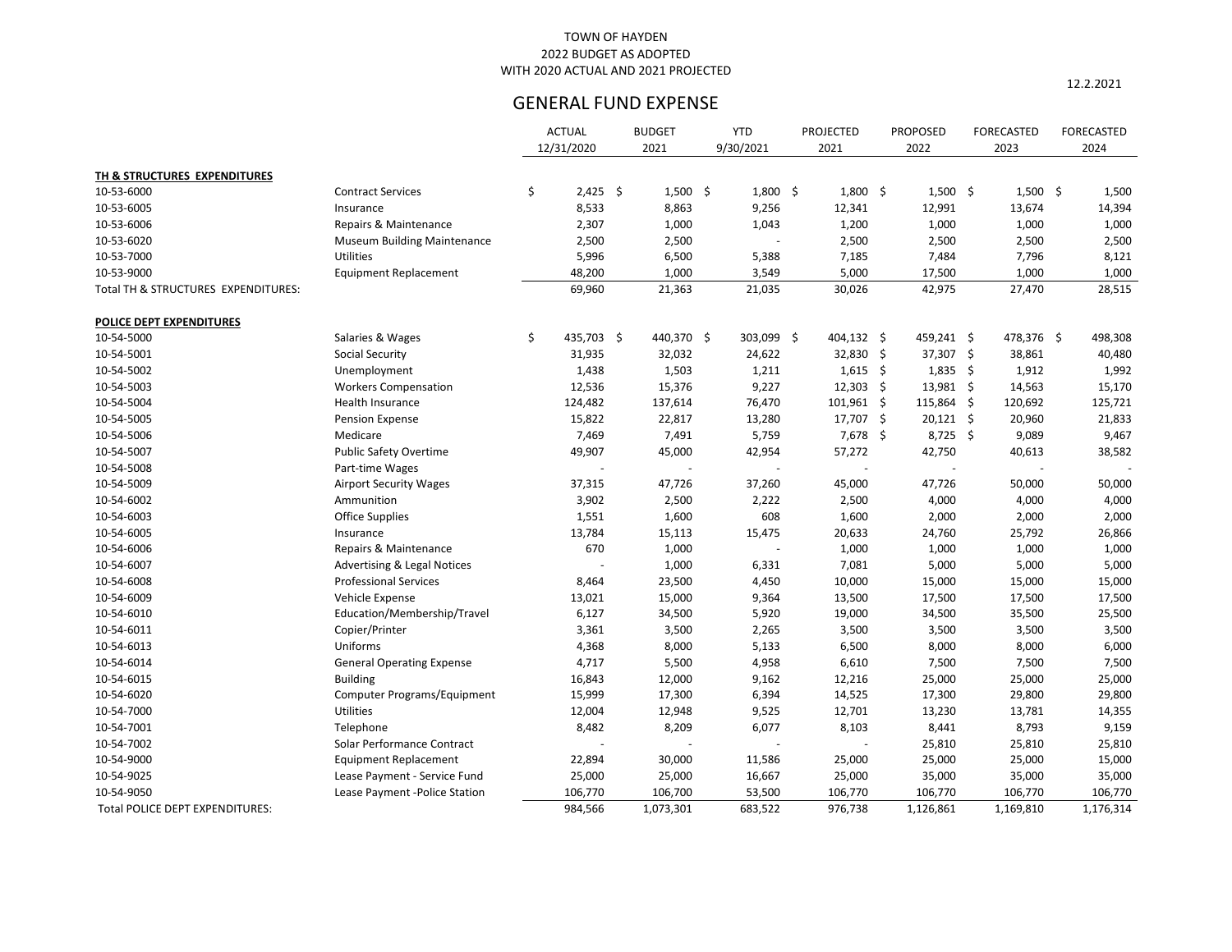12.2.2021

|                                     |                                        | <b>ACTUAL</b>    | <b>BUDGET</b> | <b>YTD</b> | <b>PROJECTED</b> |      | <b>PROPOSED</b> | <b>FORECASTED</b> | <b>FORECASTED</b> |
|-------------------------------------|----------------------------------------|------------------|---------------|------------|------------------|------|-----------------|-------------------|-------------------|
|                                     |                                        | 12/31/2020       | 2021          | 9/30/2021  | 2021             |      | 2022            | 2023              | 2024              |
| TH & STRUCTURES EXPENDITURES        |                                        |                  |               |            |                  |      |                 |                   |                   |
| 10-53-6000                          | <b>Contract Services</b>               | \$<br>$2,425$ \$ | $1,500$ \$    | $1,800$ \$ | $1,800$ \$       |      | $1,500$ \$      | $1,500$ \$        | 1,500             |
| 10-53-6005                          | Insurance                              | 8,533            | 8,863         | 9,256      | 12,341           |      | 12,991          | 13,674            | 14,394            |
| 10-53-6006                          | Repairs & Maintenance                  | 2,307            | 1,000         | 1,043      | 1,200            |      | 1,000           | 1,000             | 1,000             |
| 10-53-6020                          | <b>Museum Building Maintenance</b>     | 2,500            | 2,500         |            | 2,500            |      | 2,500           | 2,500             | 2,500             |
| 10-53-7000                          | Utilities                              | 5,996            | 6,500         | 5,388      | 7,185            |      | 7,484           | 7,796             | 8,121             |
| 10-53-9000                          | <b>Equipment Replacement</b>           | 48,200           | 1,000         | 3,549      | 5,000            |      | 17,500          | 1,000             | 1,000             |
| Total TH & STRUCTURES EXPENDITURES: |                                        | 69,960           | 21,363        | 21,035     | 30,026           |      | 42,975          | 27,470            | 28,515            |
| POLICE DEPT EXPENDITURES            |                                        |                  |               |            |                  |      |                 |                   |                   |
| 10-54-5000                          | Salaries & Wages                       | \$<br>435,703 \$ | 440,370 \$    | 303,099 \$ | 404,132 \$       |      | 459,241 \$      | 478,376 \$        | 498,308           |
| 10-54-5001                          | <b>Social Security</b>                 | 31,935           | 32,032        | 24,622     | 32,830 \$        |      | $37,307$ \$     | 38,861            | 40,480            |
| 10-54-5002                          | Unemployment                           | 1,438            | 1,503         | 1,211      | $1,615$ \$       |      | $1,835$ \$      | 1,912             | 1,992             |
| 10-54-5003                          | <b>Workers Compensation</b>            | 12,536           | 15,376        | 9,227      | 12,303           | - \$ | 13,981 \$       | 14,563            | 15,170            |
| 10-54-5004                          | Health Insurance                       | 124,482          | 137,614       | 76,470     | $101,961$ \$     |      | 115,864 \$      | 120,692           | 125,721           |
| 10-54-5005                          | Pension Expense                        | 15,822           | 22,817        | 13,280     | 17,707 \$        |      | $20,121$ \$     | 20,960            | 21,833            |
| 10-54-5006                          | Medicare                               | 7,469            | 7,491         | 5,759      | $7,678$ \$       |      | $8,725$ \$      | 9,089             | 9,467             |
| 10-54-5007                          | <b>Public Safety Overtime</b>          | 49,907           | 45,000        | 42,954     | 57,272           |      | 42,750          | 40,613            | 38,582            |
| 10-54-5008                          | Part-time Wages                        |                  |               |            |                  |      |                 |                   |                   |
| 10-54-5009                          | <b>Airport Security Wages</b>          | 37,315           | 47,726        | 37,260     | 45,000           |      | 47,726          | 50,000            | 50,000            |
| 10-54-6002                          | Ammunition                             | 3,902            | 2,500         | 2,222      | 2,500            |      | 4,000           | 4,000             | 4,000             |
| 10-54-6003                          | <b>Office Supplies</b>                 | 1,551            | 1,600         | 608        | 1,600            |      | 2,000           | 2,000             | 2,000             |
| 10-54-6005                          | Insurance                              | 13,784           | 15,113        | 15,475     | 20,633           |      | 24,760          | 25,792            | 26,866            |
| 10-54-6006                          | Repairs & Maintenance                  | 670              | 1,000         |            | 1,000            |      | 1,000           | 1,000             | 1,000             |
| 10-54-6007                          | <b>Advertising &amp; Legal Notices</b> |                  | 1,000         | 6,331      | 7,081            |      | 5,000           | 5,000             | 5,000             |
| 10-54-6008                          | <b>Professional Services</b>           | 8,464            | 23,500        | 4,450      | 10,000           |      | 15,000          | 15,000            | 15,000            |
| 10-54-6009                          | Vehicle Expense                        | 13,021           | 15,000        | 9,364      | 13,500           |      | 17,500          | 17,500            | 17,500            |
| 10-54-6010                          | Education/Membership/Travel            | 6,127            | 34,500        | 5,920      | 19,000           |      | 34,500          | 35,500            | 25,500            |
| 10-54-6011                          | Copier/Printer                         | 3,361            | 3,500         | 2,265      | 3,500            |      | 3,500           | 3,500             | 3,500             |
| 10-54-6013                          | Uniforms                               | 4,368            | 8,000         | 5,133      | 6,500            |      | 8,000           | 8,000             | 6,000             |
| 10-54-6014                          | <b>General Operating Expense</b>       | 4,717            | 5,500         | 4,958      | 6,610            |      | 7,500           | 7,500             | 7,500             |
| 10-54-6015                          | <b>Building</b>                        | 16,843           | 12,000        | 9,162      | 12,216           |      | 25,000          | 25,000            | 25,000            |
| 10-54-6020                          | Computer Programs/Equipment            | 15,999           | 17,300        | 6,394      | 14,525           |      | 17,300          | 29,800            | 29,800            |
| 10-54-7000                          | Utilities                              | 12,004           | 12,948        | 9,525      | 12,701           |      | 13,230          | 13,781            | 14,355            |
| 10-54-7001                          | Telephone                              | 8,482            | 8,209         | 6,077      | 8,103            |      | 8,441           | 8,793             | 9,159             |
| 10-54-7002                          | Solar Performance Contract             |                  |               |            |                  |      | 25,810          | 25,810            | 25,810            |
| 10-54-9000                          | <b>Equipment Replacement</b>           | 22,894           | 30,000        | 11,586     | 25,000           |      | 25,000          | 25,000            | 15,000            |
| 10-54-9025                          | Lease Payment - Service Fund           | 25,000           | 25,000        | 16,667     | 25,000           |      | 35,000          | 35,000            | 35,000            |
| 10-54-9050                          | Lease Payment -Police Station          | 106,770          | 106,700       | 53,500     | 106,770          |      | 106,770         | 106,770           | 106,770           |
| Total POLICE DEPT EXPENDITURES:     |                                        | 984,566          | 1,073,301     | 683,522    | 976,738          |      | 1,126,861       | 1,169,810         | 1,176,314         |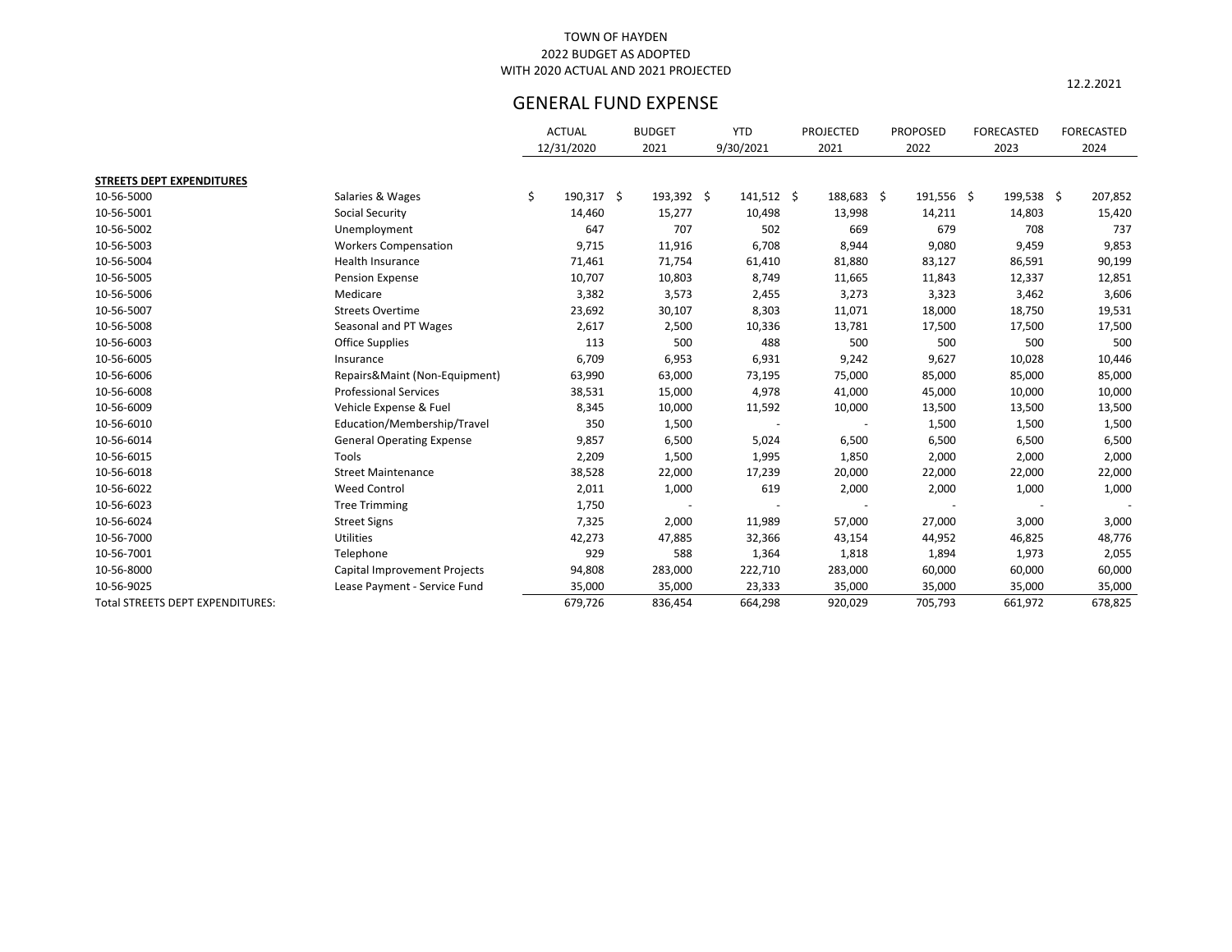12.2.2021

|                                  |                                  | <b>ACTUAL</b>    | <b>BUDGET</b> | <b>YTD</b>   | <b>PROJECTED</b> | <b>PROPOSED</b> | FORECASTED | <b>FORECASTED</b> |
|----------------------------------|----------------------------------|------------------|---------------|--------------|------------------|-----------------|------------|-------------------|
|                                  |                                  | 12/31/2020       | 2021          | 9/30/2021    | 2021             | 2022            | 2023       | 2024              |
| <b>STREETS DEPT EXPENDITURES</b> |                                  |                  |               |              |                  |                 |            |                   |
| 10-56-5000                       | Salaries & Wages                 | \$<br>190,317 \$ | 193,392 \$    | $141,512$ \$ | 188,683 \$       | $191,556$ \$    | 199,538 \$ | 207,852           |
| 10-56-5001                       | <b>Social Security</b>           | 14,460           | 15,277        | 10,498       | 13,998           | 14,211          | 14,803     | 15,420            |
| 10-56-5002                       | Unemployment                     | 647              | 707           | 502          | 669              | 679             | 708        | 737               |
| 10-56-5003                       | <b>Workers Compensation</b>      | 9,715            | 11,916        | 6,708        | 8,944            | 9,080           | 9,459      | 9,853             |
| 10-56-5004                       | Health Insurance                 | 71,461           | 71,754        | 61,410       | 81,880           | 83,127          | 86,591     | 90,199            |
| 10-56-5005                       | Pension Expense                  | 10,707           | 10,803        | 8,749        | 11,665           | 11,843          | 12,337     | 12,851            |
| 10-56-5006                       | Medicare                         | 3,382            | 3,573         | 2,455        | 3,273            | 3,323           | 3,462      | 3,606             |
| 10-56-5007                       | <b>Streets Overtime</b>          | 23,692           | 30,107        | 8,303        | 11,071           | 18,000          | 18,750     | 19,531            |
| 10-56-5008                       | Seasonal and PT Wages            | 2,617            | 2,500         | 10,336       | 13,781           | 17,500          | 17,500     | 17,500            |
| 10-56-6003                       | <b>Office Supplies</b>           | 113              | 500           | 488          | 500              | 500             | 500        | 500               |
| 10-56-6005                       | Insurance                        | 6,709            | 6,953         | 6,931        | 9,242            | 9,627           | 10,028     | 10,446            |
| 10-56-6006                       | Repairs&Maint (Non-Equipment)    | 63,990           | 63,000        | 73,195       | 75,000           | 85,000          | 85,000     | 85,000            |
| 10-56-6008                       | <b>Professional Services</b>     | 38,531           | 15,000        | 4,978        | 41,000           | 45,000          | 10,000     | 10,000            |
| 10-56-6009                       | Vehicle Expense & Fuel           | 8,345            | 10,000        | 11,592       | 10,000           | 13,500          | 13,500     | 13,500            |
| 10-56-6010                       | Education/Membership/Travel      | 350              | 1,500         |              |                  | 1,500           | 1,500      | 1,500             |
| 10-56-6014                       | <b>General Operating Expense</b> | 9,857            | 6,500         | 5,024        | 6,500            | 6,500           | 6,500      | 6,500             |
| 10-56-6015                       | Tools                            | 2,209            | 1,500         | 1,995        | 1,850            | 2,000           | 2,000      | 2,000             |
| 10-56-6018                       | <b>Street Maintenance</b>        | 38,528           | 22,000        | 17,239       | 20,000           | 22,000          | 22,000     | 22,000            |
| 10-56-6022                       | <b>Weed Control</b>              | 2,011            | 1,000         | 619          | 2,000            | 2,000           | 1,000      | 1,000             |
| 10-56-6023                       | <b>Tree Trimming</b>             | 1,750            |               |              |                  |                 |            |                   |
| 10-56-6024                       | <b>Street Signs</b>              | 7,325            | 2,000         | 11,989       | 57,000           | 27,000          | 3,000      | 3,000             |
| 10-56-7000                       | <b>Utilities</b>                 | 42,273           | 47,885        | 32,366       | 43,154           | 44,952          | 46,825     | 48,776            |
| 10-56-7001                       | Telephone                        | 929              | 588           | 1,364        | 1,818            | 1,894           | 1,973      | 2,055             |
| 10-56-8000                       | Capital Improvement Projects     | 94,808           | 283,000       | 222,710      | 283,000          | 60,000          | 60,000     | 60,000            |
| 10-56-9025                       | Lease Payment - Service Fund     | 35,000           | 35,000        | 23,333       | 35,000           | 35,000          | 35,000     | 35,000            |
| Total STREETS DEPT EXPENDITURES: |                                  | 679,726          | 836,454       | 664,298      | 920,029          | 705,793         | 661,972    | 678,825           |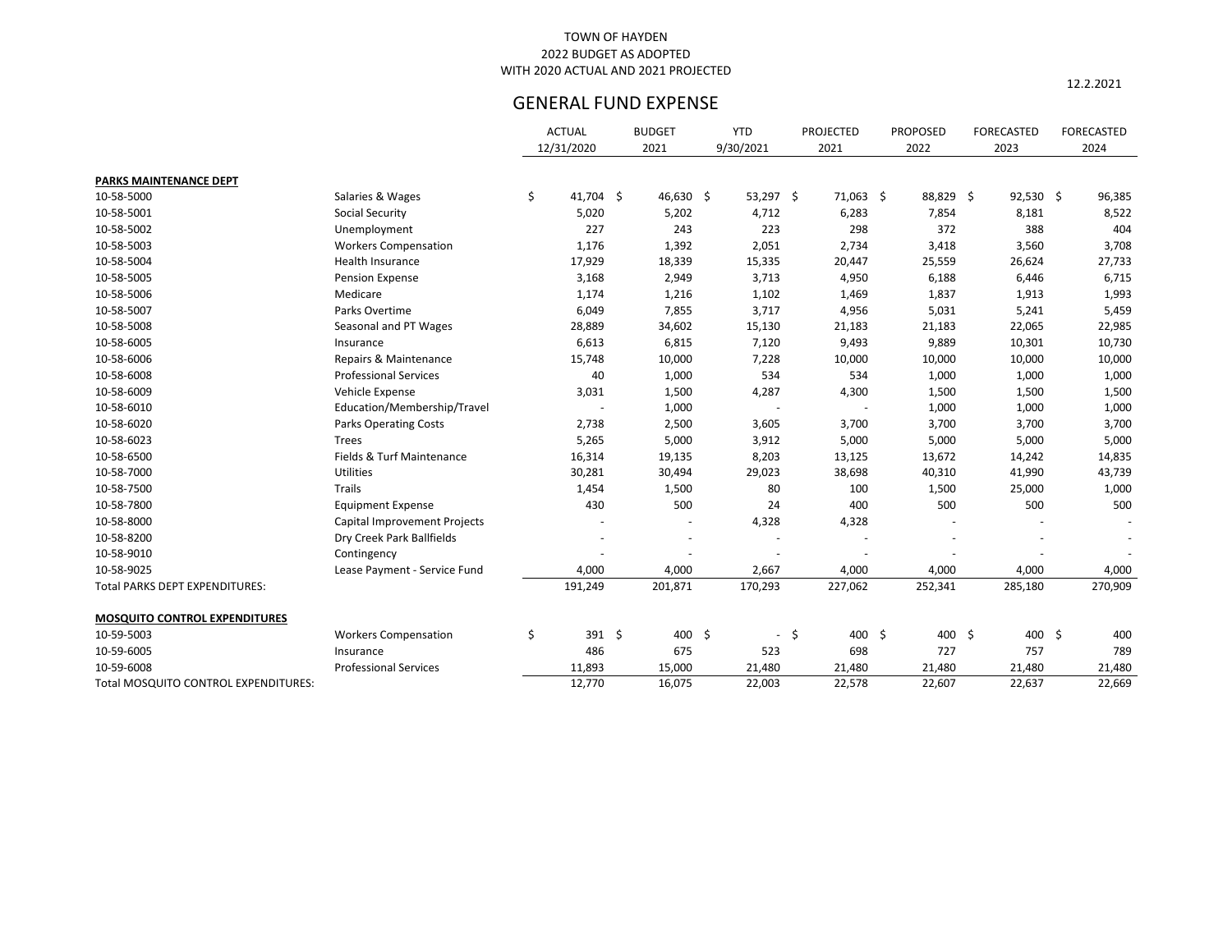12.2.2021

|                                      |                                     | <b>ACTUAL</b>     | <b>BUDGET</b> |           | <b>YTD</b>               |                  | <b>PROJECTED</b> | <b>PROPOSED</b> | <b>FORECASTED</b> | <b>FORECASTED</b> |
|--------------------------------------|-------------------------------------|-------------------|---------------|-----------|--------------------------|------------------|------------------|-----------------|-------------------|-------------------|
|                                      |                                     | 12/31/2020        | 2021          |           | 9/30/2021                |                  | 2021             | 2022            | 2023              | 2024              |
| PARKS MAINTENANCE DEPT               |                                     |                   |               |           |                          |                  |                  |                 |                   |                   |
| 10-58-5000                           | Salaries & Wages                    | \$<br>$41,704$ \$ |               | 46,630 \$ | 53,297 \$                |                  | 71,063 \$        | 88,829 \$       | $92,530$ \$       | 96,385            |
| 10-58-5001                           | <b>Social Security</b>              | 5,020             |               | 5,202     | 4,712                    |                  | 6,283            | 7,854           | 8,181             | 8,522             |
| 10-58-5002                           | Unemployment                        | 227               |               | 243       | 223                      |                  | 298              | 372             | 388               | 404               |
| 10-58-5003                           | <b>Workers Compensation</b>         | 1,176             |               | 1,392     | 2,051                    |                  | 2,734            | 3,418           | 3,560             | 3,708             |
| 10-58-5004                           | Health Insurance                    | 17,929            | 18,339        |           | 15,335                   |                  | 20,447           | 25,559          | 26,624            | 27,733            |
| 10-58-5005                           | Pension Expense                     | 3,168             |               | 2,949     | 3,713                    |                  | 4,950            | 6,188           | 6,446             | 6,715             |
| 10-58-5006                           | Medicare                            | 1,174             |               | 1,216     | 1,102                    |                  | 1,469            | 1,837           | 1,913             | 1,993             |
| 10-58-5007                           | Parks Overtime                      | 6,049             |               | 7,855     | 3,717                    |                  | 4,956            | 5,031           | 5,241             | 5,459             |
| 10-58-5008                           | Seasonal and PT Wages               | 28,889            | 34,602        |           | 15,130                   |                  | 21,183           | 21,183          | 22,065            | 22,985            |
| 10-58-6005                           | Insurance                           | 6,613             |               | 6,815     | 7,120                    |                  | 9,493            | 9,889           | 10,301            | 10,730            |
| 10-58-6006                           | Repairs & Maintenance               | 15,748            | 10,000        |           | 7,228                    |                  | 10,000           | 10,000          | 10,000            | 10,000            |
| 10-58-6008                           | <b>Professional Services</b>        | 40                |               | 1,000     | 534                      |                  | 534              | 1,000           | 1,000             | 1,000             |
| 10-58-6009                           | Vehicle Expense                     | 3,031             |               | 1,500     | 4,287                    |                  | 4,300            | 1,500           | 1,500             | 1,500             |
| 10-58-6010                           | Education/Membership/Travel         |                   |               | 1,000     |                          |                  |                  | 1,000           | 1,000             | 1,000             |
| 10-58-6020                           | <b>Parks Operating Costs</b>        | 2,738             |               | 2,500     | 3,605                    |                  | 3,700            | 3,700           | 3,700             | 3,700             |
| 10-58-6023                           | <b>Trees</b>                        | 5,265             |               | 5,000     | 3,912                    |                  | 5,000            | 5,000           | 5,000             | 5,000             |
| 10-58-6500                           | Fields & Turf Maintenance           | 16,314            | 19,135        |           | 8,203                    |                  | 13,125           | 13,672          | 14,242            | 14,835            |
| 10-58-7000                           | Utilities                           | 30,281            | 30,494        |           | 29,023                   |                  | 38,698           | 40,310          | 41,990            | 43,739            |
| 10-58-7500                           | Trails                              | 1,454             |               | 1,500     | 80                       |                  | 100              | 1,500           | 25,000            | 1,000             |
| 10-58-7800                           | <b>Equipment Expense</b>            | 430               |               | 500       | 24                       |                  | 400              | 500             | 500               | 500               |
| 10-58-8000                           | <b>Capital Improvement Projects</b> |                   |               |           | 4,328                    |                  | 4,328            |                 |                   |                   |
| 10-58-8200                           | Dry Creek Park Ballfields           |                   |               |           |                          |                  |                  |                 |                   |                   |
| 10-58-9010                           | Contingency                         |                   |               |           |                          |                  |                  |                 |                   |                   |
| 10-58-9025                           | Lease Payment - Service Fund        | 4,000             |               | 4,000     | 2,667                    |                  | 4,000            | 4,000           | 4,000             | 4,000             |
| Total PARKS DEPT EXPENDITURES:       |                                     | 191,249           | 201,871       |           | 170,293                  |                  | 227,062          | 252,341         | 285,180           | 270,909           |
| <b>MOSQUITO CONTROL EXPENDITURES</b> |                                     |                   |               |           |                          |                  |                  |                 |                   |                   |
| 10-59-5003                           | <b>Workers Compensation</b>         | \$<br>391 \$      |               | 400 \$    | $\overline{\phantom{a}}$ | $\ddot{\varphi}$ | 400 \$           | 400 \$          | 400 \$            | 400               |
| 10-59-6005                           | Insurance                           | 486               |               | 675       | 523                      |                  | 698              | 727             | 757               | 789               |
| 10-59-6008                           | <b>Professional Services</b>        | 11,893            | 15,000        |           | 21,480                   |                  | 21,480           | 21,480          | 21,480            | 21,480            |
| Total MOSQUITO CONTROL EXPENDITURES: |                                     | 12,770            | 16,075        |           | 22,003                   |                  | 22,578           | 22,607          | 22,637            | 22,669            |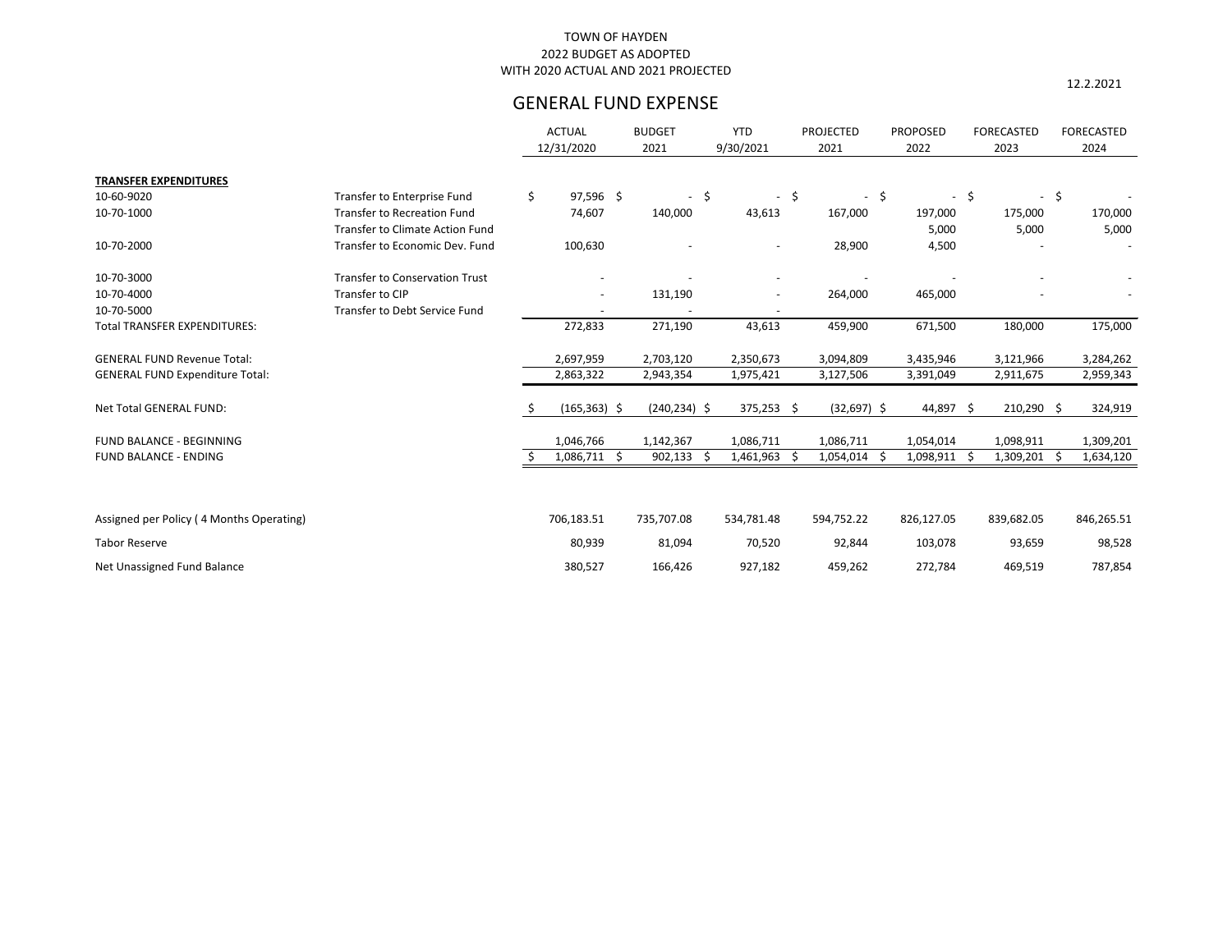12.2.2021

|                                          |                                       |    | <b>ACTUAL</b><br>12/31/2020 | <b>BUDGET</b><br>2021 | <b>YTD</b><br>9/30/2021  |      | <b>PROJECTED</b><br>2021 | <b>PROPOSED</b><br>2022 |        | FORECASTED<br>2023 |                | <b>FORECASTED</b><br>2024 |
|------------------------------------------|---------------------------------------|----|-----------------------------|-----------------------|--------------------------|------|--------------------------|-------------------------|--------|--------------------|----------------|---------------------------|
| <b>TRANSFER EXPENDITURES</b>             |                                       |    |                             |                       |                          |      |                          |                         |        |                    |                |                           |
| 10-60-9020                               | Transfer to Enterprise Fund           | \$ | 97,596 \$                   | $-5$                  |                          | $-5$ | $\sim$                   | \$                      | $-$ \$ | $\sim$             | $\ddot{\zeta}$ |                           |
| 10-70-1000                               | <b>Transfer to Recreation Fund</b>    |    | 74,607                      | 140,000               | 43,613                   |      | 167,000                  | 197,000                 |        | 175,000            |                | 170,000                   |
|                                          | Transfer to Climate Action Fund       |    |                             |                       |                          |      |                          | 5,000                   |        | 5,000              |                | 5,000                     |
| 10-70-2000                               | Transfer to Economic Dev. Fund        |    | 100,630                     |                       | $\overline{\phantom{a}}$ |      | 28,900                   | 4,500                   |        |                    |                |                           |
| 10-70-3000                               | <b>Transfer to Conservation Trust</b> |    | $\overline{\phantom{a}}$    |                       | $\overline{\phantom{a}}$ |      |                          |                         |        |                    |                |                           |
| 10-70-4000                               | Transfer to CIP                       |    | $\overline{\phantom{a}}$    | 131,190               |                          |      | 264,000                  | 465,000                 |        |                    |                |                           |
| 10-70-5000                               | <b>Transfer to Debt Service Fund</b>  |    |                             |                       |                          |      |                          |                         |        |                    |                |                           |
| <b>Total TRANSFER EXPENDITURES:</b>      |                                       |    | 272,833                     | 271,190               | 43,613                   |      | 459,900                  | 671,500                 |        | 180,000            |                | 175,000                   |
| <b>GENERAL FUND Revenue Total:</b>       |                                       |    | 2,697,959                   | 2,703,120             | 2,350,673                |      | 3,094,809                | 3,435,946               |        | 3,121,966          |                | 3,284,262                 |
| <b>GENERAL FUND Expenditure Total:</b>   |                                       |    | 2,863,322                   | 2,943,354             | 1,975,421                |      | 3,127,506                | 3,391,049               |        | 2,911,675          |                | 2,959,343                 |
| Net Total GENERAL FUND:                  |                                       | S. | $(165, 363)$ \$             | $(240, 234)$ \$       | $375,253$ \$             |      | $(32,697)$ \$            | 44,897 \$               |        | $210,290$ \$       |                | 324,919                   |
| FUND BALANCE - BEGINNING                 |                                       |    | 1,046,766                   | 1,142,367             | 1,086,711                |      | 1,086,711                | 1,054,014               |        | 1,098,911          |                | 1,309,201                 |
| <b>FUND BALANCE - ENDING</b>             |                                       |    | $1,086,711$ \$              | $902,133$ \$          | 1,461,963                | -Ŝ   | $1,054,014$ \$           | 1,098,911 \$            |        | 1,309,201          | \$.            | 1,634,120                 |
|                                          |                                       |    |                             |                       |                          |      |                          |                         |        |                    |                |                           |
| Assigned per Policy (4 Months Operating) |                                       |    | 706,183.51                  | 735,707.08            | 534,781.48               |      | 594,752.22               | 826,127.05              |        | 839,682.05         |                | 846,265.51                |
| <b>Tabor Reserve</b>                     |                                       |    | 80,939                      | 81,094                | 70,520                   |      | 92,844                   | 103,078                 |        | 93,659             |                | 98,528                    |
| Net Unassigned Fund Balance              |                                       |    | 380,527                     | 166,426               | 927,182                  |      | 459,262                  | 272,784                 |        | 469,519            |                | 787,854                   |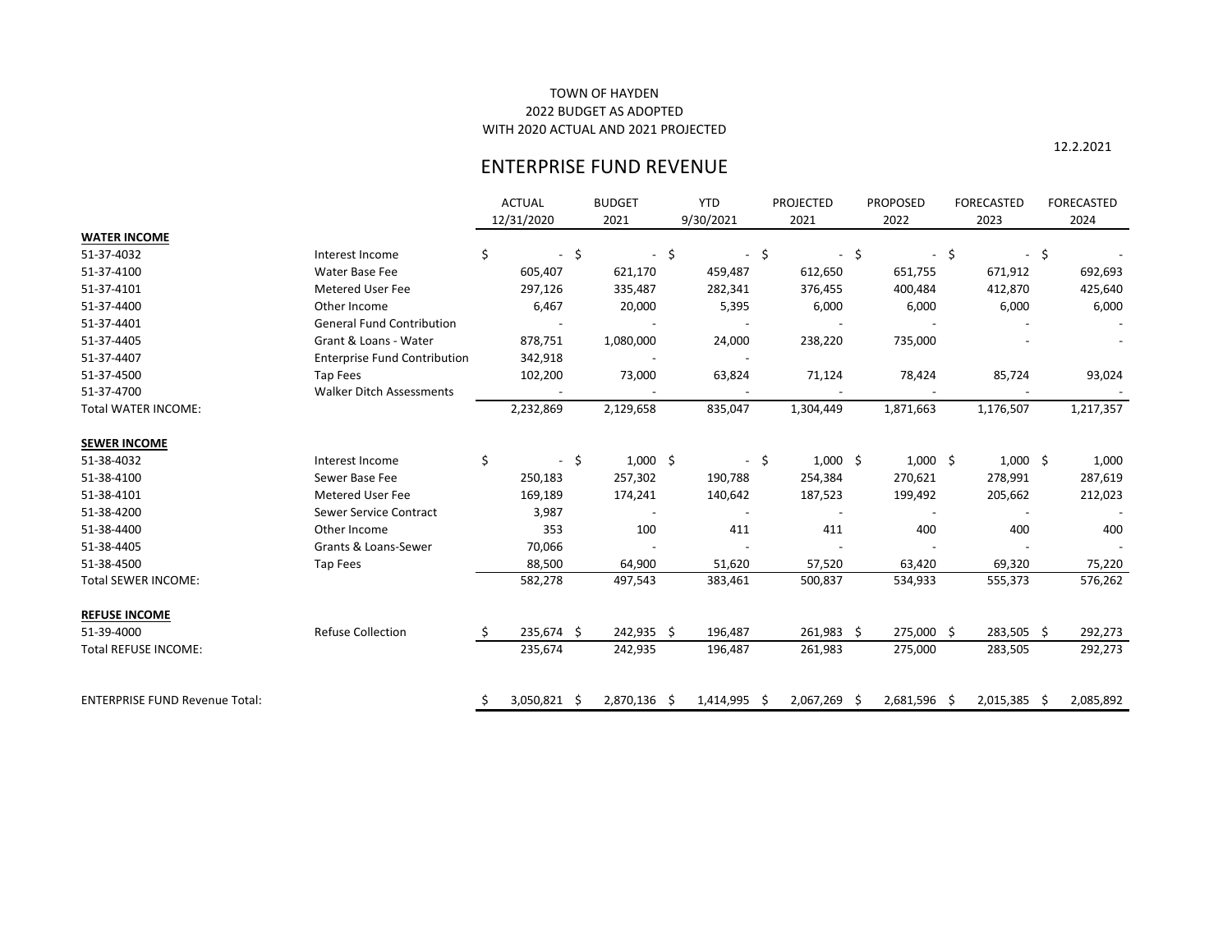12.2.2021

# ENTERPRISE FUND REVENUE

|                                       |                                     |     | <b>ACTUAL</b> |      | <b>BUDGET</b>            |    | <b>YTD</b>               |        | <b>PROJECTED</b>         | <b>PROPOSED</b> |     | <b>FORECASTED</b>        |     | <b>FORECASTED</b> |
|---------------------------------------|-------------------------------------|-----|---------------|------|--------------------------|----|--------------------------|--------|--------------------------|-----------------|-----|--------------------------|-----|-------------------|
|                                       |                                     |     | 12/31/2020    |      | 2021                     |    | 9/30/2021                |        | 2021                     | 2022            |     | 2023                     |     | 2024              |
| <b>WATER INCOME</b>                   |                                     |     |               |      |                          |    |                          |        |                          |                 |     |                          |     |                   |
| 51-37-4032                            | Interest Income                     | \$. | $\sim$        | -\$  |                          | \$ |                          | $-$ \$ | $\overline{\phantom{a}}$ | \$              | -\$ | $\overline{\phantom{a}}$ | -\$ |                   |
| 51-37-4100                            | Water Base Fee                      |     | 605,407       |      | 621,170                  |    | 459,487                  |        | 612,650                  | 651,755         |     | 671,912                  |     | 692,693           |
| 51-37-4101                            | <b>Metered User Fee</b>             |     | 297,126       |      | 335,487                  |    | 282,341                  |        | 376,455                  | 400,484         |     | 412,870                  |     | 425,640           |
| 51-37-4400                            | Other Income                        |     | 6,467         |      | 20,000                   |    | 5,395                    |        | 6,000                    | 6,000           |     | 6,000                    |     | 6,000             |
| 51-37-4401                            | <b>General Fund Contribution</b>    |     |               |      |                          |    |                          |        |                          |                 |     |                          |     |                   |
| 51-37-4405                            | Grant & Loans - Water               |     | 878,751       |      | 1,080,000                |    | 24,000                   |        | 238,220                  | 735,000         |     |                          |     |                   |
| 51-37-4407                            | <b>Enterprise Fund Contribution</b> |     | 342,918       |      |                          |    |                          |        |                          |                 |     |                          |     |                   |
| 51-37-4500                            | Tap Fees                            |     | 102,200       |      | 73,000                   |    | 63,824                   |        | 71,124                   | 78,424          |     | 85,724                   |     | 93,024            |
| 51-37-4700                            | <b>Walker Ditch Assessments</b>     |     |               |      |                          |    |                          |        |                          |                 |     |                          |     |                   |
| <b>Total WATER INCOME:</b>            |                                     |     | 2,232,869     |      | 2,129,658                |    | 835,047                  |        | 1,304,449                | 1,871,663       |     | 1,176,507                |     | 1,217,357         |
| <b>SEWER INCOME</b>                   |                                     |     |               |      |                          |    |                          |        |                          |                 |     |                          |     |                   |
| 51-38-4032                            | Interest Income                     | \$. |               | - \$ | $1,000$ \$               |    |                          | $-$ \$ | $1,000$ \$               | $1,000$ \$      |     | $1,000$ \$               |     | 1,000             |
| 51-38-4100                            | Sewer Base Fee                      |     | 250,183       |      | 257,302                  |    | 190,788                  |        | 254,384                  | 270,621         |     | 278,991                  |     | 287,619           |
| 51-38-4101                            | Metered User Fee                    |     | 169,189       |      | 174,241                  |    | 140,642                  |        | 187,523                  | 199,492         |     | 205,662                  |     | 212,023           |
| 51-38-4200                            | Sewer Service Contract              |     | 3,987         |      | $\overline{\phantom{a}}$ |    | $\overline{\phantom{a}}$ |        |                          |                 |     | $\overline{\phantom{a}}$ |     |                   |
| 51-38-4400                            | Other Income                        |     | 353           |      | 100                      |    | 411                      |        | 411                      | 400             |     | 400                      |     | 400               |
| 51-38-4405                            | Grants & Loans-Sewer                |     | 70,066        |      |                          |    |                          |        |                          |                 |     |                          |     |                   |
| 51-38-4500                            | Tap Fees                            |     | 88,500        |      | 64,900                   |    | 51,620                   |        | 57,520                   | 63,420          |     | 69,320                   |     | 75,220            |
| <b>Total SEWER INCOME:</b>            |                                     |     | 582,278       |      | 497,543                  |    | 383,461                  |        | 500,837                  | 534,933         |     | 555,373                  |     | 576,262           |
| <b>REFUSE INCOME</b>                  |                                     |     |               |      |                          |    |                          |        |                          |                 |     |                          |     |                   |
| 51-39-4000                            | <b>Refuse Collection</b>            |     | 235,674 \$    |      | 242,935 \$               |    | 196,487                  |        | 261,983 \$               | 275,000 \$      |     | 283,505 \$               |     | 292,273           |
| <b>Total REFUSE INCOME:</b>           |                                     |     | 235,674       |      | 242,935                  |    | 196,487                  |        | 261,983                  | 275,000         |     | 283,505                  |     | 292,273           |
| <b>ENTERPRISE FUND Revenue Total:</b> |                                     | \$. | 3,050,821 \$  |      | 2,870,136                | -Ŝ | $1,414,995$ \$           |        | 2,067,269 \$             | 2,681,596 \$    |     | $2,015,385$ \$           |     | 2,085,892         |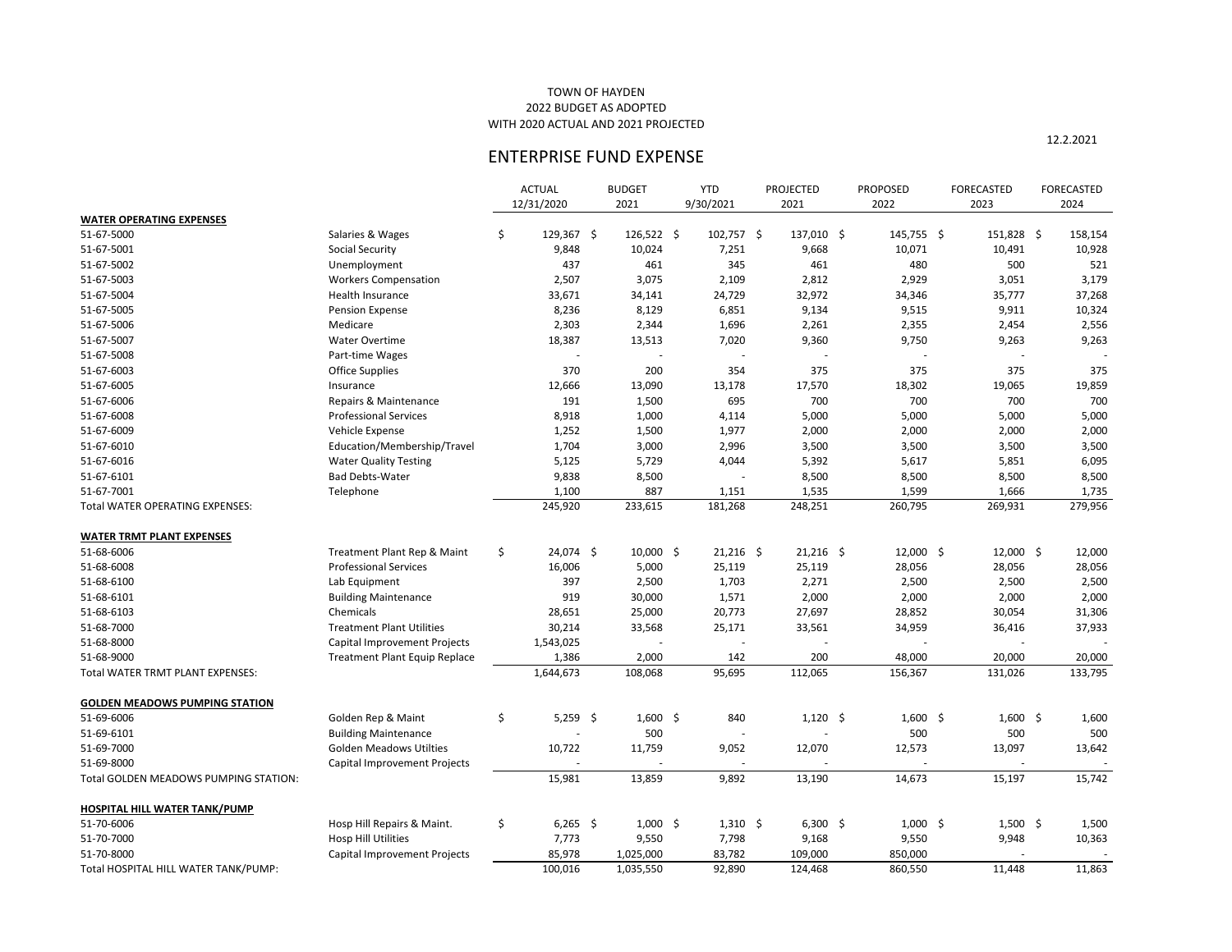|                                       |                                  | <b>ACTUAL</b>    | <b>BUDGET</b> | <b>YTD</b>           | <b>PROJECTED</b> | <b>PROPOSED</b> | <b>FORECASTED</b> | FORECASTED |
|---------------------------------------|----------------------------------|------------------|---------------|----------------------|------------------|-----------------|-------------------|------------|
|                                       |                                  | 12/31/2020       | 2021          | 9/30/2021            | 2021             | 2022            | 2023              | 2024       |
| <b>WATER OPERATING EXPENSES</b>       |                                  |                  |               |                      |                  |                 |                   |            |
| 51-67-5000                            | Salaries & Wages                 | \$<br>129,367 \$ | 126,522 \$    | $102,757$ \$         | $137,010$ \$     | 145,755 \$      | $151,828$ \$      | 158,154    |
| 51-67-5001                            | <b>Social Security</b>           | 9,848            | 10,024        | 7,251                | 9,668            | 10,071          | 10,491            | 10,928     |
| 51-67-5002                            | Unemployment                     | 437              | 461           | 345                  | 461              | 480             | 500               | 521        |
| 51-67-5003                            | <b>Workers Compensation</b>      | 2,507            | 3,075         | 2,109                | 2,812            | 2,929           | 3,051             | 3,179      |
| 51-67-5004                            | Health Insurance                 | 33,671           | 34,141        | 24,729               | 32,972           | 34,346          | 35,777            | 37,268     |
| 51-67-5005                            | <b>Pension Expense</b>           | 8,236            | 8,129         | 6,851                | 9,134            | 9,515           | 9,911             | 10,324     |
| 51-67-5006                            | Medicare                         | 2,303            | 2,344         | 1,696                | 2,261            | 2,355           | 2,454             | 2,556      |
| 51-67-5007                            | <b>Water Overtime</b>            | 18,387           | 13,513        | 7,020                | 9,360            | 9,750           | 9,263             | 9,263      |
| 51-67-5008                            | Part-time Wages                  |                  |               |                      |                  |                 |                   |            |
| 51-67-6003                            | <b>Office Supplies</b>           | 370              | 200           | 354                  | 375              | 375             | 375               | 375        |
| 51-67-6005                            | Insurance                        | 12,666           | 13,090        | 13,178               | 17,570           | 18,302          | 19,065            | 19,859     |
| 51-67-6006                            | Repairs & Maintenance            | 191              | 1,500         | 695                  | 700              | 700             | 700               | 700        |
| 51-67-6008                            | <b>Professional Services</b>     | 8,918            | 1,000         | 4,114                | 5,000            | 5,000           | 5,000             | 5,000      |
| 51-67-6009                            | Vehicle Expense                  | 1,252            | 1,500         | 1,977                | 2,000            | 2,000           | 2,000             | 2,000      |
| 51-67-6010                            | Education/Membership/Travel      | 1,704            | 3,000         | 2,996                | 3,500            | 3,500           | 3,500             | 3,500      |
| 51-67-6016                            | <b>Water Quality Testing</b>     | 5,125            | 5,729         | 4,044                | 5,392            | 5,617           | 5,851             | 6,095      |
| 51-67-6101                            | <b>Bad Debts-Water</b>           | 9,838            | 8,500         |                      | 8,500            | 8,500           | 8,500             | 8,500      |
| 51-67-7001                            | Telephone                        | 1,100            | 887           | 1,151                | 1,535            | 1,599           | 1,666             | 1,735      |
| Total WATER OPERATING EXPENSES:       |                                  | 245,920          | 233,615       | 181,268              | 248,251          | 260,795         | 269,931           | 279,956    |
|                                       |                                  |                  |               |                      |                  |                 |                   |            |
| <b>WATER TRMT PLANT EXPENSES</b>      |                                  |                  |               |                      |                  |                 |                   |            |
| 51-68-6006                            | Treatment Plant Rep & Maint      | \$<br>24,074 \$  | $10,000$ \$   | $21,216$ \$          | $21,216$ \$      | $12,000$ \$     | $12,000$ \$       | 12,000     |
| 51-68-6008                            | <b>Professional Services</b>     | 16,006           | 5,000         | 25,119               | 25,119           | 28,056          | 28,056            | 28,056     |
| 51-68-6100                            | Lab Equipment                    | 397              | 2,500         | 1,703                | 2,271            | 2,500           | 2,500             | 2,500      |
| 51-68-6101                            | <b>Building Maintenance</b>      | 919              | 30,000        | 1,571                | 2,000            | 2,000           | 2,000             | 2,000      |
| 51-68-6103                            | Chemicals                        | 28,651           | 25,000        | 20,773               | 27,697           | 28,852          | 30,054            | 31,306     |
| 51-68-7000                            | <b>Treatment Plant Utilities</b> | 30,214           | 33,568        | 25,171               | 33,561           | 34,959          | 36,416            | 37,933     |
| 51-68-8000                            | Capital Improvement Projects     | 1,543,025        |               |                      |                  |                 |                   |            |
| 51-68-9000                            | Treatment Plant Equip Replace    | 1,386            | 2,000         | 142                  | 200              | 48,000          | 20,000            | 20,000     |
| Total WATER TRMT PLANT EXPENSES:      |                                  | 1,644,673        | 108,068       | 95,695               | 112,065          | 156,367         | 131,026           | 133,795    |
|                                       |                                  |                  |               |                      |                  |                 |                   |            |
| <b>GOLDEN MEADOWS PUMPING STATION</b> |                                  |                  |               |                      |                  |                 |                   |            |
| 51-69-6006                            | Golden Rep & Maint               | \$<br>$5,259$ \$ | $1,600$ \$    | 840                  | $1,120$ \$       | $1,600$ \$      | $1,600$ \$        | 1,600      |
| 51-69-6101                            | <b>Building Maintenance</b>      |                  | 500           |                      |                  | 500             | 500               | 500        |
| 51-69-7000                            | <b>Golden Meadows Utilties</b>   | 10,722           | 11,759        | 9,052                | 12,070           | 12,573          | 13,097            | 13,642     |
| 51-69-8000                            | Capital Improvement Projects     |                  |               |                      |                  |                 |                   |            |
| Total GOLDEN MEADOWS PUMPING STATION: |                                  | 15,981           | 13,859        | 9,892                | 13,190           | 14,673          | 15,197            | 15,742     |
|                                       |                                  |                  |               |                      |                  |                 |                   |            |
| <b>HOSPITAL HILL WATER TANK/PUMP</b>  |                                  |                  |               |                      |                  |                 |                   |            |
| 51-70-6006                            | Hosp Hill Repairs & Maint.       | \$<br>$6,265$ \$ | $1,000$ \$    | $1,310 \; \; \simeq$ | $6,300$ \$       | $1,000$ \$      | $1,500$ \$        | 1,500      |
| 51-70-7000                            | Hosp Hill Utilities              | 7,773            | 9,550         | 7,798                | 9,168            | 9,550           | 9,948             | 10,363     |
| 51-70-8000                            | Capital Improvement Projects     | 85,978           | 1,025,000     | 83,782               | 109,000          | 850,000         |                   |            |
| Total HOSPITAL HILL WATER TANK/PUMP:  |                                  | 100,016          | 1,035,550     | 92,890               | 124,468          | 860,550         | 11,448            | 11,863     |

## TOWN OF HAYDEN 2022 BUDGET AS ADOPTED WITH 2020 ACTUAL AND 2021 PROJECTED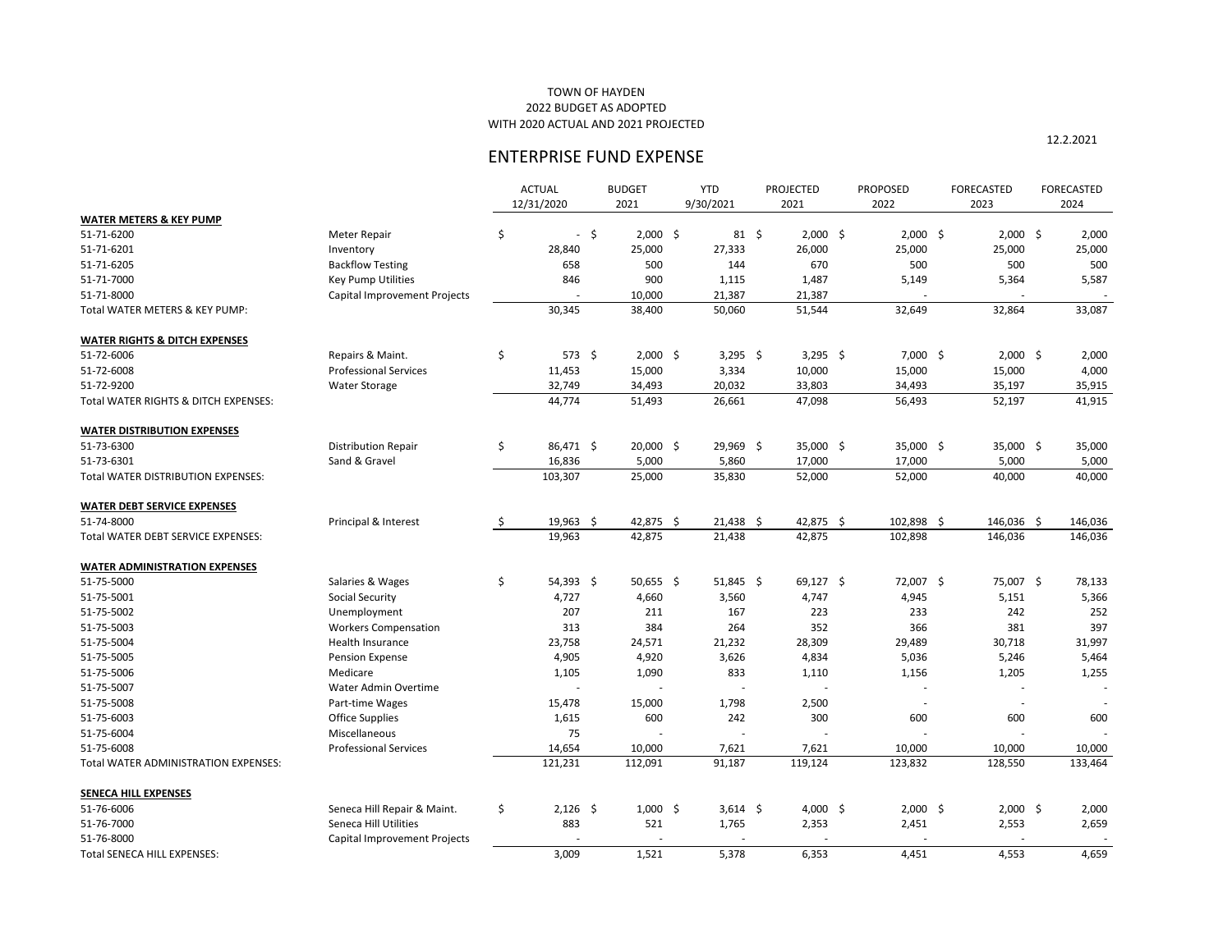## TOWN OF HAYDEN 2022 BUDGET AS ADOPTED WITH 2020 ACTUAL AND 2021 PROJECTED

|                                          |                              | <b>ACTUAL</b><br>12/31/2020    |     | <b>BUDGET</b><br>2021 | <b>YTD</b><br>9/30/2021 | <b>PROJECTED</b><br>2021 | <b>PROPOSED</b><br>2022 | <b>FORECASTED</b><br>2023 | <b>FORECASTED</b><br>2024 |
|------------------------------------------|------------------------------|--------------------------------|-----|-----------------------|-------------------------|--------------------------|-------------------------|---------------------------|---------------------------|
| <b>WATER METERS &amp; KEY PUMP</b>       |                              |                                |     |                       |                         |                          |                         |                           |                           |
| 51-71-6200                               | Meter Repair                 | \$<br>$\overline{\phantom{0}}$ | -\$ | $2,000$ \$            | $81 \; \xi$             | $2,000$ \$               | $2,000$ \$              | $2,000$ \$                | 2,000                     |
| 51-71-6201                               | Inventory                    | 28,840                         |     | 25,000                | 27,333                  | 26,000                   | 25,000                  | 25,000                    | 25,000                    |
| 51-71-6205                               | <b>Backflow Testing</b>      | 658                            |     | 500                   | 144                     | 670                      | 500                     | 500                       | 500                       |
| 51-71-7000                               | <b>Key Pump Utilities</b>    | 846                            |     | 900                   | 1,115                   | 1,487                    | 5,149                   | 5,364                     | 5,587                     |
| 51-71-8000                               | Capital Improvement Projects |                                |     | 10,000                | 21,387                  | 21,387                   |                         |                           |                           |
| Total WATER METERS & KEY PUMP:           |                              | 30,345                         |     | 38,400                | 50,060                  | 51,544                   | 32,649                  | 32,864                    | 33,087                    |
| <b>WATER RIGHTS &amp; DITCH EXPENSES</b> |                              |                                |     |                       |                         |                          |                         |                           |                           |
| 51-72-6006                               | Repairs & Maint.             | \$<br>573 \$                   |     | $2,000$ \$            | 3,295 \$                | 3,295 \$                 | $7,000$ \$              | $2,000$ \$                | 2,000                     |
| 51-72-6008                               | <b>Professional Services</b> | 11,453                         |     | 15,000                | 3,334                   | 10,000                   | 15,000                  | 15,000                    | 4,000                     |
| 51-72-9200                               | <b>Water Storage</b>         | 32,749                         |     | 34,493                | 20,032                  | 33,803                   | 34,493                  | 35,197                    | 35,915                    |
| Total WATER RIGHTS & DITCH EXPENSES:     |                              | 44,774                         |     | 51,493                | 26,661                  | 47,098                   | 56,493                  | 52,197                    | 41,915                    |
| <b>WATER DISTRIBUTION EXPENSES</b>       |                              |                                |     |                       |                         |                          |                         |                           |                           |
| 51-73-6300                               | <b>Distribution Repair</b>   | \$<br>86,471 \$                |     | $20,000$ \$           | 29,969 \$               | 35,000 \$                | 35,000 \$               | $35,000$ \$               | 35,000                    |
| 51-73-6301                               | Sand & Gravel                | 16,836                         |     | 5,000                 | 5,860                   | 17,000                   | 17,000                  | 5,000                     | 5,000                     |
| Total WATER DISTRIBUTION EXPENSES:       |                              | 103,307                        |     | 25,000                | 35,830                  | 52,000                   | 52,000                  | 40,000                    | 40,000                    |
| <b>WATER DEBT SERVICE EXPENSES</b>       |                              |                                |     |                       |                         |                          |                         |                           |                           |
| 51-74-8000                               | Principal & Interest         | \$<br>19,963 \$                |     | 42,875 \$             | $21,438$ \$             | 42,875 \$                | 102,898 \$              | 146,036 \$                | 146,036                   |
| Total WATER DEBT SERVICE EXPENSES:       |                              | 19,963                         |     | 42,875                | 21,438                  | 42,875                   | 102,898                 | 146,036                   | 146,036                   |
| <b>WATER ADMINISTRATION EXPENSES</b>     |                              |                                |     |                       |                         |                          |                         |                           |                           |
| 51-75-5000                               | Salaries & Wages             | \$<br>$54,393$ \$              |     | $50,655$ \$           | $51,845$ \$             | $69,127$ \$              | 72,007 \$               | 75,007 \$                 | 78,133                    |
| 51-75-5001                               | <b>Social Security</b>       | 4,727                          |     | 4,660                 | 3,560                   | 4,747                    | 4,945                   | 5,151                     | 5,366                     |
| 51-75-5002                               | Unemployment                 | 207                            |     | 211                   | 167                     | 223                      | 233                     | 242                       | 252                       |
| 51-75-5003                               | <b>Workers Compensation</b>  | 313                            |     | 384                   | 264                     | 352                      | 366                     | 381                       | 397                       |
| 51-75-5004                               | Health Insurance             | 23,758                         |     | 24,571                | 21,232                  | 28,309                   | 29,489                  | 30,718                    | 31,997                    |
| 51-75-5005                               | <b>Pension Expense</b>       | 4,905                          |     | 4,920                 | 3,626                   | 4,834                    | 5,036                   | 5,246                     | 5,464                     |
| 51-75-5006                               | Medicare                     | 1,105                          |     | 1,090                 | 833                     | 1,110                    | 1,156                   | 1,205                     | 1,255                     |
| 51-75-5007                               | Water Admin Overtime         |                                |     |                       |                         |                          |                         |                           |                           |
| 51-75-5008                               | Part-time Wages              | 15,478                         |     | 15,000                | 1,798                   | 2,500                    |                         |                           |                           |
| 51-75-6003                               | <b>Office Supplies</b>       | 1,615                          |     | 600                   | 242                     | 300                      | 600                     | 600                       | 600                       |
| 51-75-6004                               | Miscellaneous                | 75                             |     |                       |                         |                          |                         |                           |                           |
| 51-75-6008                               | <b>Professional Services</b> | 14,654                         |     | 10,000                | 7,621                   | 7,621                    | 10,000                  | 10,000                    | 10,000                    |
| Total WATER ADMINISTRATION EXPENSES:     |                              | 121,231                        |     | 112,091               | 91,187                  | 119,124                  | 123,832                 | 128,550                   | 133,464                   |
| <b>SENECA HILL EXPENSES</b>              |                              |                                |     |                       |                         |                          |                         |                           |                           |
| 51-76-6006                               | Seneca Hill Repair & Maint.  | \$<br>$2,126$ \$               |     | $1,000$ \$            | $3,614$ \$              | 4,000 \$                 | $2,000$ \$              | $2,000$ \$                | 2,000                     |
| 51-76-7000                               | Seneca Hill Utilities        | 883                            |     | 521                   | 1,765                   | 2,353                    | 2,451                   | 2,553                     | 2,659                     |
| 51-76-8000                               | Capital Improvement Projects |                                |     |                       |                         |                          |                         |                           | $\sim$                    |
| Total SENECA HILL EXPENSES:              |                              | 3,009                          |     | 1,521                 | 5,378                   | 6,353                    | 4,451                   | 4,553                     | 4,659                     |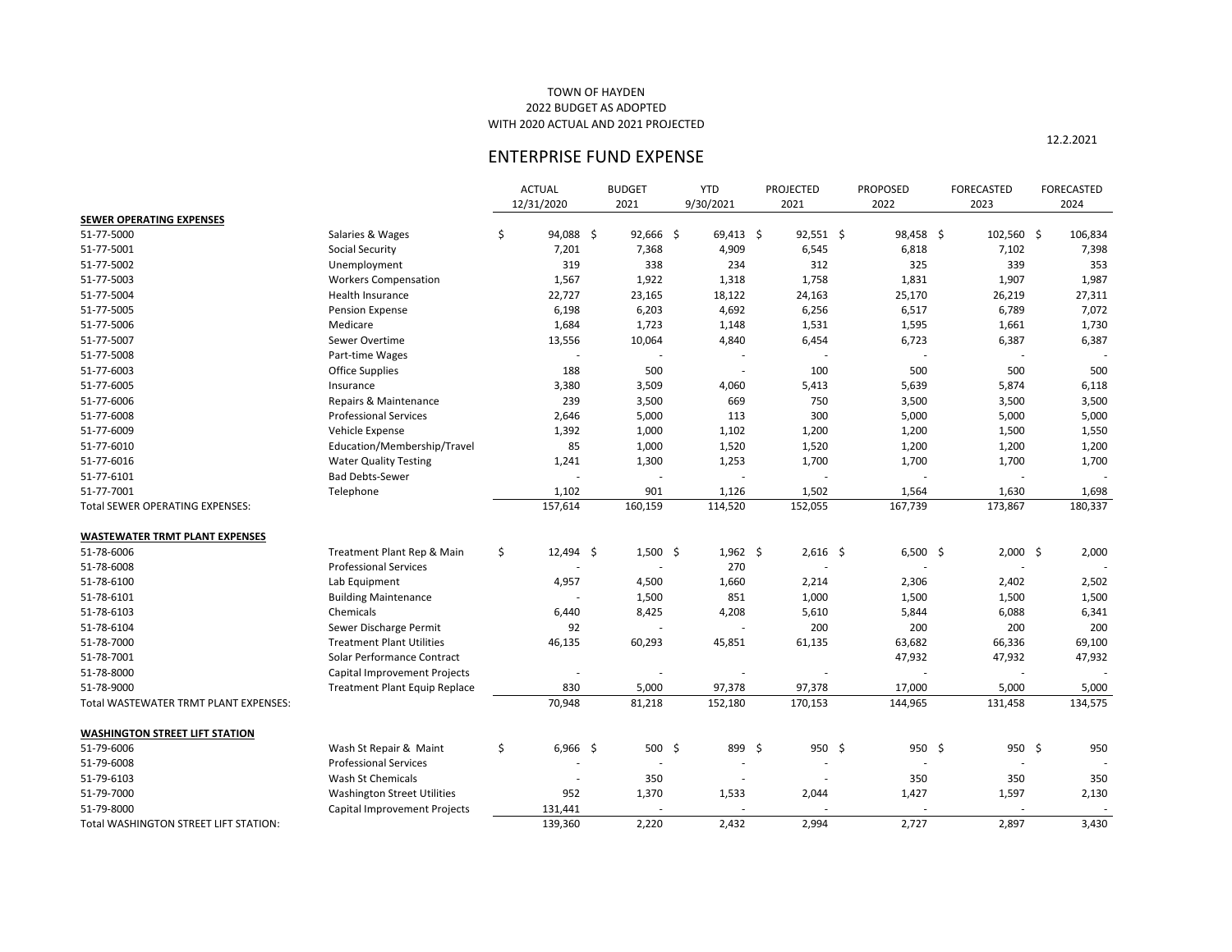## TOWN OF HAYDEN 2022 BUDGET AS ADOPTED WITH 2020 ACTUAL AND 2021 PROJECTED

|                                       |                                      |            | <b>ACTUAL</b> | <b>BUDGET</b> |             | <b>YTD</b>      | <b>PROJECTED</b> | <b>PROPOSED</b> | <b>FORECASTED</b> | FORECASTED |
|---------------------------------------|--------------------------------------|------------|---------------|---------------|-------------|-----------------|------------------|-----------------|-------------------|------------|
|                                       |                                      | 12/31/2020 |               | 2021          |             | 9/30/2021       | 2021             | 2022            | 2023              | 2024       |
| <b>SEWER OPERATING EXPENSES</b>       |                                      |            |               |               |             |                 |                  |                 |                   |            |
| 51-77-5000                            | Salaries & Wages                     | \$         | 94,088 \$     |               | $92,666$ \$ | $69,413$ \$     | $92,551$ \$      | 98,458 \$       | $102,560$ \$      | 106,834    |
| 51-77-5001                            | <b>Social Security</b>               |            | 7,201         |               | 7,368       | 4,909           | 6,545            | 6,818           | 7,102             | 7,398      |
| 51-77-5002                            | Unemployment                         |            | 319           |               | 338         | 234             | 312              | 325             | 339               | 353        |
| 51-77-5003                            | <b>Workers Compensation</b>          |            | 1,567         |               | 1,922       | 1,318           | 1,758            | 1,831           | 1,907             | 1,987      |
| 51-77-5004                            | Health Insurance                     |            | 22,727        |               | 23,165      | 18,122          | 24,163           | 25,170          | 26,219            | 27,311     |
| 51-77-5005                            | <b>Pension Expense</b>               |            | 6,198         |               | 6,203       | 4,692           | 6,256            | 6,517           | 6,789             | 7,072      |
| 51-77-5006                            | Medicare                             |            | 1,684         |               | 1,723       | 1,148           | 1,531            | 1,595           | 1,661             | 1,730      |
| 51-77-5007                            | Sewer Overtime                       |            | 13,556        |               | 10,064      | 4,840           | 6,454            | 6,723           | 6,387             | 6,387      |
| 51-77-5008                            | Part-time Wages                      |            |               |               |             |                 |                  |                 |                   |            |
| 51-77-6003                            | <b>Office Supplies</b>               |            | 188           |               | 500         |                 | 100              | 500             | 500               | 500        |
| 51-77-6005                            | Insurance                            |            | 3,380         |               | 3,509       | 4,060           | 5,413            | 5,639           | 5,874             | 6,118      |
| 51-77-6006                            | Repairs & Maintenance                |            | 239           |               | 3,500       | 669             | 750              | 3,500           | 3,500             | 3,500      |
| 51-77-6008                            | <b>Professional Services</b>         |            | 2,646         |               | 5,000       | 113             | 300              | 5,000           | 5,000             | 5,000      |
| 51-77-6009                            | Vehicle Expense                      |            | 1,392         |               | 1,000       | 1,102           | 1,200            | 1,200           | 1,500             | 1,550      |
| 51-77-6010                            | Education/Membership/Travel          |            | 85            |               | 1,000       | 1,520           | 1,520            | 1,200           | 1,200             | 1,200      |
| 51-77-6016                            | <b>Water Quality Testing</b>         |            | 1,241         |               | 1,300       | 1,253           | 1,700            | 1,700           | 1,700             | 1,700      |
| 51-77-6101                            | <b>Bad Debts-Sewer</b>               |            |               |               |             |                 |                  |                 |                   |            |
| 51-77-7001                            | Telephone                            |            | 1,102         |               | 901         | 1,126           | 1,502            | 1,564           | 1,630             | 1,698      |
| Total SEWER OPERATING EXPENSES:       |                                      |            | 157,614       |               | 160,159     | 114,520         | 152,055          | 167,739         | 173,867           | 180,337    |
|                                       |                                      |            |               |               |             |                 |                  |                 |                   |            |
| <b>WASTEWATER TRMT PLANT EXPENSES</b> |                                      |            |               |               |             |                 |                  |                 |                   |            |
| 51-78-6006                            | Treatment Plant Rep & Main           | \$         | $12,494$ \$   |               | $1,500$ \$  | $1,962 \quad $$ | $2,616$ \$       | $6,500$ \$      | $2,000$ \$        | 2,000      |
| 51-78-6008                            | <b>Professional Services</b>         |            |               |               |             | 270             |                  |                 |                   |            |
| 51-78-6100                            | Lab Equipment                        |            | 4,957         |               | 4,500       | 1,660           | 2,214            | 2,306           | 2,402             | 2,502      |
| 51-78-6101                            | <b>Building Maintenance</b>          |            |               |               | 1,500       | 851             | 1,000            | 1,500           | 1,500             | 1,500      |
| 51-78-6103                            | Chemicals                            |            | 6,440         |               | 8,425       | 4,208           | 5,610            | 5,844           | 6,088             | 6,341      |
| 51-78-6104                            | Sewer Discharge Permit               |            | 92            |               |             |                 | 200              | 200             | 200               | 200        |
| 51-78-7000                            | <b>Treatment Plant Utilities</b>     |            | 46,135        |               | 60,293      | 45,851          | 61,135           | 63,682          | 66,336            | 69,100     |
| 51-78-7001                            | Solar Performance Contract           |            |               |               |             |                 |                  | 47,932          | 47,932            | 47,932     |
| 51-78-8000                            | Capital Improvement Projects         |            |               |               |             |                 |                  |                 |                   |            |
| 51-78-9000                            | <b>Treatment Plant Equip Replace</b> |            | 830           |               | 5,000       | 97,378          | 97,378           | 17,000          | 5,000             | 5,000      |
| Total WASTEWATER TRMT PLANT EXPENSES: |                                      |            | 70,948        |               | 81,218      | 152,180         | 170,153          | 144,965         | 131,458           | 134,575    |
| <b>WASHINGTON STREET LIFT STATION</b> |                                      |            |               |               |             |                 |                  |                 |                   |            |
| 51-79-6006                            | Wash St Repair & Maint               | \$         | $6,966$ \$    |               | 500 \$      | 899 \$          | 950 \$           | $950 \; \xi$    | $950 \; \xi$      | 950        |
| 51-79-6008                            | <b>Professional Services</b>         |            |               |               |             |                 |                  |                 |                   |            |
| 51-79-6103                            | Wash St Chemicals                    |            |               |               | 350         |                 |                  | 350             | 350               | 350        |
| 51-79-7000                            | <b>Washington Street Utilities</b>   |            | 952           |               | 1,370       | 1,533           | 2,044            | 1,427           | 1,597             | 2,130      |
| 51-79-8000                            | Capital Improvement Projects         |            | 131,441       |               |             |                 |                  |                 |                   |            |
| Total WASHINGTON STREET LIFT STATION: |                                      |            | 139,360       |               | 2,220       | 2,432           | 2,994            | 2,727           | 2,897             | 3,430      |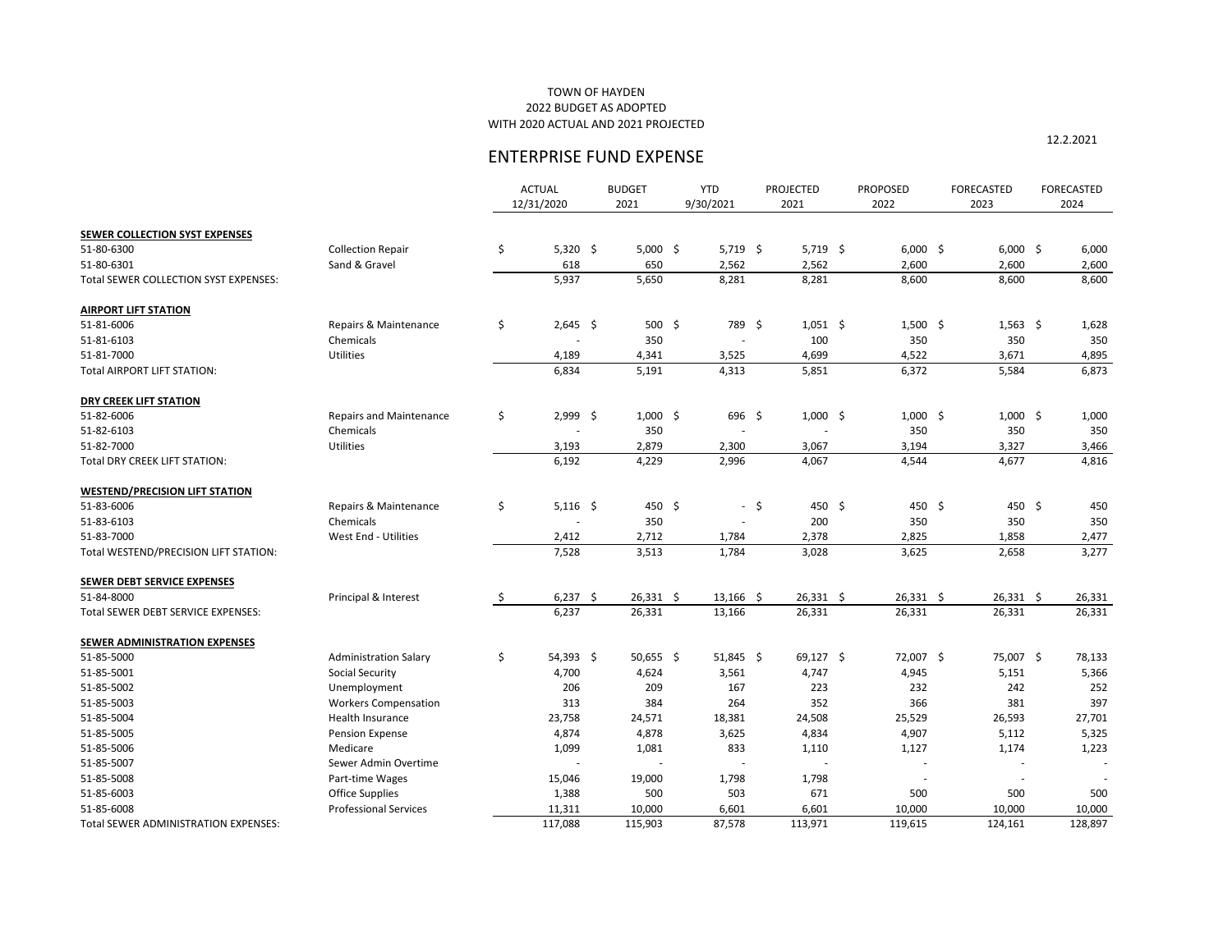## TOWN OF HAYDEN 2022 BUDGET AS ADOPTED WITH 2020 ACTUAL AND 2021 PROJECTED

|                                       |                                | <b>ACTUAL</b><br>12/31/2020 | <b>BUDGET</b><br>2021 | <b>YTD</b><br>9/30/2021 |        | <b>PROJECTED</b><br>2021 | <b>PROPOSED</b><br>2022 | <b>FORECASTED</b><br>2023 | <b>FORECASTED</b><br>2024 |
|---------------------------------------|--------------------------------|-----------------------------|-----------------------|-------------------------|--------|--------------------------|-------------------------|---------------------------|---------------------------|
| <b>SEWER COLLECTION SYST EXPENSES</b> |                                |                             |                       |                         |        |                          |                         |                           |                           |
| 51-80-6300                            | <b>Collection Repair</b>       | \$<br>$5,320$ \$            | $5,000$ \$            | $5,719$ \$              |        | $5,719$ \$               | $6,000$ \$              | $6,000$ \$                | 6,000                     |
| 51-80-6301                            | Sand & Gravel                  | 618                         | 650                   | 2,562                   |        | 2,562                    | 2,600                   | 2,600                     | 2,600                     |
| Total SEWER COLLECTION SYST EXPENSES: |                                | 5,937                       | 5,650                 | 8,281                   |        | 8,281                    | 8,600                   | 8,600                     | 8,600                     |
| <b>AIRPORT LIFT STATION</b>           |                                |                             |                       |                         |        |                          |                         |                           |                           |
| 51-81-6006                            | Repairs & Maintenance          | \$<br>$2,645$ \$            | $500$ \$              | 789 \$                  |        | $1,051$ \$               | $1,500$ \$              | $1,563$ \$                | 1,628                     |
| 51-81-6103                            | Chemicals                      |                             | 350                   |                         |        | 100                      | 350                     | 350                       | 350                       |
| 51-81-7000                            | <b>Utilities</b>               | 4,189                       | 4,341                 | 3,525                   |        | 4,699                    | 4,522                   | 3,671                     | 4,895                     |
| <b>Total AIRPORT LIFT STATION:</b>    |                                | 6,834                       | 5,191                 | 4,313                   |        | 5,851                    | 6,372                   | 5,584                     | 6,873                     |
| <b>DRY CREEK LIFT STATION</b>         |                                |                             |                       |                         |        |                          |                         |                           |                           |
| 51-82-6006                            | <b>Repairs and Maintenance</b> | \$<br>$2,999$ \$            | $1,000 \leq$          | $696$ \$                |        | $1,000$ \$               | $1,000$ \$              | $1,000$ \$                | 1,000                     |
| 51-82-6103                            | Chemicals                      |                             | 350                   |                         |        |                          | 350                     | 350                       | 350                       |
| 51-82-7000                            | <b>Utilities</b>               | 3,193                       | 2,879                 | 2,300                   |        | 3,067                    | 3,194                   | 3,327                     | 3,466                     |
| <b>Total DRY CREEK LIFT STATION:</b>  |                                | 6,192                       | 4,229                 | 2,996                   |        | 4,067                    | 4,544                   | 4,677                     | 4,816                     |
| <b>WESTEND/PRECISION LIFT STATION</b> |                                |                             |                       |                         |        |                          |                         |                           |                           |
| 51-83-6006                            | Repairs & Maintenance          | \$<br>$5,116$ \$            | 450 \$                |                         | $-$ \$ | 450 \$                   | 450 \$                  | 450 \$                    | 450                       |
| 51-83-6103                            | Chemicals                      |                             | 350                   |                         |        | 200                      | 350                     | 350                       | 350                       |
| 51-83-7000                            | West End - Utilities           | 2,412                       | 2,712                 | 1,784                   |        | 2,378                    | 2,825                   | 1,858                     | 2,477                     |
| Total WESTEND/PRECISION LIFT STATION: |                                | 7,528                       | 3,513                 | 1,784                   |        | 3,028                    | 3,625                   | 2,658                     | 3,277                     |
| SEWER DEBT SERVICE EXPENSES           |                                |                             |                       |                         |        |                          |                         |                           |                           |
| 51-84-8000                            | Principal & Interest           | \$<br>$6,237$ \$            | $26,331$ \$           | $13,166$ \$             |        | $26,331$ \$              | $26,331$ \$             | $26,331$ \$               | 26,331                    |
| Total SEWER DEBT SERVICE EXPENSES:    |                                | 6,237                       | 26,331                | 13,166                  |        | 26,331                   | 26,331                  | 26,331                    | 26,331                    |
| SEWER ADMINISTRATION EXPENSES         |                                |                             |                       |                         |        |                          |                         |                           |                           |
| 51-85-5000                            | <b>Administration Salary</b>   | \$<br>54,393 \$             | $50,655$ \$           | $51,845$ \$             |        | $69,127$ \$              | 72,007 \$               | 75,007 \$                 | 78,133                    |
| 51-85-5001                            | Social Security                | 4,700                       | 4,624                 | 3,561                   |        | 4,747                    | 4,945                   | 5,151                     | 5,366                     |
| 51-85-5002                            | Unemployment                   | 206                         | 209                   | 167                     |        | 223                      | 232                     | 242                       | 252                       |
| 51-85-5003                            | <b>Workers Compensation</b>    | 313                         | 384                   | 264                     |        | 352                      | 366                     | 381                       | 397                       |
| 51-85-5004                            | Health Insurance               | 23,758                      | 24,571                | 18,381                  |        | 24,508                   | 25,529                  | 26,593                    | 27,701                    |
| 51-85-5005                            | <b>Pension Expense</b>         | 4,874                       | 4,878                 | 3,625                   |        | 4,834                    | 4,907                   | 5,112                     | 5,325                     |
| 51-85-5006                            | Medicare                       | 1,099                       | 1,081                 | 833                     |        | 1,110                    | 1,127                   | 1,174                     | 1,223                     |
| 51-85-5007                            | Sewer Admin Overtime           |                             |                       |                         |        |                          |                         |                           |                           |
| 51-85-5008                            | Part-time Wages                | 15,046                      | 19,000                | 1,798                   |        | 1,798                    |                         |                           |                           |
| 51-85-6003                            | <b>Office Supplies</b>         | 1,388                       | 500                   | 503                     |        | 671                      | 500                     | 500                       | 500                       |
| 51-85-6008                            | <b>Professional Services</b>   | 11,311                      | 10,000                | 6,601                   |        | 6,601                    | 10,000                  | 10,000                    | 10,000                    |
| Total SEWER ADMINISTRATION EXPENSES:  |                                | 117,088                     | 115,903               | 87,578                  |        | 113,971                  | 119,615                 | 124,161                   | 128,897                   |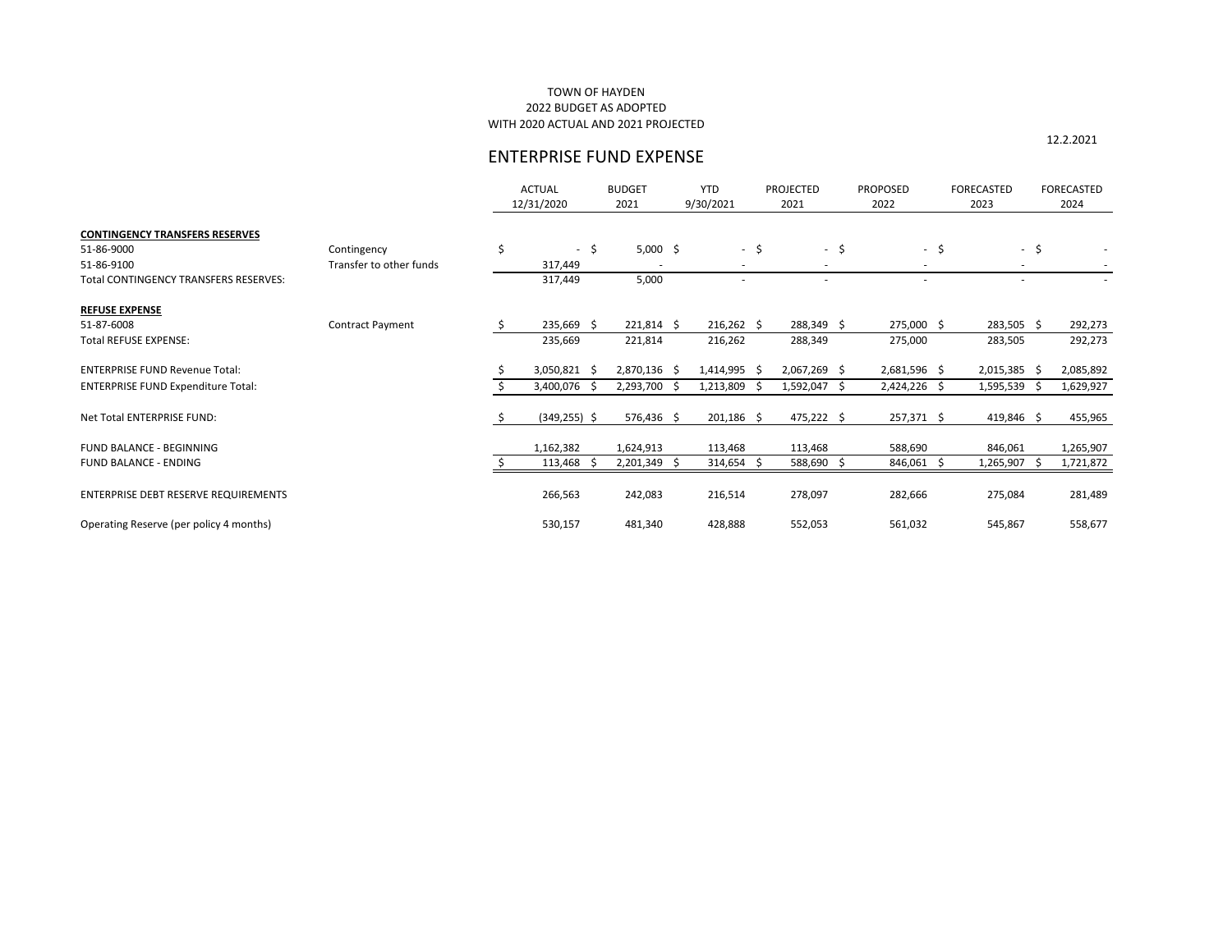## TOWN OF HAYDEN 2022 BUDGET AS ADOPTED WITH 2020 ACTUAL AND 2021 PROJECTED

|                                           |                         |    | <b>ACTUAL</b><br>12/31/2020 | <b>BUDGET</b><br>2021 |     | <b>YTD</b><br>9/30/2021 | <b>PROJECTED</b><br>2021 |                          | <b>PROPOSED</b><br>2022  |              | <b>FORECASTED</b><br>2023 | <b>FORECASTED</b><br>2024 |
|-------------------------------------------|-------------------------|----|-----------------------------|-----------------------|-----|-------------------------|--------------------------|--------------------------|--------------------------|--------------|---------------------------|---------------------------|
| <b>CONTINGENCY TRANSFERS RESERVES</b>     |                         |    |                             |                       |     |                         |                          |                          |                          |              |                           |                           |
| 51-86-9000                                | Contingency             | \$ | $-$ \$                      | $5,000$ \$            |     | $-$ \$                  |                          | $-$ \$                   |                          | \$<br>$\sim$ | $\sim$                    | \$                        |
| 51-86-9100                                | Transfer to other funds |    | 317,449                     |                       |     | $\sim$                  |                          | $\overline{\phantom{a}}$ | $\overline{\phantom{a}}$ |              | $\overline{\phantom{a}}$  |                           |
| Total CONTINGENCY TRANSFERS RESERVES:     |                         |    | 317,449                     | 5,000                 |     |                         |                          |                          | $\overline{\phantom{a}}$ |              | $\overline{\phantom{a}}$  |                           |
| <b>REFUSE EXPENSE</b>                     |                         |    |                             |                       |     |                         |                          |                          |                          |              |                           |                           |
| 51-87-6008                                | <b>Contract Payment</b> | Ŝ. | 235,669 \$                  | $221,814$ \$          |     | $216,262 \div$          |                          | 288,349 \$               | 275,000 \$               |              | $283,505$ \$              | 292,273                   |
| <b>Total REFUSE EXPENSE:</b>              |                         |    | 235,669                     | 221,814               |     | 216,262                 |                          | 288,349                  | 275,000                  |              | 283,505                   | 292,273                   |
| <b>ENTERPRISE FUND Revenue Total:</b>     |                         |    | $3,050,821$ \$              | 2,870,136 \$          |     | $1,414,995$ \$          |                          | $2,067,269$ \$           | 2,681,596 \$             |              | $2,015,385$ \$            | 2,085,892                 |
| <b>ENTERPRISE FUND Expenditure Total:</b> |                         |    | $3,400,076$ \$              | 2,293,700 \$          |     | 1,213,809               | -S                       | $1,592,047$ \$           | 2,424,226 \$             |              | $1,595,539$ \$            | 1,629,927                 |
| Net Total ENTERPRISE FUND:                |                         |    | $(349, 255)$ \$             | $576,436$ \$          |     | $201,186$ \$            |                          | $475,222$ \$             | $257,371$ \$             |              | 419,846 \$                | 455,965                   |
| FUND BALANCE - BEGINNING                  |                         |    | 1,162,382                   | 1,624,913             |     | 113,468                 |                          | 113,468                  | 588,690                  |              | 846,061                   | 1,265,907                 |
| <b>FUND BALANCE - ENDING</b>              |                         |    | 113,468<br>- \$             | 2,201,349             | -\$ | 314,654                 | \$                       | 588,690                  | 846,061 \$<br>-Ŝ         |              | $1,265,907$ \$            | 1,721,872                 |
| ENTERPRISE DEBT RESERVE REQUIREMENTS      |                         |    | 266,563                     | 242,083               |     | 216,514                 |                          | 278,097                  | 282,666                  |              | 275,084                   | 281,489                   |
| Operating Reserve (per policy 4 months)   |                         |    | 530,157                     | 481,340               |     | 428,888                 |                          | 552,053                  | 561,032                  |              | 545,867                   | 558,677                   |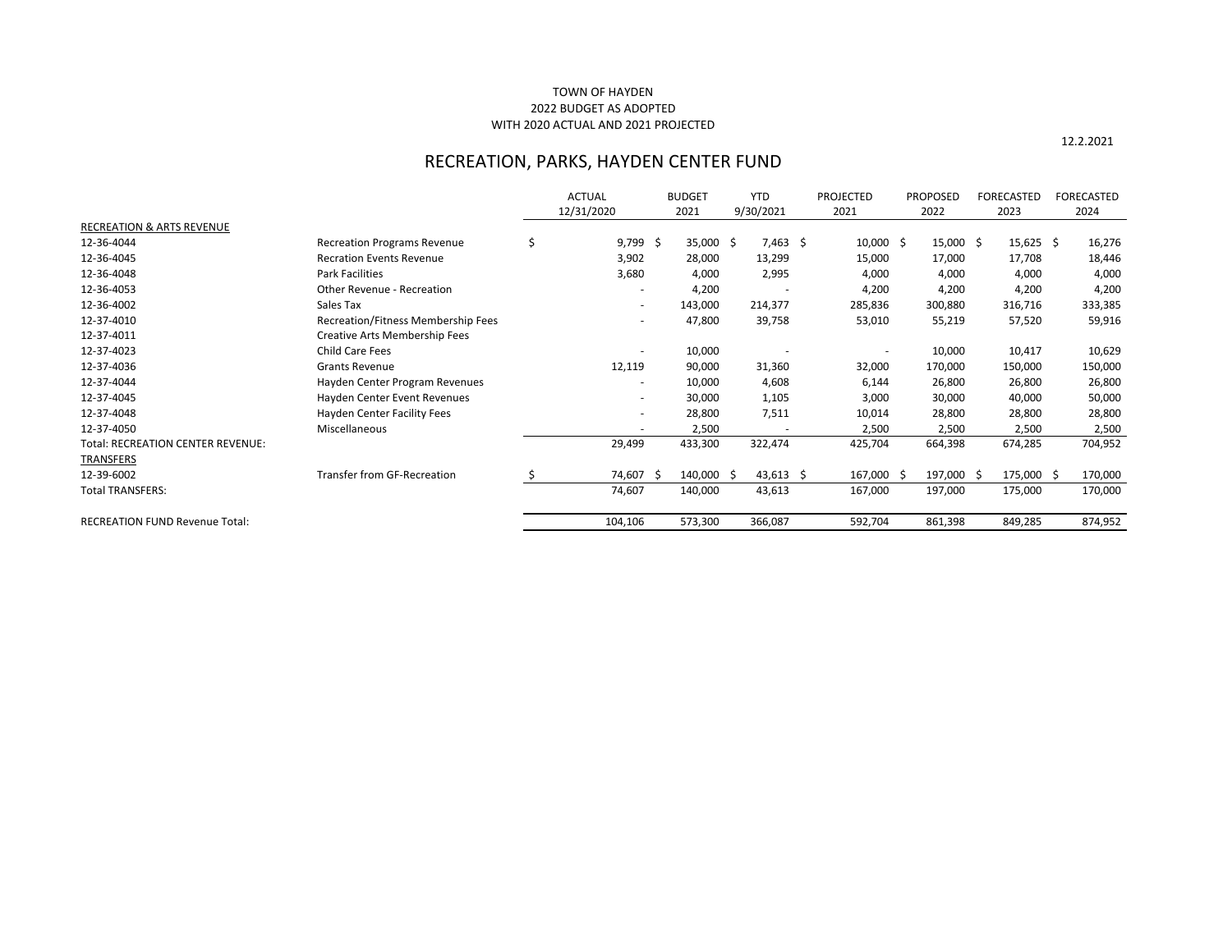|                                          |                                      | <b>ACTUAL</b> |    | <b>BUDGET</b> | <b>YTD</b>  | <b>PROJECTED</b> | <b>PROPOSED</b> | <b>FORECASTED</b> | <b>FORECASTED</b> |
|------------------------------------------|--------------------------------------|---------------|----|---------------|-------------|------------------|-----------------|-------------------|-------------------|
|                                          |                                      | 12/31/2020    |    | 2021          | 9/30/2021   | 2021             | 2022            | 2023              | 2024              |
| <b>RECREATION &amp; ARTS REVENUE</b>     |                                      |               |    |               |             |                  |                 |                   |                   |
| 12-36-4044                               | <b>Recreation Programs Revenue</b>   | \$<br>9,799   | \$ | $35,000$ \$   | $7,463$ \$  | $10,000$ \$      | $15,000$ \$     | $15,625$ \$       | 16,276            |
| 12-36-4045                               | <b>Recration Events Revenue</b>      | 3,902         |    | 28,000        | 13,299      | 15,000           | 17,000          | 17,708            | 18,446            |
| 12-36-4048                               | <b>Park Facilities</b>               | 3,680         |    | 4,000         | 2,995       | 4,000            | 4,000           | 4,000             | 4,000             |
| 12-36-4053                               | Other Revenue - Recreation           |               |    | 4,200         |             | 4,200            | 4,200           | 4,200             | 4,200             |
| 12-36-4002                               | Sales Tax                            |               |    | 143,000       | 214,377     | 285,836          | 300,880         | 316,716           | 333,385           |
| 12-37-4010                               | Recreation/Fitness Membership Fees   |               |    | 47,800        | 39,758      | 53,010           | 55,219          | 57,520            | 59,916            |
| 12-37-4011                               | <b>Creative Arts Membership Fees</b> |               |    |               |             |                  |                 |                   |                   |
| 12-37-4023                               | <b>Child Care Fees</b>               |               |    | 10,000        |             |                  | 10,000          | 10,417            | 10,629            |
| 12-37-4036                               | <b>Grants Revenue</b>                | 12,119        |    | 90,000        | 31,360      | 32,000           | 170,000         | 150,000           | 150,000           |
| 12-37-4044                               | Hayden Center Program Revenues       |               |    | 10,000        | 4,608       | 6,144            | 26,800          | 26,800            | 26,800            |
| 12-37-4045                               | Hayden Center Event Revenues         |               |    | 30,000        | 1,105       | 3,000            | 30,000          | 40,000            | 50,000            |
| 12-37-4048                               | Hayden Center Facility Fees          |               |    | 28,800        | 7,511       | 10,014           | 28,800          | 28,800            | 28,800            |
| 12-37-4050                               | Miscellaneous                        |               |    | 2,500         |             | 2,500            | 2,500           | 2,500             | 2,500             |
| <b>Total: RECREATION CENTER REVENUE:</b> |                                      | 29,499        |    | 433,300       | 322,474     | 425,704          | 664,398         | 674,285           | 704,952           |
| <b>TRANSFERS</b>                         |                                      |               |    |               |             |                  |                 |                   |                   |
| 12-39-6002                               | <b>Transfer from GF-Recreation</b>   | 74,607        | -S | 140,000 \$    | $43,613$ \$ | 167,000 \$       | 197,000 \$      | 175,000 \$        | 170,000           |
| <b>Total TRANSFERS:</b>                  |                                      | 74,607        |    | 140,000       | 43,613      | 167,000          | 197,000         | 175,000           | 170,000           |
| <b>RECREATION FUND Revenue Total:</b>    |                                      | 104,106       |    | 573,300       | 366,087     | 592,704          | 861,398         | 849,285           | 874,952           |

# TOWN OF HAYDEN 2022 BUDGET AS ADOPTED WITH 2020 ACTUAL AND 2021 PROJECTED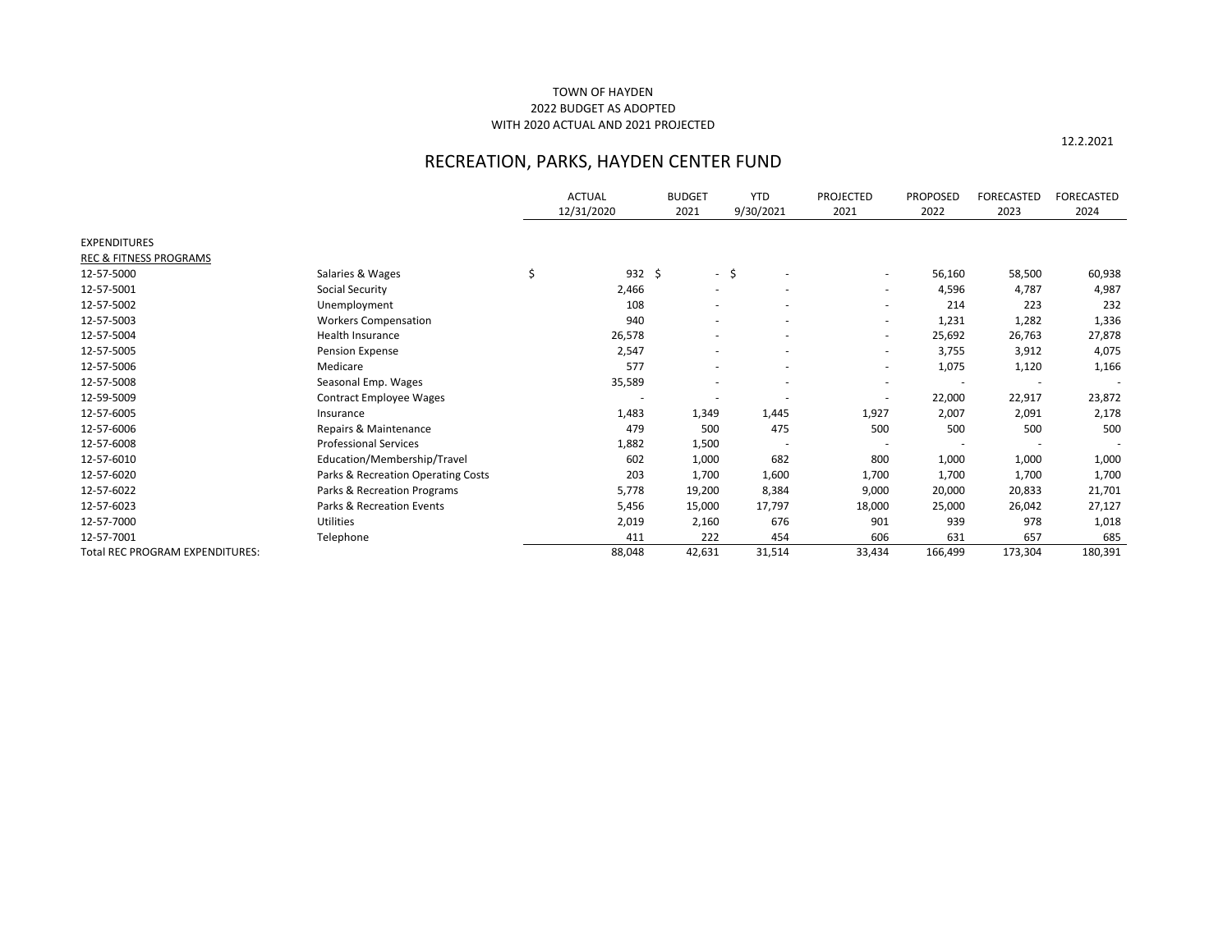# TOWN OF HAYDEN 2022 BUDGET AS ADOPTED WITH 2020 ACTUAL AND 2021 PROJECTED

|                                        |                                    | <b>ACTUAL</b><br>12/31/2020 | <b>BUDGET</b><br>2021 |                          | <b>YTD</b><br>9/30/2021 | <b>PROJECTED</b><br>2021 | <b>PROPOSED</b><br>2022 | <b>FORECASTED</b><br>2023 | <b>FORECASTED</b><br>2024 |
|----------------------------------------|------------------------------------|-----------------------------|-----------------------|--------------------------|-------------------------|--------------------------|-------------------------|---------------------------|---------------------------|
| <b>EXPENDITURES</b>                    |                                    |                             |                       |                          |                         |                          |                         |                           |                           |
| <b>REC &amp; FITNESS PROGRAMS</b>      |                                    |                             |                       |                          |                         |                          |                         |                           |                           |
| 12-57-5000                             | Salaries & Wages                   | \$<br>$932 \div$            |                       | $-5$                     |                         |                          | 56,160                  | 58,500                    | 60,938                    |
| 12-57-5001                             | Social Security                    | 2,466                       |                       | $\overline{\phantom{a}}$ |                         | $\overline{\phantom{a}}$ | 4,596                   | 4,787                     | 4,987                     |
| 12-57-5002                             | Unemployment                       | 108                         |                       |                          |                         | $\overline{\phantom{a}}$ | 214                     | 223                       | 232                       |
| 12-57-5003                             | <b>Workers Compensation</b>        | 940                         |                       |                          |                         | $\overline{\phantom{a}}$ | 1,231                   | 1,282                     | 1,336                     |
| 12-57-5004                             | Health Insurance                   | 26,578                      |                       |                          |                         |                          | 25,692                  | 26,763                    | 27,878                    |
| 12-57-5005                             | <b>Pension Expense</b>             | 2,547                       |                       |                          |                         | $\overline{\phantom{a}}$ | 3,755                   | 3,912                     | 4,075                     |
| 12-57-5006                             | Medicare                           | 577                         |                       |                          |                         | $\overline{\phantom{a}}$ | 1,075                   | 1,120                     | 1,166                     |
| 12-57-5008                             | Seasonal Emp. Wages                | 35,589                      |                       |                          |                         |                          |                         |                           |                           |
| 12-59-5009                             | <b>Contract Employee Wages</b>     |                             |                       |                          |                         |                          | 22,000                  | 22,917                    | 23,872                    |
| 12-57-6005                             | Insurance                          | 1,483                       | 1,349                 |                          | 1,445                   | 1,927                    | 2,007                   | 2,091                     | 2,178                     |
| 12-57-6006                             | Repairs & Maintenance              | 479                         |                       | 500                      | 475                     | 500                      | 500                     | 500                       | 500                       |
| 12-57-6008                             | <b>Professional Services</b>       | 1,882                       | 1,500                 |                          |                         |                          |                         |                           |                           |
| 12-57-6010                             | Education/Membership/Travel        | 602                         | 1,000                 |                          | 682                     | 800                      | 1,000                   | 1,000                     | 1,000                     |
| 12-57-6020                             | Parks & Recreation Operating Costs | 203                         | 1,700                 |                          | 1,600                   | 1,700                    | 1,700                   | 1,700                     | 1,700                     |
| 12-57-6022                             | Parks & Recreation Programs        | 5,778                       | 19,200                |                          | 8,384                   | 9,000                    | 20,000                  | 20,833                    | 21,701                    |
| 12-57-6023                             | Parks & Recreation Events          | 5,456                       | 15,000                |                          | 17,797                  | 18,000                   | 25,000                  | 26,042                    | 27,127                    |
| 12-57-7000                             | Utilities                          | 2,019                       | 2,160                 |                          | 676                     | 901                      | 939                     | 978                       | 1,018                     |
| 12-57-7001                             | Telephone                          | 411                         |                       | 222                      | 454                     | 606                      | 631                     | 657                       | 685                       |
| <b>Total REC PROGRAM EXPENDITURES:</b> |                                    | 88,048                      | 42,631                |                          | 31,514                  | 33,434                   | 166,499                 | 173,304                   | 180,391                   |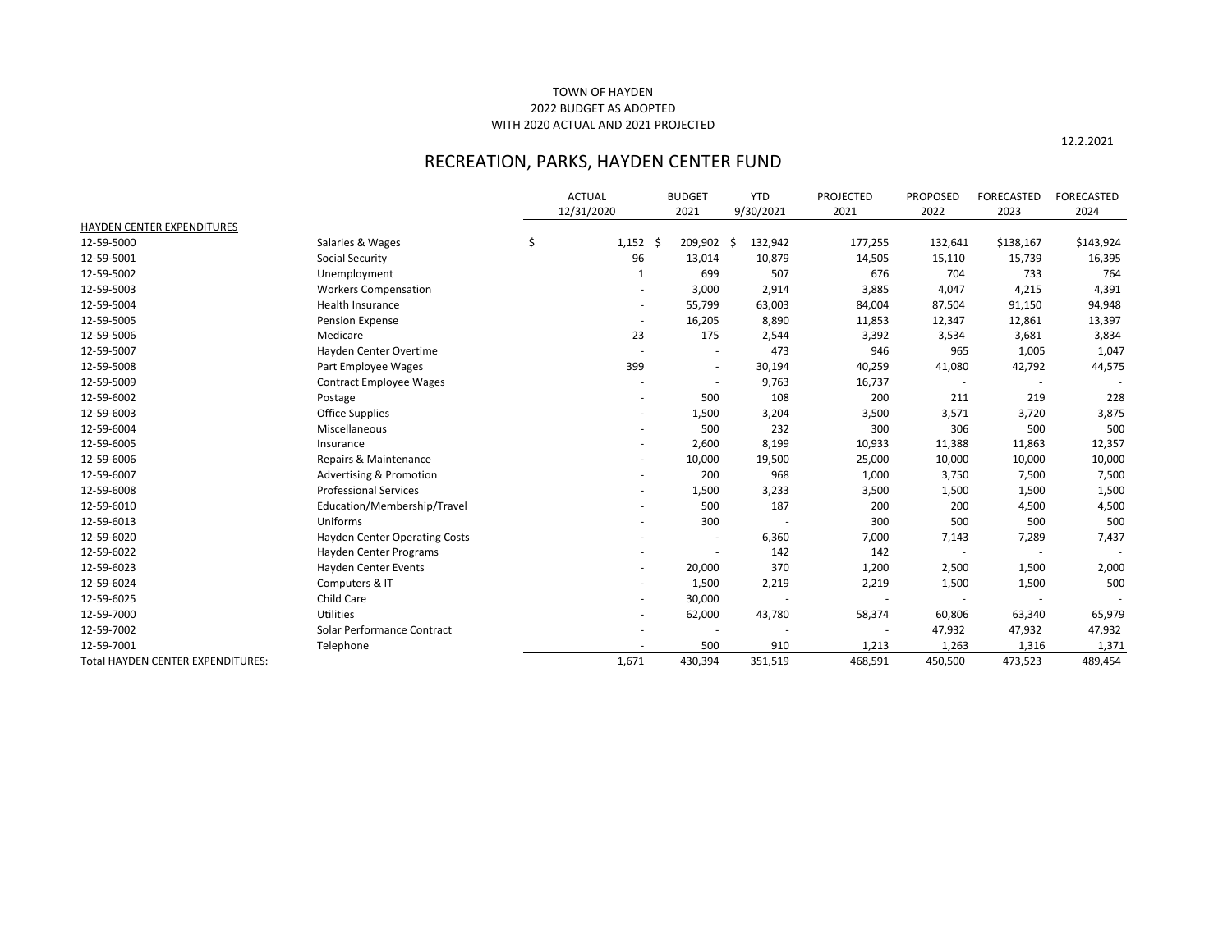# TOWN OF HAYDEN 2022 BUDGET AS ADOPTED WITH 2020 ACTUAL AND 2021 PROJECTED

|                                   |                                      | <b>ACTUAL</b><br>12/31/2020 | <b>BUDGET</b><br>2021 |            | <b>YTD</b><br>9/30/2021 | <b>PROJECTED</b><br>2021 | <b>PROPOSED</b><br>2022  | <b>FORECASTED</b><br>2023 | <b>FORECASTED</b><br>2024 |
|-----------------------------------|--------------------------------------|-----------------------------|-----------------------|------------|-------------------------|--------------------------|--------------------------|---------------------------|---------------------------|
| HAYDEN CENTER EXPENDITURES        |                                      |                             |                       |            |                         |                          |                          |                           |                           |
| 12-59-5000                        | Salaries & Wages                     | \$<br>$1,152$ \$            |                       | 209,902 \$ | 132,942                 | 177,255                  | 132,641                  | \$138,167                 | \$143,924                 |
| 12-59-5001                        | <b>Social Security</b>               | 96                          |                       | 13,014     | 10,879                  | 14,505                   | 15,110                   | 15,739                    | 16,395                    |
| 12-59-5002                        | Unemployment                         | 1                           |                       | 699        | 507                     | 676                      | 704                      | 733                       | 764                       |
| 12-59-5003                        | <b>Workers Compensation</b>          |                             |                       | 3,000      | 2,914                   | 3,885                    | 4,047                    | 4,215                     | 4,391                     |
| 12-59-5004                        | Health Insurance                     |                             |                       | 55,799     | 63,003                  | 84,004                   | 87,504                   | 91,150                    | 94,948                    |
| 12-59-5005                        | <b>Pension Expense</b>               | $\overline{\phantom{a}}$    |                       | 16,205     | 8,890                   | 11,853                   | 12,347                   | 12,861                    | 13,397                    |
| 12-59-5006                        | Medicare                             | 23                          |                       | 175        | 2,544                   | 3,392                    | 3,534                    | 3,681                     | 3,834                     |
| 12-59-5007                        | Hayden Center Overtime               |                             |                       |            | 473                     | 946                      | 965                      | 1,005                     | 1,047                     |
| 12-59-5008                        | Part Employee Wages                  | 399                         |                       |            | 30,194                  | 40,259                   | 41,080                   | 42,792                    | 44,575                    |
| 12-59-5009                        | <b>Contract Employee Wages</b>       |                             |                       |            | 9,763                   | 16,737                   |                          |                           |                           |
| 12-59-6002                        | Postage                              |                             |                       | 500        | 108                     | 200                      | 211                      | 219                       | 228                       |
| 12-59-6003                        | Office Supplies                      |                             |                       | 1,500      | 3,204                   | 3,500                    | 3,571                    | 3,720                     | 3,875                     |
| 12-59-6004                        | Miscellaneous                        |                             |                       | 500        | 232                     | 300                      | 306                      | 500                       | 500                       |
| 12-59-6005                        | Insurance                            |                             |                       | 2,600      | 8,199                   | 10,933                   | 11,388                   | 11,863                    | 12,357                    |
| 12-59-6006                        | Repairs & Maintenance                |                             |                       | 10,000     | 19,500                  | 25,000                   | 10,000                   | 10,000                    | 10,000                    |
| 12-59-6007                        | <b>Advertising &amp; Promotion</b>   |                             |                       | 200        | 968                     | 1,000                    | 3,750                    | 7,500                     | 7,500                     |
| 12-59-6008                        | <b>Professional Services</b>         |                             |                       | 1,500      | 3,233                   | 3,500                    | 1,500                    | 1,500                     | 1,500                     |
| 12-59-6010                        | Education/Membership/Travel          |                             |                       | 500        | 187                     | 200                      | 200                      | 4,500                     | 4,500                     |
| 12-59-6013                        | Uniforms                             |                             |                       | 300        |                         | 300                      | 500                      | 500                       | 500                       |
| 12-59-6020                        | <b>Hayden Center Operating Costs</b> |                             |                       |            | 6,360                   | 7,000                    | 7,143                    | 7,289                     | 7,437                     |
| 12-59-6022                        | Hayden Center Programs               |                             |                       |            | 142                     | 142                      | $\overline{\phantom{a}}$ | $\overline{\phantom{a}}$  |                           |
| 12-59-6023                        | Hayden Center Events                 |                             |                       | 20,000     | 370                     | 1,200                    | 2,500                    | 1,500                     | 2,000                     |
| 12-59-6024                        | Computers & IT                       |                             |                       | 1,500      | 2,219                   | 2,219                    | 1,500                    | 1,500                     | 500                       |
| 12-59-6025                        | Child Care                           |                             |                       | 30,000     |                         |                          | $\overline{\phantom{a}}$ |                           |                           |
| 12-59-7000                        | Utilities                            |                             |                       | 62,000     | 43,780                  | 58,374                   | 60,806                   | 63,340                    | 65,979                    |
| 12-59-7002                        | Solar Performance Contract           |                             |                       |            |                         |                          | 47,932                   | 47,932                    | 47,932                    |
| 12-59-7001                        | Telephone                            |                             |                       | 500        | 910                     | 1,213                    | 1,263                    | 1,316                     | 1,371                     |
| Total HAYDEN CENTER EXPENDITURES: |                                      | 1,671                       |                       | 430,394    | 351,519                 | 468,591                  | 450,500                  | 473,523                   | 489,454                   |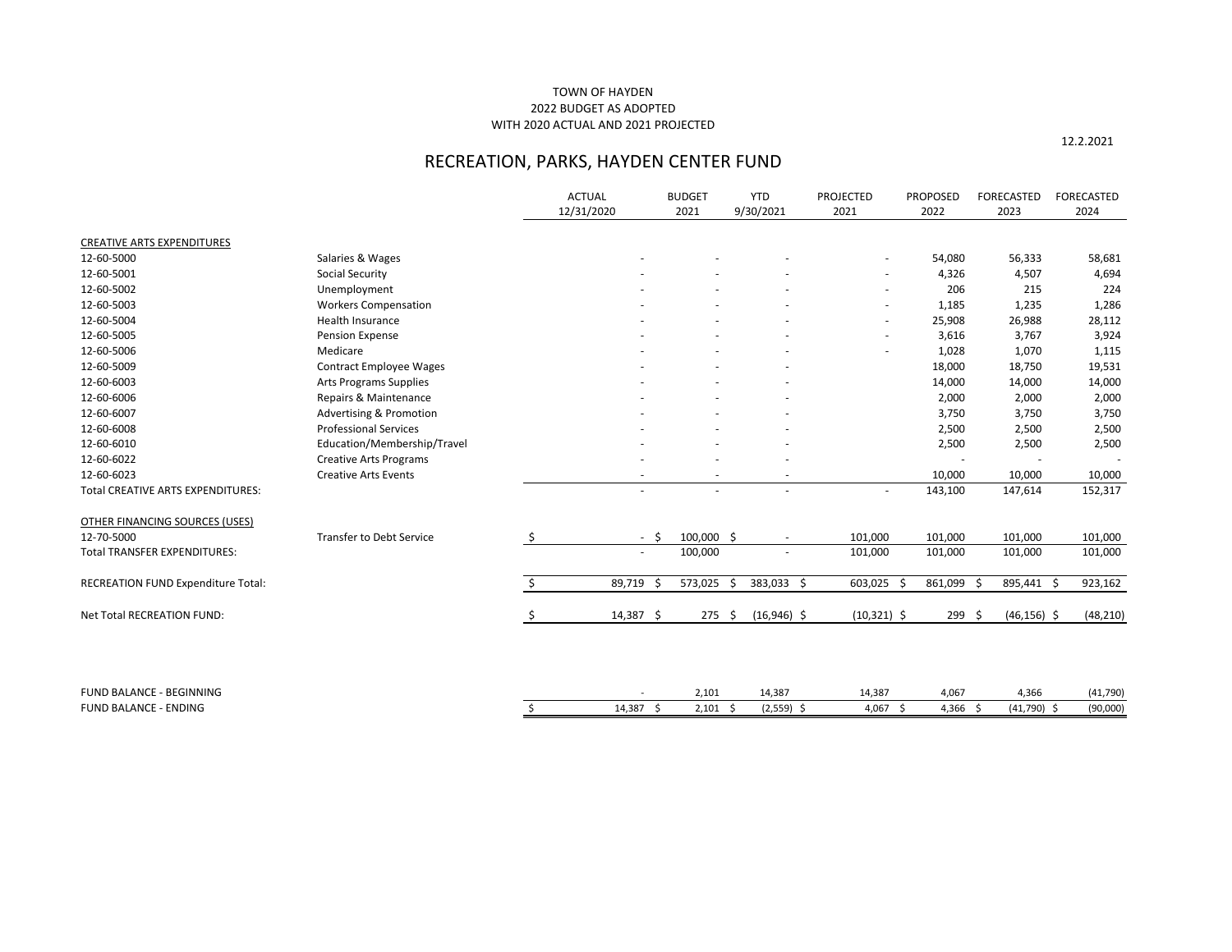# TOWN OF HAYDEN 2022 BUDGET AS ADOPTED WITH 2020 ACTUAL AND 2021 PROJECTED

|                                          |                                    | <b>ACTUAL</b><br>12/31/2020 | <b>BUDGET</b><br>2021 |      | <b>YTD</b><br>9/30/2021 | <b>PROJECTED</b><br>2021 | <b>PROPOSED</b><br>2022 | <b>FORECASTED</b><br>2023 | <b>FORECASTED</b><br>2024 |
|------------------------------------------|------------------------------------|-----------------------------|-----------------------|------|-------------------------|--------------------------|-------------------------|---------------------------|---------------------------|
| <b>CREATIVE ARTS EXPENDITURES</b>        |                                    |                             |                       |      |                         |                          |                         |                           |                           |
| 12-60-5000                               | Salaries & Wages                   |                             |                       |      |                         |                          | 54,080                  | 56,333                    | 58,681                    |
| 12-60-5001                               | <b>Social Security</b>             |                             |                       |      |                         | $\overline{\phantom{a}}$ | 4,326                   | 4,507                     | 4,694                     |
| 12-60-5002                               | Unemployment                       |                             |                       |      |                         | $\overline{\phantom{a}}$ | 206                     | 215                       | 224                       |
| 12-60-5003                               | <b>Workers Compensation</b>        |                             |                       |      |                         | $\overline{\phantom{a}}$ | 1,185                   | 1,235                     | 1,286                     |
| 12-60-5004                               | Health Insurance                   |                             |                       |      |                         | $\overline{\phantom{a}}$ | 25,908                  | 26,988                    | 28,112                    |
| 12-60-5005                               | <b>Pension Expense</b>             |                             |                       |      |                         | $\overline{\phantom{a}}$ | 3,616                   | 3,767                     | 3,924                     |
| 12-60-5006                               | Medicare                           |                             |                       |      |                         |                          | 1,028                   | 1,070                     | 1,115                     |
| 12-60-5009                               | <b>Contract Employee Wages</b>     |                             |                       |      |                         |                          | 18,000                  | 18,750                    | 19,531                    |
| 12-60-6003                               | <b>Arts Programs Supplies</b>      |                             |                       |      |                         |                          | 14,000                  | 14,000                    | 14,000                    |
| 12-60-6006                               | Repairs & Maintenance              |                             |                       |      |                         |                          | 2,000                   | 2,000                     | 2,000                     |
| 12-60-6007                               | <b>Advertising &amp; Promotion</b> |                             |                       |      |                         |                          | 3,750                   | 3,750                     | 3,750                     |
| 12-60-6008                               | <b>Professional Services</b>       |                             |                       |      |                         |                          | 2,500                   | 2,500                     | 2,500                     |
| 12-60-6010                               | Education/Membership/Travel        |                             |                       |      |                         |                          | 2,500                   | 2,500                     | 2,500                     |
| 12-60-6022                               | <b>Creative Arts Programs</b>      |                             |                       |      |                         |                          |                         |                           |                           |
| 12-60-6023                               | <b>Creative Arts Events</b>        | $\overline{\phantom{a}}$    |                       |      |                         |                          | 10,000                  | 10,000                    | 10,000                    |
| <b>Total CREATIVE ARTS EXPENDITURES:</b> |                                    |                             |                       |      |                         |                          | 143,100                 | 147,614                   | 152,317                   |
| <b>OTHER FINANCING SOURCES (USES)</b>    |                                    |                             |                       |      |                         |                          |                         |                           |                           |
| 12-70-5000                               | <b>Transfer to Debt Service</b>    | \$<br>$-5$                  | 100,000 \$            |      |                         | 101,000                  | 101,000                 | 101,000                   | 101,000                   |
| <b>Total TRANSFER EXPENDITURES:</b>      |                                    | $\sim$                      | 100,000               |      |                         | 101,000                  | 101,000                 | 101,000                   | 101,000                   |
| RECREATION FUND Expenditure Total:       |                                    | \$<br>89,719 \$             | 573,025               | - \$ | 383,033 \$              | 603,025 \$               | 861,099 \$              | 895,441 \$                | 923,162                   |
| Net Total RECREATION FUND:               |                                    | \$<br>$14,387$ \$           | $275$ \$              |      | $(16,946)$ \$           | $(10,321)$ \$            | $299 \div$              | $(46, 156)$ \$            | (48, 210)                 |
|                                          |                                    |                             |                       |      |                         |                          |                         |                           |                           |
| FUND BALANCE - BEGINNING                 |                                    |                             | 2,101                 |      | 14,387                  | 14,387                   | 4,067                   | 4,366                     | (41, 790)                 |
| <b>FUND BALANCE - ENDING</b>             |                                    | \$<br>$14,387$ \$           | $2,101$ \$            |      | $(2,559)$ \$            | 4,067 \$                 | 4,366 \$                | $(41,790)$ \$             | (90,000)                  |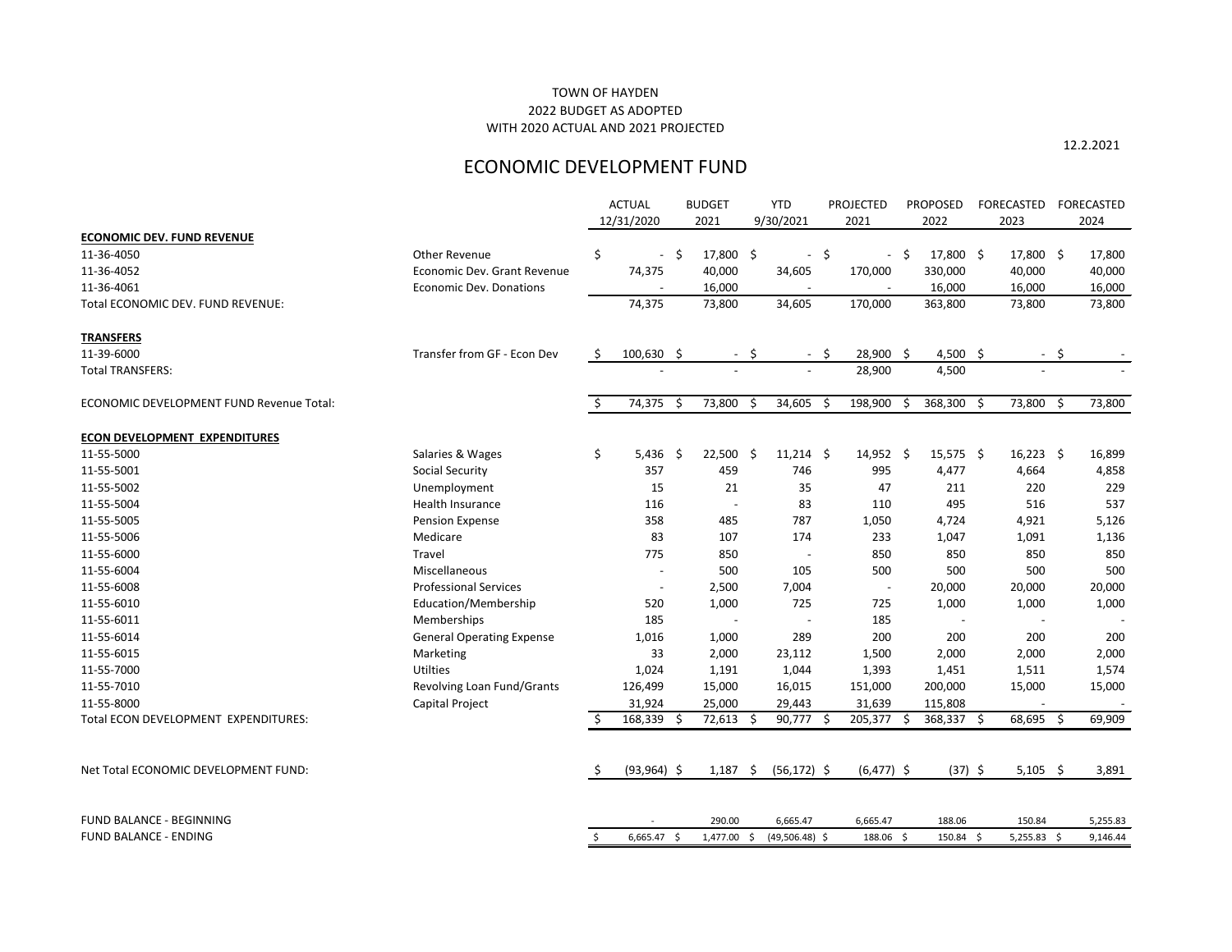12.2.2021

# ECONOMIC DEVELOPMENT FUND

|                                          |                                  |    | <b>ACTUAL</b>            |     | <b>BUDGET</b>            |      | <b>YTD</b>       |      | <b>PROJECTED</b>         |     | <b>PROPOSED</b> | FORECASTED    |     | FORECASTED |
|------------------------------------------|----------------------------------|----|--------------------------|-----|--------------------------|------|------------------|------|--------------------------|-----|-----------------|---------------|-----|------------|
|                                          |                                  |    | 12/31/2020               |     | 2021                     |      | 9/30/2021        |      | 2021                     |     | 2022            | 2023          |     | 2024       |
| <b>ECONOMIC DEV. FUND REVENUE</b>        |                                  |    |                          |     |                          |      |                  |      |                          |     |                 |               |     |            |
| 11-36-4050                               | Other Revenue                    | \$ | $\overline{\phantom{a}}$ | \$  | 17,800 \$                |      | $\sim$           | \$   | $\sim$                   | -\$ | 17,800 \$       | 17,800 \$     |     | 17,800     |
| 11-36-4052                               | Economic Dev. Grant Revenue      |    | 74,375                   |     | 40,000                   |      | 34,605           |      | 170,000                  |     | 330,000         | 40,000        |     | 40,000     |
| 11-36-4061                               | <b>Economic Dev. Donations</b>   |    |                          |     | 16,000                   |      |                  |      |                          |     | 16,000          | 16,000        |     | 16,000     |
| Total ECONOMIC DEV. FUND REVENUE:        |                                  |    | 74,375                   |     | 73,800                   |      | 34,605           |      | 170,000                  |     | 363,800         | 73,800        |     | 73,800     |
| <b>TRANSFERS</b>                         |                                  |    |                          |     |                          |      |                  |      |                          |     |                 |               |     |            |
| 11-39-6000                               | Transfer from GF - Econ Dev      | \$ | $100,630$ \$             |     |                          | - \$ |                  | - \$ | 28,900 \$                |     | 4,500 \$        | $\sim$        | -\$ |            |
| <b>Total TRANSFERS:</b>                  |                                  |    |                          |     | $\overline{\phantom{a}}$ |      |                  |      | 28,900                   |     | 4,500           |               |     |            |
| ECONOMIC DEVELOPMENT FUND Revenue Total: |                                  |    | 74,375 \$                |     | 73,800 \$                |      | 34,605           | \$   | 198,900                  | - S | 368,300 \$      | 73,800 \$     |     | 73,800     |
| <b>ECON DEVELOPMENT EXPENDITURES</b>     |                                  |    |                          |     |                          |      |                  |      |                          |     |                 |               |     |            |
| 11-55-5000                               | Salaries & Wages                 | \$ | 5,436                    | -\$ | $22,500$ \$              |      | $11,214$ \$      |      | $14,952$ \$              |     | $15,575$ \$     | $16,223$ \$   |     | 16,899     |
| 11-55-5001                               | <b>Social Security</b>           |    | 357                      |     | 459                      |      | 746              |      | 995                      |     | 4,477           | 4,664         |     | 4,858      |
| 11-55-5002                               | Unemployment                     |    | 15                       |     | 21                       |      | 35               |      | 47                       |     | 211             | 220           |     | 229        |
| 11-55-5004                               | Health Insurance                 |    | 116                      |     |                          |      | 83               |      | 110                      |     | 495             | 516           |     | 537        |
| 11-55-5005                               | Pension Expense                  |    | 358                      |     | 485                      |      | 787              |      | 1,050                    |     | 4,724           | 4,921         |     | 5,126      |
| 11-55-5006                               | Medicare                         |    | 83                       |     | 107                      |      | 174              |      | 233                      |     | 1,047           | 1,091         |     | 1,136      |
| 11-55-6000                               | Travel                           |    | 775                      |     | 850                      |      |                  |      | 850                      |     | 850             | 850           |     | 850        |
| 11-55-6004                               | Miscellaneous                    |    |                          |     | 500                      |      | 105              |      | 500                      |     | 500             | 500           |     | 500        |
| 11-55-6008                               | <b>Professional Services</b>     |    |                          |     | 2,500                    |      | 7,004            |      | $\overline{\phantom{a}}$ |     | 20,000          | 20,000        |     | 20,000     |
| 11-55-6010                               | Education/Membership             |    | 520                      |     | 1,000                    |      | 725              |      | 725                      |     | 1,000           | 1,000         |     | 1,000      |
| 11-55-6011                               | Memberships                      |    | 185                      |     |                          |      |                  |      | 185                      |     |                 |               |     |            |
| 11-55-6014                               | <b>General Operating Expense</b> |    | 1,016                    |     | 1,000                    |      | 289              |      | 200                      |     | 200             | 200           |     | 200        |
| 11-55-6015                               | Marketing                        |    | 33                       |     | 2,000                    |      | 23,112           |      | 1,500                    |     | 2,000           | 2,000         |     | 2,000      |
| 11-55-7000                               | <b>Utilties</b>                  |    | 1,024                    |     | 1,191                    |      | 1,044            |      | 1,393                    |     | 1,451           | 1,511         |     | 1,574      |
| 11-55-7010                               | Revolving Loan Fund/Grants       |    | 126,499                  |     | 15,000                   |      | 16,015           |      | 151,000                  |     | 200,000         | 15,000        |     | 15,000     |
| 11-55-8000                               | Capital Project                  |    | 31,924                   |     | 25,000                   |      | 29,443           |      | 31,639                   |     | 115,808         |               |     |            |
| Total ECON DEVELOPMENT EXPENDITURES:     |                                  | ₽  | 168,339 \$               |     | 72,613 \$                |      | 90,777 \$        |      | 205,377 \$               |     | 368,337 \$      | 68,695 \$     |     | 69,909     |
| Net Total ECONOMIC DEVELOPMENT FUND:     |                                  |    | $(93,964)$ \$            |     | $1,187$ \$               |      | $(56, 172)$ \$   |      | $(6,477)$ \$             |     | $(37)$ \$       | $5,105$ \$    |     | 3,891      |
| <b>FUND BALANCE - BEGINNING</b>          |                                  |    |                          |     | 290.00                   |      | 6,665.47         |      | 6,665.47                 |     | 188.06          | 150.84        |     | 5,255.83   |
| <b>FUND BALANCE - ENDING</b>             |                                  | Ŝ. | $6,665.47$ \$            |     | 1,477.00 \$              |      | $(49,506.48)$ \$ |      | 188.06 \$                |     | 150.84 \$       | $5,255.83$ \$ |     | 9,146.44   |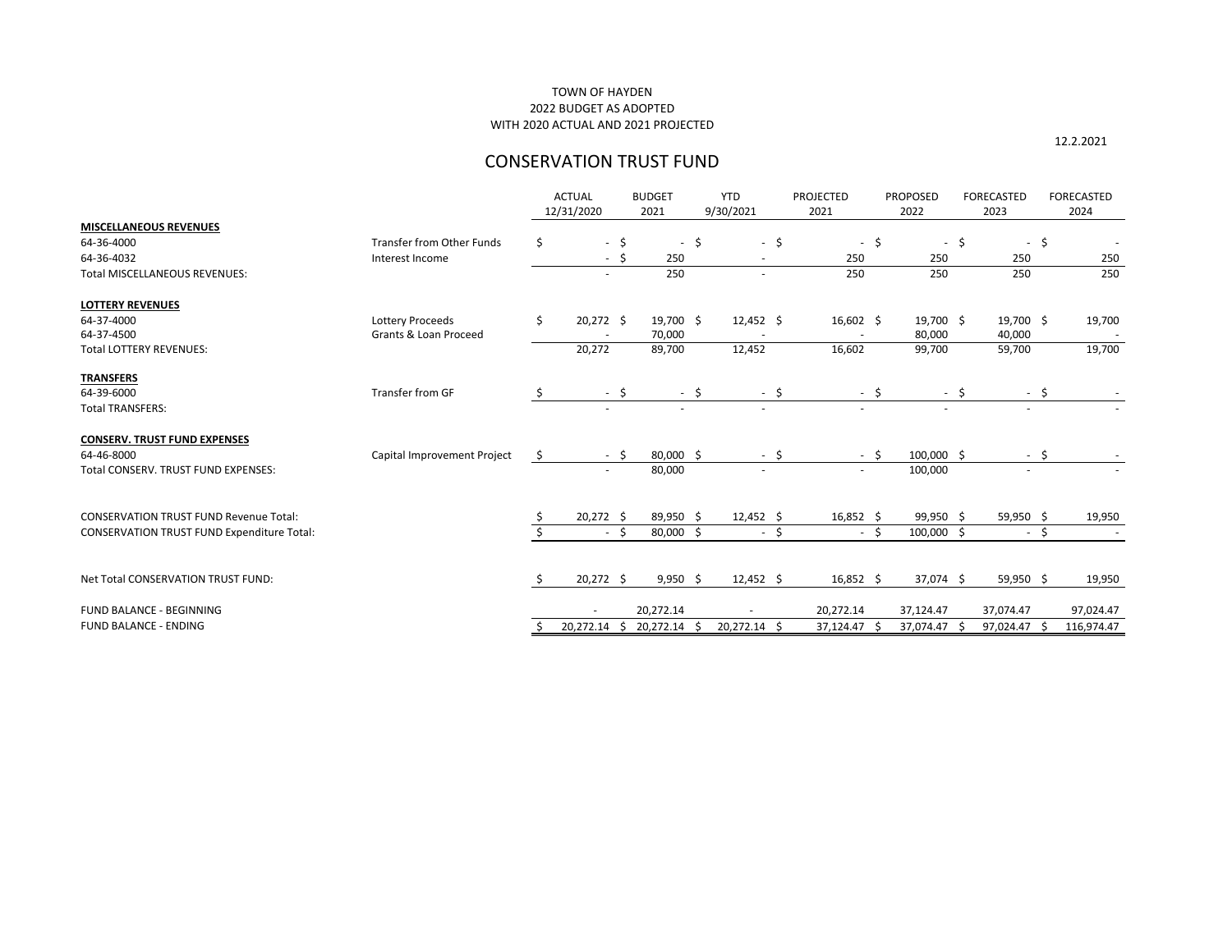|                                                   |                                  | <b>ACTUAL</b><br>12/31/2020 | <b>BUDGET</b><br>2021 |              | <b>YTD</b><br>9/30/2021  | <b>PROJECTED</b><br>2021 |        | <b>PROPOSED</b><br>2022  |      | <b>FORECASTED</b><br>2023 | <b>FORECASTED</b><br>2024 |
|---------------------------------------------------|----------------------------------|-----------------------------|-----------------------|--------------|--------------------------|--------------------------|--------|--------------------------|------|---------------------------|---------------------------|
| <b>MISCELLANEOUS REVENUES</b>                     |                                  |                             |                       |              |                          |                          |        |                          |      |                           |                           |
| 64-36-4000                                        | <b>Transfer from Other Funds</b> | \$<br>-\$                   |                       | \$<br>$\sim$ | $-5$                     |                          | $-5$   |                          | $-5$ | -\$<br>$\sim$             |                           |
| 64-36-4032                                        | Interest Income                  | \$                          |                       | 250          |                          | 250                      |        | 250                      |      | 250                       | 250                       |
| Total MISCELLANEOUS REVENUES:                     |                                  |                             |                       | 250          | $\blacksquare$           | 250                      |        | 250                      |      | 250                       | 250                       |
| <b>LOTTERY REVENUES</b>                           |                                  |                             |                       |              |                          |                          |        |                          |      |                           |                           |
| 64-37-4000                                        | Lottery Proceeds                 | \$<br>20,272 \$             |                       | 19,700 \$    | $12,452$ \$              | $16,602$ \$              |        | 19,700 \$                |      | 19,700 \$                 | 19,700                    |
| 64-37-4500                                        | Grants & Loan Proceed            |                             | 70,000                |              |                          |                          |        | 80,000                   |      | 40,000                    |                           |
| <b>Total LOTTERY REVENUES:</b>                    |                                  | 20,272                      | 89,700                |              | 12,452                   | 16,602                   |        | 99,700                   |      | 59,700                    | 19,700                    |
| <b>TRANSFERS</b>                                  |                                  |                             |                       |              |                          |                          |        |                          |      |                           |                           |
| 64-39-6000                                        | Transfer from GF                 | \$<br>- \$                  |                       | $-$ \$       | - \$                     |                          | - \$   |                          | - \$ | - \$                      |                           |
| <b>Total TRANSFERS:</b>                           |                                  |                             |                       | $\sim$       | $\overline{\phantom{a}}$ | $\overline{\phantom{a}}$ |        | $\overline{\phantom{a}}$ |      |                           |                           |
| <b>CONSERV. TRUST FUND EXPENSES</b>               |                                  |                             |                       |              |                          |                          |        |                          |      |                           |                           |
| 64-46-8000                                        | Capital Improvement Project      | \$<br>$-$ \$                |                       | 80,000 \$    | - \$                     |                          | $-$ \$ | 100,000 \$               |      | $-$ \$                    |                           |
| Total CONSERV. TRUST FUND EXPENSES:               |                                  |                             | 80,000                |              | $\overline{\phantom{a}}$ | $\sim$                   |        | 100,000                  |      |                           |                           |
|                                                   |                                  |                             |                       |              |                          |                          |        |                          |      |                           |                           |
| <b>CONSERVATION TRUST FUND Revenue Total:</b>     |                                  | $20,272$ \$                 |                       | 89,950 \$    | $12,452$ \$              | $16,852$ \$              |        | 99,950 \$                |      | 59,950 \$                 | 19,950                    |
| <b>CONSERVATION TRUST FUND Expenditure Total:</b> |                                  | - \$                        |                       | 80,000 \$    | $-5$                     |                          | $-5$   | 100,000 \$               |      | $-5$                      |                           |
| Net Total CONSERVATION TRUST FUND:                |                                  | $20,272$ \$                 |                       | $9,950$ \$   | $12,452$ \$              | $16,852$ \$              |        | 37,074 \$                |      | 59,950 \$                 | 19,950                    |
|                                                   |                                  |                             |                       |              |                          |                          |        |                          |      |                           |                           |
| FUND BALANCE - BEGINNING                          |                                  |                             | 20,272.14             |              |                          | 20,272.14                |        | 37,124.47                |      | 37,074.47                 | 97,024.47                 |
| <b>FUND BALANCE - ENDING</b>                      |                                  | 20,272.14<br>S.             | 20,272.14             |              | 20,272.14 \$             | 37,124.47 \$             |        | 37,074.47 \$             |      | 97,024.47                 | 116,974.47                |

# TOWN OF HAYDEN 2022 BUDGET AS ADOPTED WITH 2020 ACTUAL AND 2021 PROJECTED

# CONSERVATION TRUST FUND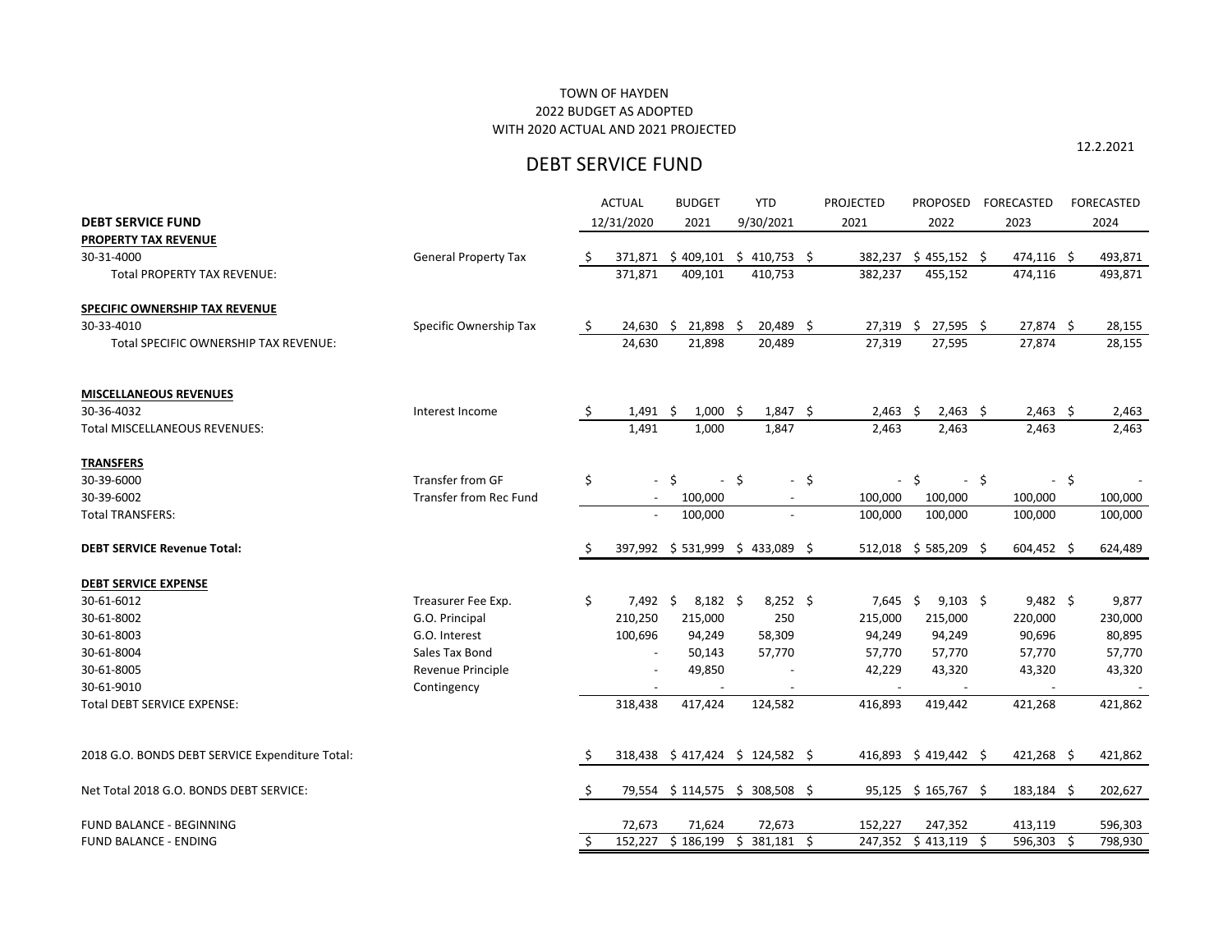## 2022 BUDGET AS ADOPTED WITH 2020 ACTUAL AND 2021 PROJECTED TOWN OF HAYDEN

# DEBT SERVICE FUND

|  | 12.2.2021 |  |  |
|--|-----------|--|--|
|  |           |  |  |

|                                                 |                               |              | <b>ACTUAL</b>            | <b>BUDGET</b>                    |      | <b>YTD</b>    |        | <b>PROJECTED</b>         | <b>PROPOSED</b>        |                    | <b>FORECASTED</b> |        | <b>FORECASTED</b> |
|-------------------------------------------------|-------------------------------|--------------|--------------------------|----------------------------------|------|---------------|--------|--------------------------|------------------------|--------------------|-------------------|--------|-------------------|
| <b>DEBT SERVICE FUND</b>                        |                               |              | 12/31/2020               | 2021                             |      | 9/30/2021     |        | 2021                     | 2022                   |                    | 2023              |        | 2024              |
| PROPERTY TAX REVENUE                            |                               |              |                          |                                  |      |               |        |                          |                        |                    |                   |        |                   |
| 30-31-4000                                      | <b>General Property Tax</b>   | \$           | 371,871                  | \$409,101                        |      | $$410,753$ \$ |        | 382,237                  | $$455,152$ \$          |                    | 474,116 \$        |        | 493,871           |
| <b>Total PROPERTY TAX REVENUE:</b>              |                               |              | 371,871                  | 409,101                          |      | 410,753       |        | 382,237                  | 455,152                |                    | 474,116           |        | 493,871           |
| <b>SPECIFIC OWNERSHIP TAX REVENUE</b>           |                               |              |                          |                                  |      |               |        |                          |                        |                    |                   |        |                   |
| 30-33-4010                                      | Specific Ownership Tax        | \$           | $24,630$ \$              | 21,898 \$                        |      | 20,489 \$     |        | 27,319                   | $27,595$ \$<br>-\$     |                    | 27,874 \$         |        | 28,155            |
| Total SPECIFIC OWNERSHIP TAX REVENUE:           |                               |              | 24,630                   | 21,898                           |      | 20,489        |        | 27,319                   | 27,595                 |                    | 27,874            |        | 28,155            |
| <b>MISCELLANEOUS REVENUES</b>                   |                               |              |                          |                                  |      |               |        |                          |                        |                    |                   |        |                   |
| 30-36-4032                                      | Interest Income               | \$           | $1,491$ \$               | $1,000$ \$                       |      | $1,847$ \$    |        | $2,463$ \$               | $2,463$ \$             |                    | $2,463$ \$        |        | 2,463             |
| <b>Total MISCELLANEOUS REVENUES:</b>            |                               |              | 1,491                    | 1,000                            |      | 1,847         |        | 2,463                    | 2,463                  |                    | 2,463             |        | 2,463             |
| <b>TRANSFERS</b>                                |                               |              |                          |                                  |      |               |        |                          |                        |                    |                   |        |                   |
| 30-39-6000                                      | Transfer from GF              | \$           | $\overline{\phantom{a}}$ | $\zeta$                          | $-5$ |               | $-$ \$ | $\overline{\phantom{a}}$ | \$.                    | $-$ \$             |                   | $-$ \$ |                   |
| 30-39-6002                                      | <b>Transfer from Rec Fund</b> |              | $\overline{\phantom{a}}$ | 100,000                          |      |               |        | 100,000                  | 100,000                |                    | 100,000           |        | 100,000           |
| <b>Total TRANSFERS:</b>                         |                               |              | $\overline{\phantom{a}}$ | 100,000                          |      |               |        | 100,000                  | 100,000                |                    | 100,000           |        | 100,000           |
| <b>DEBT SERVICE Revenue Total:</b>              |                               | S            |                          | 397,992 \$531,999 \$433,089 \$   |      |               |        | 512,018                  | $$585,209$ \$          |                    | $604,452$ \$      |        | 624,489           |
| <b>DEBT SERVICE EXPENSE</b>                     |                               |              |                          |                                  |      |               |        |                          |                        |                    |                   |        |                   |
| 30-61-6012                                      | Treasurer Fee Exp.            | \$           | 7,492                    | $\ddot{\varsigma}$<br>$8,182$ \$ |      | $8,252$ \$    |        | 7,645                    | \$<br>$9,103$ \$       |                    | $9,482$ \$        |        | 9,877             |
| 30-61-8002                                      | G.O. Principal                |              | 210,250                  | 215,000                          |      | 250           |        | 215,000                  | 215,000                |                    | 220,000           |        | 230,000           |
| 30-61-8003                                      | G.O. Interest                 |              | 100,696                  | 94,249                           |      | 58,309        |        | 94,249                   | 94,249                 |                    | 90,696            |        | 80,895            |
| 30-61-8004                                      | Sales Tax Bond                |              | $\overline{\phantom{a}}$ | 50,143                           |      | 57,770        |        | 57,770                   | 57,770                 |                    | 57,770            |        | 57,770            |
| 30-61-8005                                      | Revenue Principle             |              | $\overline{\phantom{a}}$ | 49,850                           |      |               |        | 42,229                   | 43,320                 |                    | 43,320            |        | 43,320            |
| 30-61-9010                                      | Contingency                   |              |                          |                                  |      |               |        |                          |                        |                    |                   |        |                   |
| Total DEBT SERVICE EXPENSE:                     |                               |              | 318,438                  | 417,424                          |      | 124,582       |        | 416,893                  | 419,442                |                    | 421,268           |        | 421,862           |
| 2018 G.O. BONDS DEBT SERVICE Expenditure Total: |                               |              |                          | 318,438 \$417,424 \$124,582 \$   |      |               |        |                          | 416,893 \$419,442 \$   |                    | $421,268$ \$      |        | 421,862           |
| Net Total 2018 G.O. BONDS DEBT SERVICE:         |                               | -Ş           |                          | 79,554 \$114,575 \$308,508 \$    |      |               |        |                          | $95,125$ \$ 165,767 \$ |                    | 183,184 \$        |        | 202,627           |
| FUND BALANCE - BEGINNING                        |                               |              | 72,673                   | 71,624                           |      | 72,673        |        | 152,227                  | 247,352                |                    | 413,119           |        | 596,303           |
| FUND BALANCE - ENDING                           |                               | <sup>S</sup> |                          | 152,227 \$186,199 \$381,181 \$   |      |               |        | 247,352                  | \$413,119              | $\ddot{\varsigma}$ | 596,303           | \$     | 798,930           |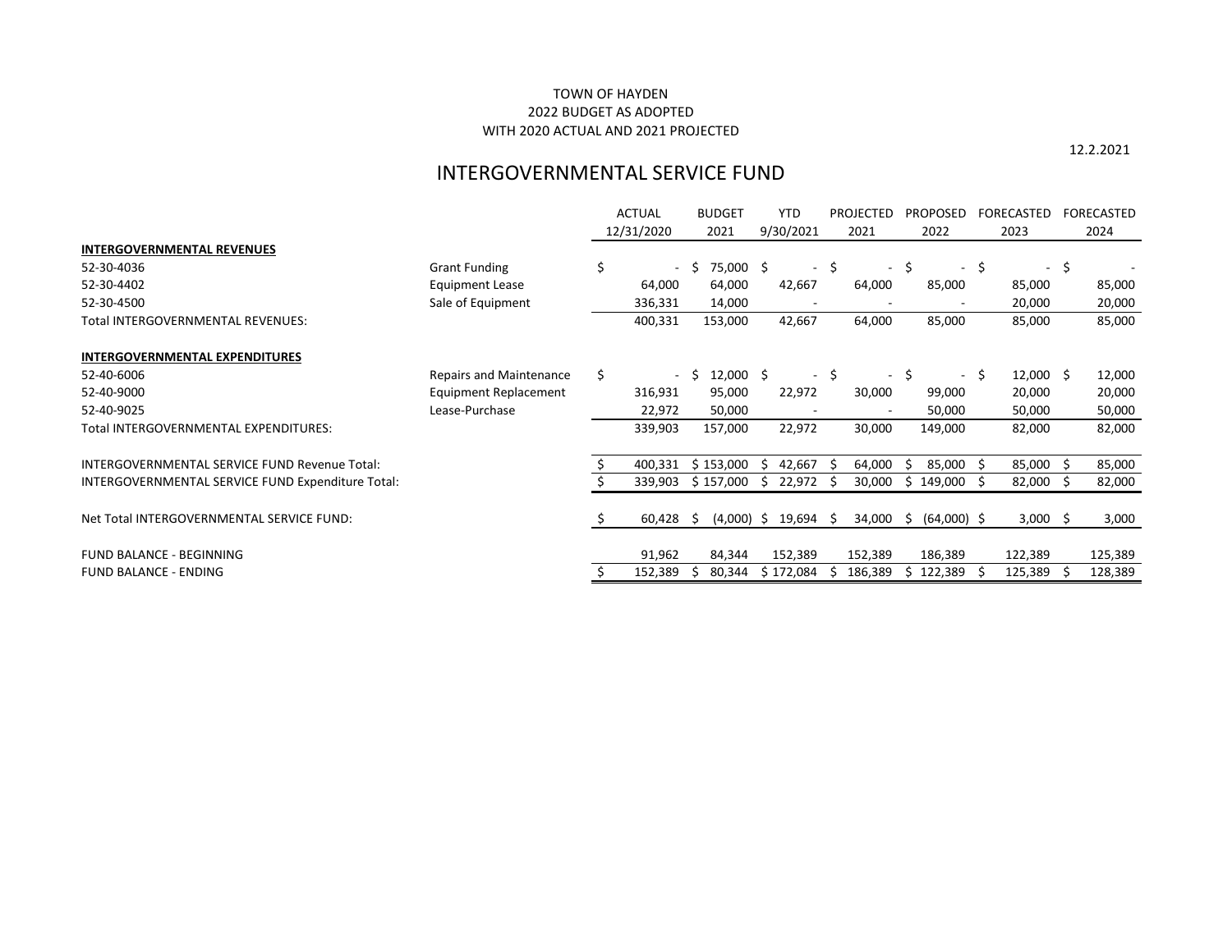12.2.2021

# INTERGOVERNMENTAL SERVICE FUND

|                                                   |                                | <b>ACTUAL</b> |         |    | <b>BUDGET</b> |           | <b>YTD</b>          |        | <b>PROJECTED</b> |      | <b>PROPOSED</b>          |                | FORECASTED  |    | FORECASTED |
|---------------------------------------------------|--------------------------------|---------------|---------|----|---------------|-----------|---------------------|--------|------------------|------|--------------------------|----------------|-------------|----|------------|
|                                                   |                                | 12/31/2020    |         |    | 2021          | 9/30/2021 |                     | 2021   |                  | 2022 |                          | 2023           |             |    | 2024       |
| <b>INTERGOVERNMENTAL REVENUES</b>                 |                                |               |         |    |               |           |                     |        |                  |      |                          |                |             |    |            |
| 52-30-4036                                        | <b>Grant Funding</b>           | \$            | $\sim$  | -S | 75,000 \$     |           | $\sim$              | \$     | $\sim$           | \$   | $\overline{\phantom{a}}$ | $\ddot{\zeta}$ | $\sim$      | \$ |            |
| 52-30-4402                                        | <b>Equipment Lease</b>         |               | 64,000  |    | 64,000        |           | 42,667              |        | 64,000           |      | 85,000                   |                | 85,000      |    | 85,000     |
| 52-30-4500                                        | Sale of Equipment              |               | 336,331 |    | 14,000        |           |                     |        |                  |      |                          |                | 20,000      |    | 20,000     |
| Total INTERGOVERNMENTAL REVENUES:                 |                                |               | 400,331 |    | 153,000       |           | 42,667              |        | 64,000           |      | 85,000                   |                | 85,000      |    | 85,000     |
| <b>INTERGOVERNMENTAL EXPENDITURES</b>             |                                |               |         |    |               |           |                     |        |                  |      |                          |                |             |    |            |
| 52-40-6006                                        | <b>Repairs and Maintenance</b> | \$            |         |    | $12,000$ \$   |           |                     | $-$ \$ | $\sim$ $^{-1}$   | Ş.   | $\overline{\phantom{a}}$ | -S             | $12,000$ \$ |    | 12,000     |
| 52-40-9000                                        | <b>Equipment Replacement</b>   |               | 316,931 |    | 95,000        |           | 22,972              |        | 30,000           |      | 99,000                   |                | 20,000      |    | 20,000     |
| 52-40-9025                                        | Lease-Purchase                 |               | 22,972  |    | 50,000        |           |                     |        |                  |      | 50,000                   |                | 50,000      |    | 50,000     |
| Total INTERGOVERNMENTAL EXPENDITURES:             |                                |               | 339,903 |    | 157,000       |           | 22,972              |        | 30,000           |      | 149,000                  |                | 82,000      |    | 82,000     |
| INTERGOVERNMENTAL SERVICE FUND Revenue Total:     |                                |               | 400,331 |    | \$153,000     |           | 42,667              |        | 64,000           |      | 85,000                   | -Ŝ             | 85,000      |    | 85,000     |
| INTERGOVERNMENTAL SERVICE FUND Expenditure Total: |                                |               | 339,903 |    | \$157,000     |           | 22,972              |        | 30,000           | S.   | 149,000                  | -S             | 82,000      |    | 82,000     |
| Net Total INTERGOVERNMENTAL SERVICE FUND:         |                                |               | 60,428  | \$ |               |           | $(4,000)$ \$ 19,694 | - \$   | 34,000           | \$   | $(64,000)$ \$            |                | $3,000$ \$  |    | 3,000      |
| <b>FUND BALANCE - BEGINNING</b>                   |                                |               | 91,962  |    | 84,344        |           | 152,389             |        | 152,389          |      | 186,389                  |                | 122,389     |    | 125,389    |
| <b>FUND BALANCE - ENDING</b>                      |                                |               | 152,389 |    | 80,344        |           | \$172,084           |        | 186,389          |      | 122,389                  | -S             | 125,389     |    | 128,389    |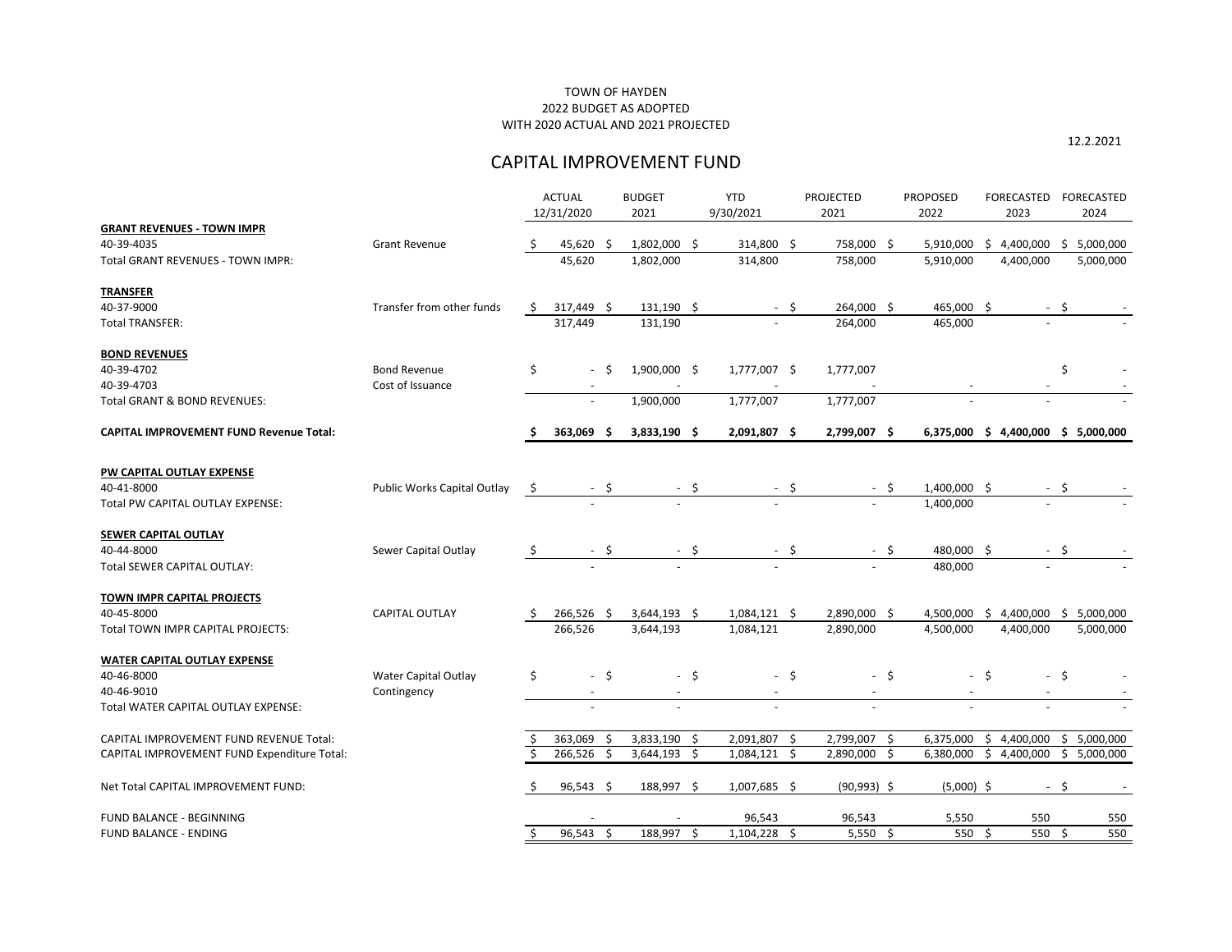12.2.2021

# CAPITAL IMPROVEMENT FUND

|                                                |                             |               | <b>ACTUAL</b>            |        | <b>BUDGET</b>            |      | <b>YTD</b>               |      | <b>PROJECTED</b>         | <b>PROPOSED</b> |                          |      | FORECASTED               |        | <b>FORECASTED</b>        |
|------------------------------------------------|-----------------------------|---------------|--------------------------|--------|--------------------------|------|--------------------------|------|--------------------------|-----------------|--------------------------|------|--------------------------|--------|--------------------------|
|                                                |                             |               | 12/31/2020               |        | 2021                     |      | 9/30/2021                |      | 2021                     |                 | 2022                     |      | 2023                     |        | 2024                     |
| <b>GRANT REVENUES - TOWN IMPR</b>              |                             |               |                          |        |                          |      |                          |      |                          |                 |                          |      |                          |        |                          |
| 40-39-4035                                     | <b>Grant Revenue</b>        |               | 45,620                   | - S    | 1,802,000                | -\$  | 314,800 \$               |      | 758,000                  | -\$             | 5,910,000                | S.   | 4,400,000                | -S     | 5,000,000                |
| <b>Total GRANT REVENUES - TOWN IMPR:</b>       |                             |               | 45,620                   |        | 1,802,000                |      | 314,800                  |      | 758,000                  |                 | 5,910,000                |      | 4,400,000                |        | 5,000,000                |
| <b>TRANSFER</b>                                |                             |               |                          |        |                          |      |                          |      |                          |                 |                          |      |                          |        |                          |
| 40-37-9000                                     | Transfer from other funds   | \$            | 317,449                  | - \$   | 131,190 \$               |      |                          | - \$ | 264,000                  | \$              | 465,000 \$               |      |                          | $-$ \$ |                          |
| <b>Total TRANSFER:</b>                         |                             |               | 317,449                  |        | 131,190                  |      |                          |      | 264,000                  |                 | 465,000                  |      | $\overline{\phantom{a}}$ |        |                          |
| <b>BOND REVENUES</b>                           |                             |               |                          |        |                          |      |                          |      |                          |                 |                          |      |                          |        |                          |
| 40-39-4702                                     | <b>Bond Revenue</b>         | \$            |                          | - \$   | 1,900,000 \$             |      | 1,777,007 \$             |      | 1,777,007                |                 |                          |      |                          | \$     |                          |
| 40-39-4703                                     | Cost of Issuance            |               |                          |        |                          |      |                          |      |                          |                 |                          |      |                          |        |                          |
| <b>Total GRANT &amp; BOND REVENUES:</b>        |                             |               |                          |        | 1,900,000                |      | 1,777,007                |      | 1,777,007                |                 |                          |      |                          |        |                          |
| <b>CAPITAL IMPROVEMENT FUND Revenue Total:</b> |                             |               | 363,069                  |        | $3,833,190$ \$           |      | 2,091,807 \$             |      | 2,799,007 \$             |                 | 6,375,000                |      | \$4,400,000              | \$     | 5,000,000                |
| PW CAPITAL OUTLAY EXPENSE                      |                             |               |                          |        |                          |      |                          |      |                          |                 |                          |      |                          |        |                          |
| 40-41-8000                                     | Public Works Capital Outlay | $\ddot{\phi}$ |                          | - \$   |                          | \$   |                          | -\$  |                          | - \$            | 1,400,000 \$             |      |                          | \$     |                          |
| Total PW CAPITAL OUTLAY EXPENSE:               |                             |               |                          |        |                          |      |                          |      |                          |                 | 1,400,000                |      |                          |        |                          |
| <b>SEWER CAPITAL OUTLAY</b>                    |                             |               |                          |        |                          |      |                          |      |                          |                 |                          |      |                          |        |                          |
| 40-44-8000                                     | Sewer Capital Outlay        | $\mathsf{S}$  |                          | $-$ \$ |                          | - \$ |                          | - \$ |                          | - \$            | 480,000 \$               |      |                          | - \$   |                          |
| Total SEWER CAPITAL OUTLAY:                    |                             |               |                          |        |                          |      | $\sim$                   |      |                          |                 | 480,000                  |      | $\overline{\phantom{a}}$ |        |                          |
| <b>TOWN IMPR CAPITAL PROJECTS</b>              |                             |               |                          |        |                          |      |                          |      |                          |                 |                          |      |                          |        |                          |
| 40-45-8000                                     | <b>CAPITAL OUTLAY</b>       |               | 266,526 \$               |        | 3,644,193 \$             |      | $1,084,121$ \$           |      | 2,890,000 \$             |                 | 4,500,000                | S.   | 4,400,000                |        | 5,000,000                |
| Total TOWN IMPR CAPITAL PROJECTS:              |                             |               | 266,526                  |        | 3,644,193                |      | 1,084,121                |      | 2,890,000                |                 | 4,500,000                |      | 4,400,000                |        | 5,000,000                |
| <b>WATER CAPITAL OUTLAY EXPENSE</b>            |                             |               |                          |        |                          |      |                          |      |                          |                 |                          |      |                          |        |                          |
| 40-46-8000                                     | <b>Water Capital Outlay</b> | \$            |                          | - \$   |                          | - \$ |                          | - \$ |                          | -\$             |                          | - \$ |                          | - \$   |                          |
| 40-46-9010                                     | Contingency                 |               | $\overline{\phantom{a}}$ |        | $\overline{\phantom{a}}$ |      | $\overline{\phantom{a}}$ |      | $\overline{\phantom{a}}$ |                 |                          |      | $\overline{\phantom{a}}$ |        |                          |
| Total WATER CAPITAL OUTLAY EXPENSE:            |                             |               | $\overline{\phantom{a}}$ |        | $\overline{\phantom{a}}$ |      | $\overline{\phantom{a}}$ |      | $\overline{\phantom{a}}$ |                 | $\overline{\phantom{a}}$ |      | $\overline{\phantom{a}}$ |        |                          |
| CAPITAL IMPROVEMENT FUND REVENUE Total:        |                             |               | 363,069 \$               |        | 3,833,190                | \$   | 2,091,807 \$             |      | 2,799,007 \$             |                 | 6,375,000                |      | \$4,400,000              |        | \$5,000,000              |
| CAPITAL IMPROVEMENT FUND Expenditure Total:    |                             |               | 266,526 \$               |        | 3,644,193                | \$   | $1,084,121$ \$           |      | 2,890,000                | \$              | 6,380,000                |      | \$4,400,000              | \$     | 5,000,000                |
| Net Total CAPITAL IMPROVEMENT FUND:            |                             |               | $96,543$ \$              |        | 188,997 \$               |      | $1,007,685$ \$           |      | $(90,993)$ \$            |                 | $(5,000)$ \$             |      |                          | $-5$   | $\overline{\phantom{a}}$ |
| <b>FUND BALANCE - BEGINNING</b>                |                             |               |                          |        |                          |      | 96,543                   |      | 96,543                   |                 | 5,550                    |      | 550                      |        | 550                      |
| <b>FUND BALANCE - ENDING</b>                   |                             | \$.           | $96,543$ \$              |        | 188,997 \$               |      | $1,104,228$ \$           |      | $5,550$ \$               |                 | 550 \$                   |      | 550 \$                   |        | 550                      |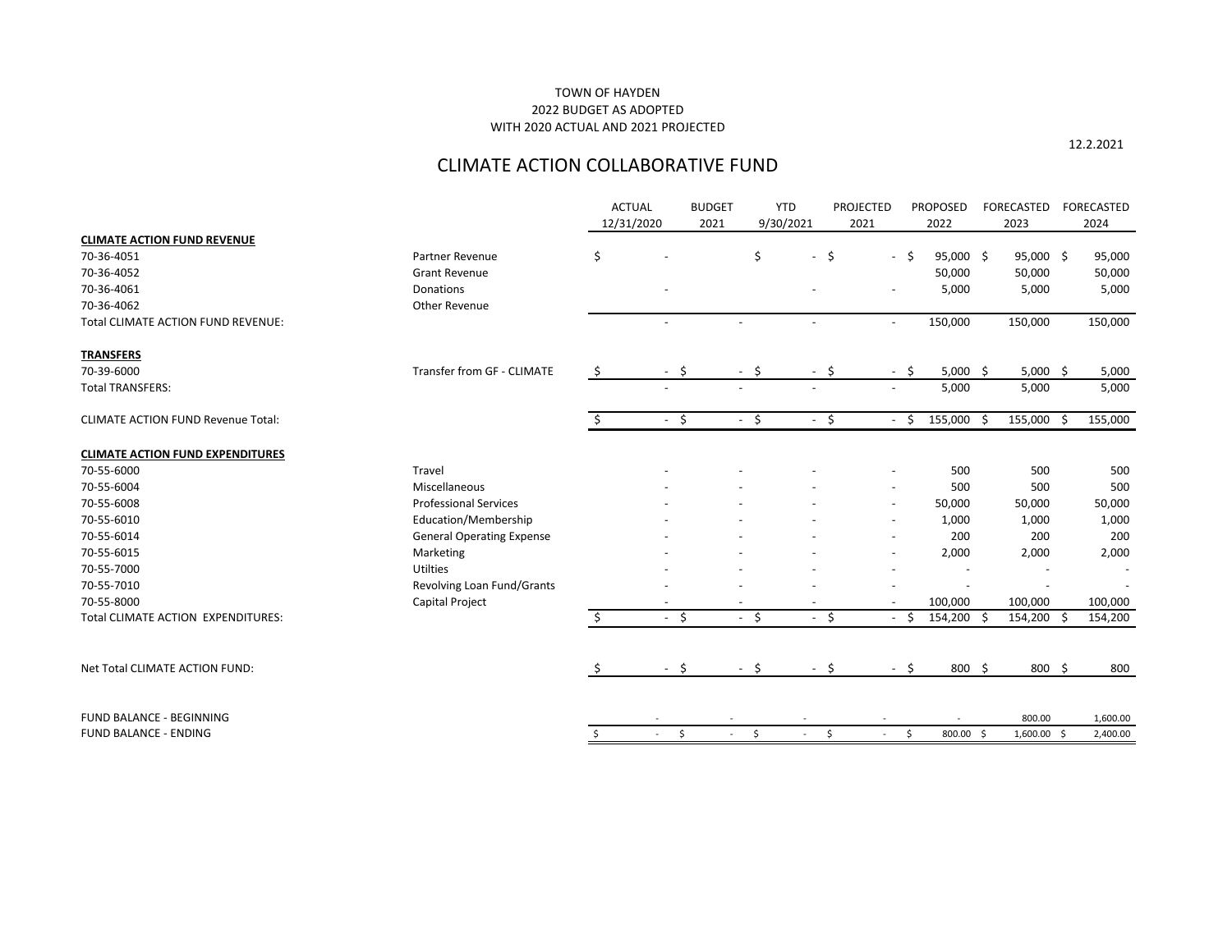12.2.2021

# CLIMATE ACTION COLLABORATIVE FUND

|                                           |                                  | <b>ACTUAL</b>                   | <b>BUDGET</b> | <b>YTD</b>                     |                                | <b>PROJECTED</b>         | <b>PROPOSED</b> |     | FORECASTED  | <b>FORECASTED</b> |
|-------------------------------------------|----------------------------------|---------------------------------|---------------|--------------------------------|--------------------------------|--------------------------|-----------------|-----|-------------|-------------------|
|                                           |                                  | 12/31/2020                      | 2021          | 9/30/2021                      |                                | 2021                     | 2022            |     | 2023        | 2024              |
| <b>CLIMATE ACTION FUND REVENUE</b>        |                                  |                                 |               |                                |                                |                          |                 |     |             |                   |
| 70-36-4051                                | Partner Revenue                  | \$                              |               | \$                             | \$<br>$\sim$                   | $-5$                     | 95,000 \$       |     | $95,000$ \$ | 95,000            |
| 70-36-4052                                | <b>Grant Revenue</b>             |                                 |               |                                |                                |                          | 50,000          |     | 50,000      | 50,000            |
| 70-36-4061                                | Donations                        |                                 |               |                                |                                |                          | 5,000           |     | 5,000       | 5,000             |
| 70-36-4062                                | Other Revenue                    |                                 |               |                                |                                |                          |                 |     |             |                   |
| <b>Total CLIMATE ACTION FUND REVENUE:</b> |                                  |                                 |               | $\blacksquare$                 | $\overline{\phantom{a}}$       | $\overline{\phantom{a}}$ | 150,000         |     | 150,000     | 150,000           |
| <b>TRANSFERS</b>                          |                                  |                                 |               |                                |                                |                          |                 |     |             |                   |
| 70-39-6000                                | Transfer from GF - CLIMATE       | \$                              | $-$ \$        | $-$ \$                         | $-5$                           | $-5$                     | $5,000$ \$      |     | $5,000$ \$  | 5,000             |
| <b>Total TRANSFERS:</b>                   |                                  |                                 |               |                                |                                |                          | 5,000           |     | 5,000       | 5,000             |
| <b>CLIMATE ACTION FUND Revenue Total:</b> |                                  | \$.                             | $-5$          | $-$ \$                         | $-$ \$                         | $-5$                     | 155,000         | -\$ | 155,000 \$  | 155,000           |
| <b>CLIMATE ACTION FUND EXPENDITURES</b>   |                                  |                                 |               |                                |                                |                          |                 |     |             |                   |
| 70-55-6000                                | Travel                           |                                 |               |                                |                                |                          | 500             |     | 500         | 500               |
| 70-55-6004                                | Miscellaneous                    |                                 |               |                                |                                |                          | 500             |     | 500         | 500               |
| 70-55-6008                                | <b>Professional Services</b>     |                                 |               |                                |                                |                          | 50,000          |     | 50,000      | 50,000            |
| 70-55-6010                                | Education/Membership             |                                 |               |                                |                                |                          | 1,000           |     | 1,000       | 1,000             |
| 70-55-6014                                | <b>General Operating Expense</b> |                                 |               |                                |                                |                          | 200             |     | 200         | 200               |
| 70-55-6015                                | Marketing                        |                                 |               |                                |                                |                          | 2,000           |     | 2,000       | 2,000             |
| 70-55-7000                                | Utilties                         |                                 |               |                                |                                |                          |                 |     |             |                   |
| 70-55-7010                                | Revolving Loan Fund/Grants       |                                 |               |                                |                                |                          |                 |     |             |                   |
| 70-55-8000                                | Capital Project                  |                                 |               |                                |                                |                          | 100,000         |     | 100,000     | 100,000           |
| Total CLIMATE ACTION EXPENDITURES:        |                                  | Ś.                              | $-5$          | $-5$                           | $-5$                           | $-5$                     | 154,200 \$      |     | 154,200 \$  | 154,200           |
| Net Total CLIMATE ACTION FUND:            |                                  | \$.<br>$\overline{\phantom{a}}$ | Ŝ.            | \$<br>$\overline{\phantom{a}}$ | Ŝ.<br>$\overline{\phantom{a}}$ | $-5$                     | 800             | -\$ | 800 \$      | 800               |
|                                           |                                  |                                 |               |                                |                                |                          |                 |     |             |                   |
| FUND BALANCE - BEGINNING                  |                                  |                                 |               |                                |                                |                          |                 |     | 800.00      | 1,600.00          |
| <b>FUND BALANCE - ENDING</b>              |                                  | \$<br>$\sim$                    | \$<br>$\sim$  | \$<br>$\sim$                   | \$                             | \$<br>$\sim$             | 800.00 \$       |     | 1,600.00 \$ | 2,400.00          |